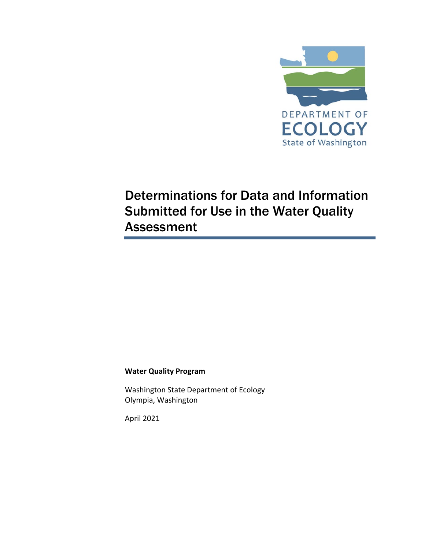

# Determinations for Data and Information Submitted for Use in the Water Quality Assessment

#### **Water Quality Program**

Washington State Department of Ecology Olympia, Washington

April 2021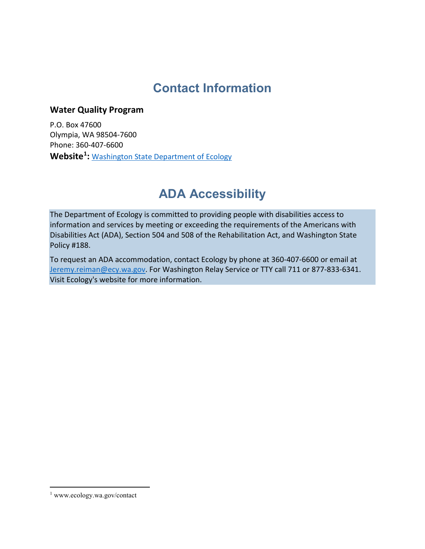## **Contact Information**

#### **Water Quality Program**

P.O. Box 47600 Olympia, WA 98504-7600 Phone: 360-407-6600 **Website[1](#page-1-0) :** Washington [State Department of Ecology](https://ecology.wa.gov/contact)

## **ADA Accessibility**

The Department of Ecology is committed to providing people with disabilities access to information and services by meeting or exceeding the requirements of the Americans with Disabilities Act (ADA), Section 504 and 508 of the Rehabilitation Act, and Washington State Policy #188.

To request an ADA accommodation, contact Ecology by phone at 360-407-6600 or email at [Jeremy.reiman@ecy.wa.gov.](mailto:Jeremy.reiman@ecy.wa.gov) For Washington Relay Service or TTY call 711 or 877-833-6341. Visi[t Ecology's website f](https://ecology.wa.gov/About-us/Accountability-transparency/Our-website/Accessibility)or more information.

<span id="page-1-0"></span><sup>1</sup> www.ecology.wa.gov/contact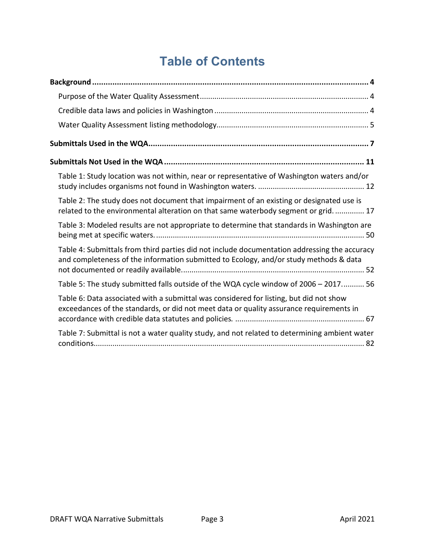# **Table of Contents**

| Table 1: Study location was not within, near or representative of Washington waters and/or                                                                                            |
|---------------------------------------------------------------------------------------------------------------------------------------------------------------------------------------|
| Table 2: The study does not document that impairment of an existing or designated use is<br>related to the environmental alteration on that same waterbody segment or grid.  17       |
| Table 3: Modeled results are not appropriate to determine that standards in Washington are                                                                                            |
| Table 4: Submittals from third parties did not include documentation addressing the accuracy<br>and completeness of the information submitted to Ecology, and/or study methods & data |
| Table 5: The study submitted falls outside of the WQA cycle window of 2006 - 2017 56                                                                                                  |
| Table 6: Data associated with a submittal was considered for listing, but did not show<br>exceedances of the standards, or did not meet data or quality assurance requirements in     |
| Table 7: Submittal is not a water quality study, and not related to determining ambient water                                                                                         |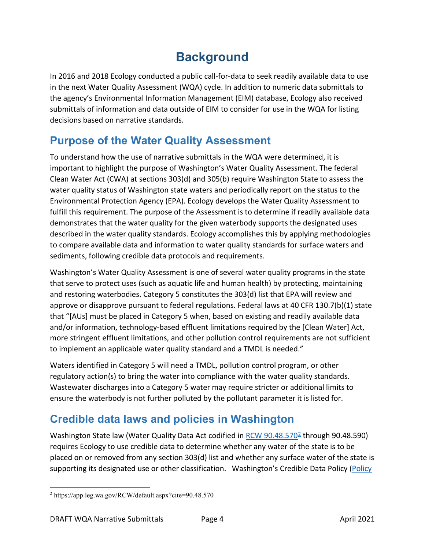# **Background**

<span id="page-3-0"></span>In 2016 and 2018 Ecology conducted a public call-for-data to seek readily available data to use in the next Water Quality Assessment (WQA) cycle. In addition to numeric data submittals to the agency's Environmental Information Management (EIM) database, Ecology also received submittals of information and data outside of EIM to consider for use in the WQA for listing decisions based on narrative standards.

## <span id="page-3-1"></span>**Purpose of the Water Quality Assessment**

To understand how the use of narrative submittals in the WQA were determined, it is important to highlight the purpose of Washington's Water Quality Assessment. The federal Clean Water Act (CWA) at sections 303(d) and 305(b) require Washington State to assess the water quality status of Washington state waters and periodically report on the status to the Environmental Protection Agency (EPA). Ecology develops the Water Quality Assessment to fulfill this requirement. The purpose of the Assessment is to determine if readily available data demonstrates that the water quality for the given waterbody supports the designated uses described in the water quality standards. Ecology accomplishes this by applying methodologies to compare available data and information to water quality standards for surface waters and sediments, following credible data protocols and requirements.

Washington's Water Quality Assessment is one of several water quality programs in the state that serve to protect uses (such as aquatic life and human health) by protecting, maintaining and restoring waterbodies. Category 5 constitutes the 303(d) list that EPA will review and approve or disapprove pursuant to federal regulations. Federal laws at 40 CFR 130.7(b)(1) state that "[AUs] must be placed in Category 5 when, based on existing and readily available data and/or information, technology-based effluent limitations required by the [Clean Water] Act, more stringent effluent limitations, and other pollution control requirements are not sufficient to implement an applicable water quality standard and a TMDL is needed."

Waters identified in Category 5 will need a TMDL, pollution control program, or other regulatory action(s) to bring the water into compliance with the water quality standards. Wastewater discharges into a Category 5 water may require stricter or additional limits to ensure the waterbody is not further polluted by the pollutant parameter it is listed for.

## <span id="page-3-2"></span>**Credible data laws and policies in Washington**

Washington State law (Water Quality Data Act codified in RCW  $90.48.570^2$  $90.48.570^2$  through 90.48.590) requires Ecology to use credible data to determine whether any water of the state is to be placed on or removed from any section 303(d) list and whether any surface water of the state is supporting its designated use or other classification. Washington's Credible Data Policy (Policy

<span id="page-3-3"></span> $\overline{a}$ <sup>2</sup> https://app.leg.wa.gov/RCW/default.aspx?cite=90.48.570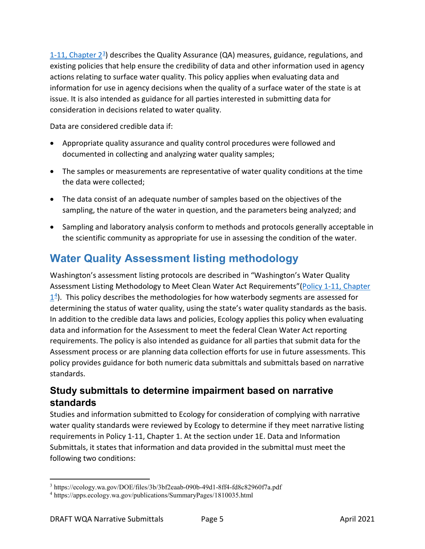1-11, Chapter  $2<sup>3</sup>$ ) describes the Quality Assurance (QA) measures, guidance, regulations, and existing policies that help ensure the credibility of data and other information used in agency actions relating to surface water quality. This policy applies when evaluating data and information for use in agency decisions when the quality of a surface water of the state is at issue. It is also intended as guidance for all parties interested in submitting data for consideration in decisions related to water quality.

Data are considered credible data if:

- Appropriate quality assurance and quality control procedures were followed and documented in collecting and analyzing water quality samples;
- The samples or measurements are representative of water quality conditions at the time the data were collected;
- The data consist of an adequate number of samples based on the objectives of the sampling, the nature of the water in question, and the parameters being analyzed; and
- Sampling and laboratory analysis conform to methods and protocols generally acceptable in the scientific community as appropriate for use in assessing the condition of the water.

## <span id="page-4-0"></span>**Water Quality Assessment listing methodology**

Washington's assessment listing protocols are described in "Washington's Water Quality Assessment Listing Methodology to Meet Clean Water Act Requirements"[\(Policy 1-11, Chapter](https://apps.ecology.wa.gov/publications/SummaryPages/1810035.html)   $14$  $14$ ). This policy describes the methodologies for how waterbody segments are assessed for determining the status of water quality, using the state's water quality standards as the basis. In addition to the credible data laws and policies, Ecology applies this policy when evaluating data and information for the Assessment to meet the federal Clean Water Act reporting requirements. The policy is also intended as guidance for all parties that submit data for the Assessment process or are planning data collection efforts for use in future assessments. This policy provides guidance for both numeric data submittals and submittals based on narrative standards.

#### **Study submittals to determine impairment based on narrative standards**

Studies and information submitted to Ecology for consideration of complying with narrative water quality standards were reviewed by Ecology to determine if they meet narrative listing requirements in Policy 1-11, Chapter 1. At the section under 1E. Data and Information Submittals, it states that information and data provided in the submittal must meet the following two conditions:

<span id="page-4-1"></span> $\overline{a}$ <sup>3</sup> https://ecology.wa.gov/DOE/files/3b/3bf2eaab-090b-49d1-8ff4-fd8c82960f7a.pdf

<span id="page-4-2"></span><sup>4</sup> https://apps.ecology.wa.gov/publications/SummaryPages/1810035.html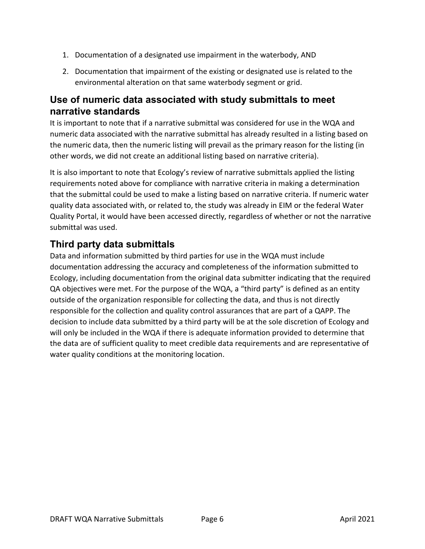- 1. Documentation of a designated use impairment in the waterbody, AND
- 2. Documentation that impairment of the existing or designated use is related to the environmental alteration on that same waterbody segment or grid.

#### **Use of numeric data associated with study submittals to meet narrative standards**

It is important to note that if a narrative submittal was considered for use in the WQA and numeric data associated with the narrative submittal has already resulted in a listing based on the numeric data, then the numeric listing will prevail as the primary reason for the listing (in other words, we did not create an additional listing based on narrative criteria).

It is also important to note that Ecology's review of narrative submittals applied the listing requirements noted above for compliance with narrative criteria in making a determination that the submittal could be used to make a listing based on narrative criteria. If numeric water quality data associated with, or related to, the study was already in EIM or the federal Water Quality Portal, it would have been accessed directly, regardless of whether or not the narrative submittal was used.

#### **Third party data submittals**

Data and information submitted by third parties for use in the WQA must include documentation addressing the accuracy and completeness of the information submitted to Ecology, including documentation from the original data submitter indicating that the required QA objectives were met. For the purpose of the WQA, a "third party" is defined as an entity outside of the organization responsible for collecting the data, and thus is not directly responsible for the collection and quality control assurances that are part of a QAPP. The decision to include data submitted by a third party will be at the sole discretion of Ecology and will only be included in the WQA if there is adequate information provided to determine that the data are of sufficient quality to meet credible data requirements and are representative of water quality conditions at the monitoring location.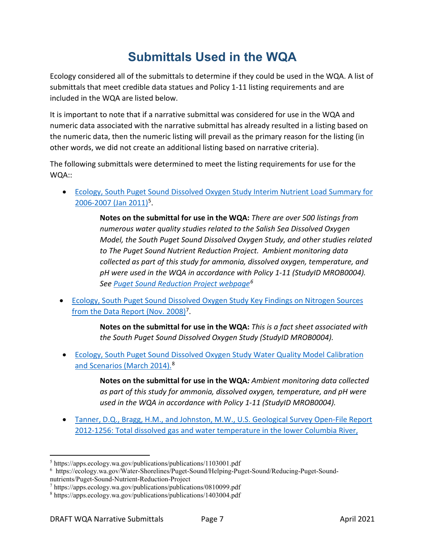# **Submittals Used in the WQA**

<span id="page-6-0"></span>Ecology considered all of the submittals to determine if they could be used in the WQA. A list of submittals that meet credible data statues and Policy 1-11 listing requirements and are included in the WQA are listed below.

It is important to note that if a narrative submittal was considered for use in the WQA and numeric data associated with the narrative submittal has already resulted in a listing based on the numeric data, then the numeric listing will prevail as the primary reason for the listing (in other words, we did not create an additional listing based on narrative criteria).

The following submittals were determined to meet the listing requirements for use for the WQA::

• [Ecology, South Puget Sound Dissolved Oxygen Study Interim Nutrient Load Summary for](https://apps.ecology.wa.gov/publications/publications/1103001.pdf)  [2006-2007 \(Jan 2011\)](https://apps.ecology.wa.gov/publications/publications/1103001.pdf)<sup>5</sup>.

> **Notes on the submittal for use in the WQA:** *There are over 500 listings from numerous water quality studies related to the Salish Sea Dissolved Oxygen Model, the South Puget Sound Dissolved Oxygen Study, and other studies related to The Puget Sound Nutrient Reduction Project. Ambient monitoring data collected as part of this study for ammonia, dissolved oxygen, temperature, and pH were used in the WQA in accordance with Policy 1-11 (StudyID MROB0004). See [Puget Sound Reduction Project webpage](https://ecology.wa.gov/Water-Shorelines/Puget-Sound/Helping-Puget-Sound/Reducing-Puget-Sound-nutrients/Puget-Sound-Nutrient-Reduction-Project)[6](#page-6-2)*

• [Ecology, South Puget Sound Dissolved Oxygen Study Key Findings on Nitrogen Sources](https://apps.ecology.wa.gov/publications/publications/0810099.pdf)  [from the Data Report \(Nov. 2008\)](https://apps.ecology.wa.gov/publications/publications/0810099.pdf)<sup>[7](#page-6-3)</sup>.

> **Notes on the submittal for use in the WQA:** *This is a fact sheet associated with the South Puget Sound Dissolved Oxygen Study (StudyID MROB0004).*

• [Ecology, South Puget Sound Dissolved Oxygen Study Water Quality Model Calibration](https://apps.ecology.wa.gov/publications/publications/1403004.pdf)  [and Scenarios \(March 2014\).](https://apps.ecology.wa.gov/publications/publications/1403004.pdf)<sup>[8](#page-6-4)</sup>

> **Notes on the submittal for use in the WQA***: Ambient monitoring data collected as part of this study for ammonia, dissolved oxygen, temperature, and pH were used in the WQA in accordance with Policy 1-11 (StudyID MROB0004).*

• [Tanner, D.Q., Bragg, H.M., and Johnston, M.W., U.S. Geological Survey Open-File Report](https://pubs.usgs.gov/of/2012/1256/pdf/ofr20121256.pdf)  [2012-1256: Total dissolved gas and water temperature in the lower Columbia River,](https://pubs.usgs.gov/of/2012/1256/pdf/ofr20121256.pdf) 

<span id="page-6-1"></span><sup>5</sup> https://apps.ecology.wa.gov/publications/publications/1103001.pdf

<span id="page-6-2"></span><sup>6</sup> https://ecology.wa.gov/Water-Shorelines/Puget-Sound/Helping-Puget-Sound/Reducing-Puget-Sound-

nutrients/Puget-Sound-Nutrient-Reduction-Project

<span id="page-6-3"></span><sup>7</sup> https://apps.ecology.wa.gov/publications/publications/0810099.pdf

<span id="page-6-4"></span><sup>8</sup> https://apps.ecology.wa.gov/publications/publications/1403004.pdf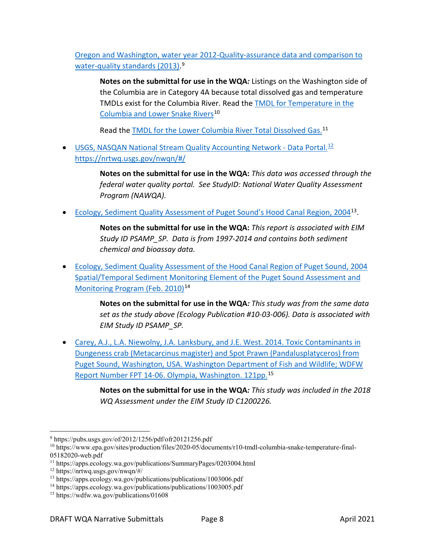[Oregon and Washington, water year 2012-Quality-assurance data and comparison to](https://pubs.usgs.gov/of/2012/1256/pdf/ofr20121256.pdf)  [water-quality standards \(2013\).](https://pubs.usgs.gov/of/2012/1256/pdf/ofr20121256.pdf)<sup>[9](#page-7-0)</sup>

**Notes on the submittal for use in the WQA***:* Listings on the Washington side of the Columbia are in Category 4A because total dissolved gas and temperature TMDLs exist for the Columbia River. Read the [TMDL for Temperature in the](https://www.epa.gov/sites/production/files/2020-05/documents/r10-tmdl-columbia-snake-temperature-final-05182020-web.pdf)  [Columbia and Lower Snake Rivers](https://www.epa.gov/sites/production/files/2020-05/documents/r10-tmdl-columbia-snake-temperature-final-05182020-web.pdf)<sup>[10](#page-7-1)</sup>

Read the [TMDL for the Lower Columbia River Total Dissolved Gas.](https://apps.ecology.wa.gov/publications/SummaryPages/0203004.html)<sup>[11](#page-7-2)</sup>

• [USGS, NASQAN National Stream Quality Accounting Network -](https://nrtwq.usgs.gov/nwqn/#/) Data Portal. $^{12}$  $^{12}$  $^{12}$ <https://nrtwq.usgs.gov/nwqn/#/>

> **Notes on the submittal for use in the WQA:** *This data was accessed through the federal water quality portal. See StudyID: National Water Quality Assessment Program (NAWQA).*

• [Ecology, Sediment Quality Assessment of Puget Sound's Hood Canal Region, 2004](https://apps.ecology.wa.gov/publications/publications/1003006.pdf)<sup>[13](#page-7-4)</sup>.

**Notes on the submittal for use in the WQA:** *This report is associated with EIM Study ID PSAMP\_SP. Data is from 1997-2014 and contains both sediment chemical and bioassay data.* 

• [Ecology, Sediment Quality Assessment of the Hood Canal Region of Puget Sound, 2004](https://apps.ecology.wa.gov/publications/publications/1003005.pdf)  [Spatial/Temporal Sediment Monitoring Element of the Puget Sound Assessment and](https://apps.ecology.wa.gov/publications/publications/1003005.pdf)  [Monitoring Program \(Feb. 2010\)](https://apps.ecology.wa.gov/publications/publications/1003005.pdf)<sup>[14](#page-7-5)</sup>

> **Notes on the submittal for use in the WQA***: This study was from the same data set as the study above (Ecology Publication #10-03-006). Data is associated with EIM Study ID PSAMP\_SP.*

• [Carey, A.J., L.A. Niewolny, J.A. Lanksbury, and J.E. West. 2014. Toxic Contaminants in](https://wdfw.wa.gov/publications/01608)  [Dungeness crab \(Metacarcinus magister\) and Spot Prawn \(Pandalusplatyceros\) from](https://wdfw.wa.gov/publications/01608)  [Puget Sound, Washington, USA. Washington Department of Fish and Wildlife; WDFW](https://wdfw.wa.gov/publications/01608)  [Report Number FPT 14-06. Olympia, Washington. 121pp.](https://wdfw.wa.gov/publications/01608)[15](#page-7-6)

> **Notes on the submittal for use in the WQA***: This study was included in the 2018 WQ Assessment under the EIM Study ID C1200226.*

<span id="page-7-0"></span><sup>9</sup> https://pubs.usgs.gov/of/2012/1256/pdf/ofr20121256.pdf

<span id="page-7-1"></span><sup>10</sup> https://www.epa.gov/sites/production/files/2020-05/documents/r10-tmdl-columbia-snake-temperature-final-05182020-web.pdf

<span id="page-7-2"></span><sup>11</sup> https://apps.ecology.wa.gov/publications/SummaryPages/0203004.html

<span id="page-7-3"></span><sup>12</sup> https://nrtwq.usgs.gov/nwqn/#/

<span id="page-7-4"></span><sup>&</sup>lt;sup>13</sup> https://apps.ecology.wa.gov/publications/publications/1003006.pdf

<span id="page-7-5"></span><sup>&</sup>lt;sup>14</sup> https://apps.ecology.wa.gov/publications/publications/1003005.pdf

<span id="page-7-6"></span><sup>15</sup> https://wdfw.wa.gov/publications/01608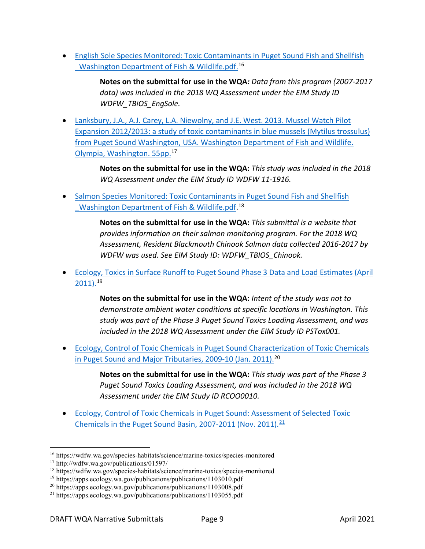• [English Sole Species Monitored: Toxic Contaminants in Puget Sound Fish and Shellfish](https://wdfw.wa.gov/species-habitats/science/marine-toxics/species-monitored)  Washington Department of Fish & Wildlife.pdf.<sup>[16](#page-8-0)</sup>

> **Notes on the submittal for use in the WQA***: Data from this program (2007-2017 data) was included in the 2018 WQ Assessment under the EIM Study ID WDFW\_TBiOS\_EngSole.*

• [Lanksbury, J.A., A.J. Carey, L.A. Niewolny, and J.E. West. 2013. Mussel Watch Pilot](http://wdfw.wa.gov/publications/01597/)  [Expansion 2012/2013: a study of toxic contaminants in blue mussels \(Mytilus trossulus\)](http://wdfw.wa.gov/publications/01597/)  [from Puget Sound Washington, USA. Washington Department of Fish and Wildlife.](http://wdfw.wa.gov/publications/01597/)  [Olympia, Washington. 55pp.](http://wdfw.wa.gov/publications/01597/)[17](#page-8-1)

> **Notes on the submittal for use in the WQA:** *This study was included in the 2018 WQ Assessment under the EIM Study ID WDFW 11-1916.*

• [Salmon Species Monitored: Toxic Contaminants in Puget Sound Fish and Shellfish](https://wdfw.wa.gov/species-habitats/science/marine-toxics/species-monitored)  Washington Department of Fish & Wildlife.pdf.<sup>[18](#page-8-2)</sup>

> **Notes on the submittal for use in the WQA:** *This submittal is a website that provides information on their salmon monitoring program. For the 2018 WQ Assessment, Resident Blackmouth Chinook Salmon data collected 2016-2017 by WDFW was used. See EIM Study ID: WDFW\_TBIOS\_Chinook.*

• [Ecology, Toxics in Surface Runoff to Puget Sound Phase 3 Data and Load Estimates \(April](https://apps.ecology.wa.gov/publications/publications/1103010.pdf)  [2011\).](https://apps.ecology.wa.gov/publications/publications/1103010.pdf)[19](#page-8-3)

> **Notes on the submittal for use in the WQA:** *Intent of the study was not to demonstrate ambient water conditions at specific locations in Washington. This study was part of the Phase 3 Puget Sound Toxics Loading Assessment, and was included in the 2018 WQ Assessment under the EIM Study ID PSTox001.*

• [Ecology, Control of Toxic Chemicals in Puget Sound Characterization of Toxic Chemicals](https://apps.ecology.wa.gov/publications/publications/1103008.pdf)  [in Puget Sound and Major Tributaries, 2009-10 \(Jan. 2011\).](https://apps.ecology.wa.gov/publications/publications/1103008.pdf)<sup>[20](#page-8-4)</sup>

> **Notes on the submittal for use in the WQA:** *This study was part of the Phase 3 Puget Sound Toxics Loading Assessment, and was included in the 2018 WQ Assessment under the EIM Study ID RCOO0010.*

• [Ecology, Control of Toxic Chemicals in Puget Sound: Assessment of Selected Toxic](https://apps.ecology.wa.gov/publications/publications/1103055.pdf)  Chemicals in the Puget Sound Basin, 2007-2011 (Nov. 2011). $21$ 

<span id="page-8-0"></span><sup>16</sup> https://wdfw.wa.gov/species-habitats/science/marine-toxics/species-monitored

<span id="page-8-1"></span><sup>17</sup> http://wdfw.wa.gov/publications/01597/

<span id="page-8-2"></span><sup>18</sup> https://wdfw.wa.gov/species-habitats/science/marine-toxics/species-monitored

<span id="page-8-3"></span><sup>&</sup>lt;sup>19</sup> https://apps.ecology.wa.gov/publications/publications/1103010.pdf

<span id="page-8-4"></span><sup>20</sup> https://apps.ecology.wa.gov/publications/publications/1103008.pdf

<span id="page-8-5"></span><sup>21</sup> https://apps.ecology.wa.gov/publications/publications/1103055.pdf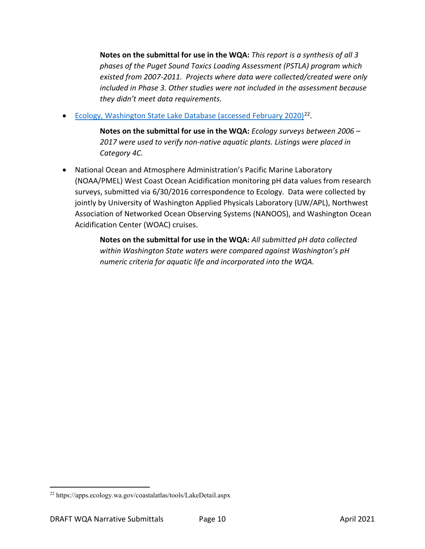**Notes on the submittal for use in the WQA:** *This report is a synthesis of all 3 phases of the Puget Sound Toxics Loading Assessment (PSTLA) program which existed from 2007-2011. Projects where data were collected/created were only included in Phase 3. Other studies were not included in the assessment because they didn't meet data requirements.* 

• [Ecology, Washington State Lake Database \(accessed February 2020\)](https://apps.ecology.wa.gov/coastalatlas/tools/LakeDetail.aspx) $^{22}$ .

**Notes on the submittal for use in the WQA:** *Ecology surveys between 2006 – 2017 were used to verify non-native aquatic plants. Listings were placed in Category 4C.*

• National Ocean and Atmosphere Administration's Pacific Marine Laboratory (NOAA/PMEL) West Coast Ocean Acidification monitoring pH data values from research surveys, submitted via 6/30/2016 correspondence to Ecology. Data were collected by jointly by University of Washington Applied Physicals Laboratory (UW/APL), Northwest Association of Networked Ocean Observing Systems (NANOOS), and Washington Ocean Acidification Center (WOAC) cruises.

> **Notes on the submittal for use in the WQA:** *All submitted pH data collected within Washington State waters were compared against Washington's pH numeric criteria for aquatic life and incorporated into the WQA.*

<span id="page-9-0"></span><sup>22</sup> https://apps.ecology.wa.gov/coastalatlas/tools/LakeDetail.aspx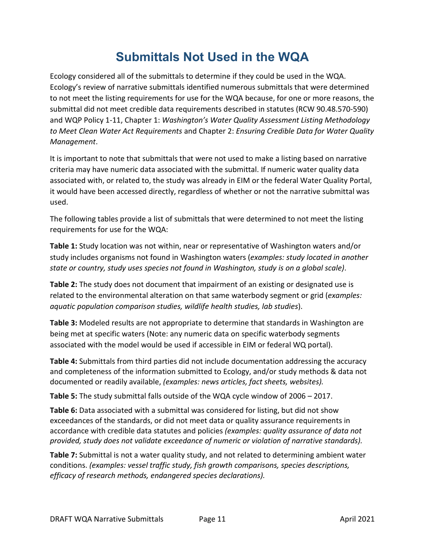## **Submittals Not Used in the WQA**

<span id="page-10-0"></span>Ecology considered all of the submittals to determine if they could be used in the WQA. Ecology's review of narrative submittals identified numerous submittals that were determined to not meet the listing requirements for use for the WQA because, for one or more reasons, the submittal did not meet credible data requirements described in statutes (RCW 90.48.570-590) and WQP Policy 1-11, Chapter 1: *Washington's Water Quality Assessment Listing Methodology to Meet Clean Water Act Requirements* and Chapter 2: *Ensuring Credible Data for Water Quality Management*.

It is important to note that submittals that were not used to make a listing based on narrative criteria may have numeric data associated with the submittal. If numeric water quality data associated with, or related to, the study was already in EIM or the federal Water Quality Portal, it would have been accessed directly, regardless of whether or not the narrative submittal was used.

The following tables provide a list of submittals that were determined to not meet the listing requirements for use for the WQA:

**Table 1:** Study location was not within, near or representative of Washington waters and/or study includes organisms not found in Washington waters (*examples: study located in another state or country, study uses species not found in Washington, study is on a global scale)*.

**Table 2:** The study does not document that impairment of an existing or designated use is related to the environmental alteration on that same waterbody segment or grid (*examples: aquatic population comparison studies, wildlife health studies, lab studies*).

**Table 3:** Modeled results are not appropriate to determine that standards in Washington are being met at specific waters (Note: any numeric data on specific waterbody segments associated with the model would be used if accessible in EIM or federal WQ portal).

**Table 4:** Submittals from third parties did not include documentation addressing the accuracy and completeness of the information submitted to Ecology, and/or study methods & data not documented or readily available, *(examples: news articles, fact sheets, websites).*

**Table 5:** The study submittal falls outside of the WQA cycle window of 2006 – 2017.

**Table 6:** Data associated with a submittal was considered for listing, but did not show exceedances of the standards, or did not meet data or quality assurance requirements in accordance with credible data statutes and policies *(examples: quality assurance of data not provided, study does not validate exceedance of numeric or violation of narrative standards).*

**Table 7:** Submittal is not a water quality study, and not related to determining ambient water conditions. *(examples: vessel traffic study, fish growth comparisons, species descriptions, efficacy of research methods, endangered species declarations).*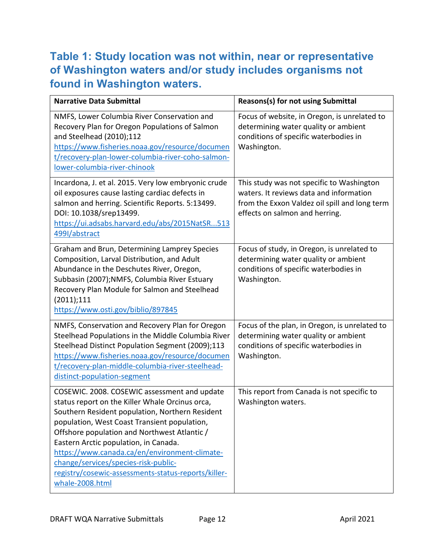## <span id="page-11-0"></span>**Table 1: Study location was not within, near or representative of Washington waters and/or study includes organisms not found in Washington waters.**

| <b>Narrative Data Submittal</b>                                                                                                                                                                                                                                                                                                                                                                                                                                | <b>Reasons(s) for not using Submittal</b>                                                                                                                               |
|----------------------------------------------------------------------------------------------------------------------------------------------------------------------------------------------------------------------------------------------------------------------------------------------------------------------------------------------------------------------------------------------------------------------------------------------------------------|-------------------------------------------------------------------------------------------------------------------------------------------------------------------------|
| NMFS, Lower Columbia River Conservation and<br>Recovery Plan for Oregon Populations of Salmon<br>and Steelhead (2010);112<br>https://www.fisheries.noaa.gov/resource/documen<br>t/recovery-plan-lower-columbia-river-coho-salmon-<br>lower-columbia-river-chinook                                                                                                                                                                                              | Focus of website, in Oregon, is unrelated to<br>determining water quality or ambient<br>conditions of specific waterbodies in<br>Washington.                            |
| Incardona, J. et al. 2015. Very low embryonic crude<br>oil exposures cause lasting cardiac defects in<br>salmon and herring. Scientific Reports. 5:13499.<br>DOI: 10.1038/srep13499.<br>https://ui.adsabs.harvard.edu/abs/2015NatSR513<br>499I/abstract                                                                                                                                                                                                        | This study was not specific to Washington<br>waters. It reviews data and information<br>from the Exxon Valdez oil spill and long term<br>effects on salmon and herring. |
| Graham and Brun, Determining Lamprey Species<br>Composition, Larval Distribution, and Adult<br>Abundance in the Deschutes River, Oregon,<br>Subbasin (2007);NMFS, Columbia River Estuary<br>Recovery Plan Module for Salmon and Steelhead<br>(2011);111<br>https://www.osti.gov/biblio/897845                                                                                                                                                                  | Focus of study, in Oregon, is unrelated to<br>determining water quality or ambient<br>conditions of specific waterbodies in<br>Washington.                              |
| NMFS, Conservation and Recovery Plan for Oregon<br>Steelhead Populations in the Middle Columbia River<br>Steelhead Distinct Population Segment (2009);113<br>https://www.fisheries.noaa.gov/resource/documen<br>t/recovery-plan-middle-columbia-river-steelhead-<br>distinct-population-segment                                                                                                                                                                | Focus of the plan, in Oregon, is unrelated to<br>determining water quality or ambient<br>conditions of specific waterbodies in<br>Washington.                           |
| COSEWIC. 2008. COSEWIC assessment and update<br>status report on the Killer Whale Orcinus orca,<br>Southern Resident population, Northern Resident<br>population, West Coast Transient population,<br>Offshore population and Northwest Atlantic /<br>Eastern Arctic population, in Canada.<br>https://www.canada.ca/en/environment-climate-<br>change/services/species-risk-public-<br>registry/cosewic-assessments-status-reports/killer-<br>whale-2008.html | This report from Canada is not specific to<br>Washington waters.                                                                                                        |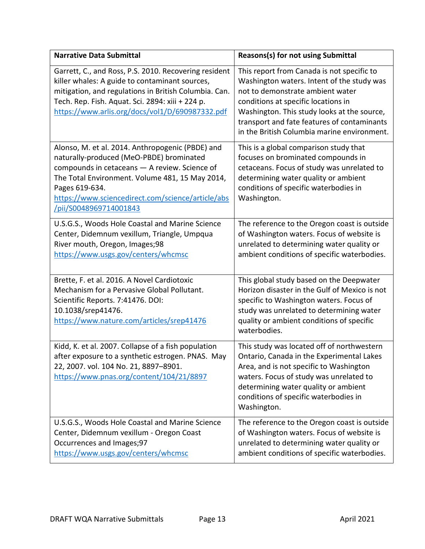| <b>Narrative Data Submittal</b>                                                                                                                                                                                                                                                                   | Reasons(s) for not using Submittal                                                                                                                                                                                                                                                                               |
|---------------------------------------------------------------------------------------------------------------------------------------------------------------------------------------------------------------------------------------------------------------------------------------------------|------------------------------------------------------------------------------------------------------------------------------------------------------------------------------------------------------------------------------------------------------------------------------------------------------------------|
| Garrett, C., and Ross, P.S. 2010. Recovering resident<br>killer whales: A guide to contaminant sources,<br>mitigation, and regulations in British Columbia. Can.<br>Tech. Rep. Fish. Aquat. Sci. 2894: xiii + 224 p.<br>https://www.arlis.org/docs/vol1/D/690987332.pdf                           | This report from Canada is not specific to<br>Washington waters. Intent of the study was<br>not to demonstrate ambient water<br>conditions at specific locations in<br>Washington. This study looks at the source,<br>transport and fate features of contaminants<br>in the British Columbia marine environment. |
| Alonso, M. et al. 2014. Anthropogenic (PBDE) and<br>naturally-produced (MeO-PBDE) brominated<br>compounds in cetaceans - A review. Science of<br>The Total Environment. Volume 481, 15 May 2014,<br>Pages 619-634.<br>https://www.sciencedirect.com/science/article/abs<br>/pii/S0048969714001843 | This is a global comparison study that<br>focuses on brominated compounds in<br>cetaceans. Focus of study was unrelated to<br>determining water quality or ambient<br>conditions of specific waterbodies in<br>Washington.                                                                                       |
| U.S.G.S., Woods Hole Coastal and Marine Science<br>Center, Didemnum vexillum, Triangle, Umpqua<br>River mouth, Oregon, Images;98<br>https://www.usgs.gov/centers/whcmsc                                                                                                                           | The reference to the Oregon coast is outside<br>of Washington waters. Focus of website is<br>unrelated to determining water quality or<br>ambient conditions of specific waterbodies.                                                                                                                            |
| Brette, F. et al. 2016. A Novel Cardiotoxic<br>Mechanism for a Pervasive Global Pollutant.<br>Scientific Reports. 7:41476. DOI:<br>10.1038/srep41476.<br>https://www.nature.com/articles/srep41476                                                                                                | This global study based on the Deepwater<br>Horizon disaster in the Gulf of Mexico is not<br>specific to Washington waters. Focus of<br>study was unrelated to determining water<br>quality or ambient conditions of specific<br>waterbodies.                                                                    |
| Kidd, K. et al. 2007. Collapse of a fish population<br>after exposure to a synthetic estrogen. PNAS. May<br>22, 2007. vol. 104 No. 21, 8897-8901.<br>https://www.pnas.org/content/104/21/8897                                                                                                     | This study was located off of northwestern<br>Ontario, Canada in the Experimental Lakes<br>Area, and is not specific to Washington<br>waters. Focus of study was unrelated to<br>determining water quality or ambient<br>conditions of specific waterbodies in<br>Washington.                                    |
| U.S.G.S., Woods Hole Coastal and Marine Science<br>Center, Didemnum vexillum - Oregon Coast<br>Occurrences and Images;97<br>https://www.usgs.gov/centers/whcmsc                                                                                                                                   | The reference to the Oregon coast is outside<br>of Washington waters. Focus of website is<br>unrelated to determining water quality or<br>ambient conditions of specific waterbodies.                                                                                                                            |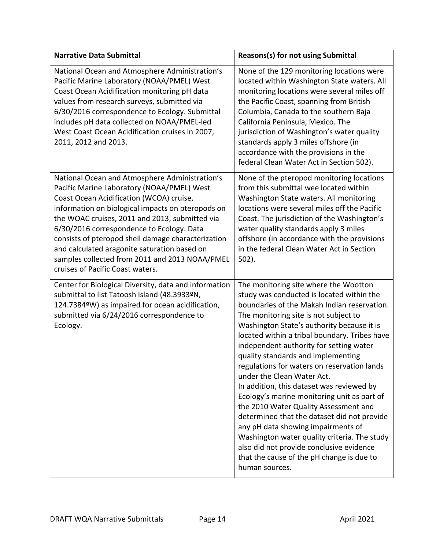| <b>Narrative Data Submittal</b>                                                                                                                                                                                                                                                                                                                                                                                                                                                          | <b>Reasons(s) for not using Submittal</b>                                                                                                                                                                                                                                                                                                                                                                                                                                                                                                                                                                                                                                                                                                                                                                                    |
|------------------------------------------------------------------------------------------------------------------------------------------------------------------------------------------------------------------------------------------------------------------------------------------------------------------------------------------------------------------------------------------------------------------------------------------------------------------------------------------|------------------------------------------------------------------------------------------------------------------------------------------------------------------------------------------------------------------------------------------------------------------------------------------------------------------------------------------------------------------------------------------------------------------------------------------------------------------------------------------------------------------------------------------------------------------------------------------------------------------------------------------------------------------------------------------------------------------------------------------------------------------------------------------------------------------------------|
| National Ocean and Atmosphere Administration's<br>Pacific Marine Laboratory (NOAA/PMEL) West<br>Coast Ocean Acidification monitoring pH data<br>values from research surveys, submitted via<br>6/30/2016 correspondence to Ecology. Submittal<br>includes pH data collected on NOAA/PMEL-led<br>West Coast Ocean Acidification cruises in 2007,<br>2011, 2012 and 2013.                                                                                                                  | None of the 129 monitoring locations were<br>located within Washington State waters. All<br>monitoring locations were several miles off<br>the Pacific Coast, spanning from British<br>Columbia, Canada to the southern Baja<br>California Peninsula, Mexico. The<br>jurisdiction of Washington's water quality<br>standards apply 3 miles offshore (in<br>accordance with the provisions in the<br>federal Clean Water Act in Section 502).                                                                                                                                                                                                                                                                                                                                                                                 |
| National Ocean and Atmosphere Administration's<br>Pacific Marine Laboratory (NOAA/PMEL) West<br>Coast Ocean Acidification (WCOA) cruise,<br>information on biological impacts on pteropods on<br>the WOAC cruises, 2011 and 2013, submitted via<br>6/30/2016 correspondence to Ecology. Data<br>consists of pteropod shell damage characterization<br>and calculated aragonite saturation based on<br>samples collected from 2011 and 2013 NOAA/PMEL<br>cruises of Pacific Coast waters. | None of the pteropod monitoring locations<br>from this submittal wee located within<br>Washington State waters. All monitoring<br>locations were several miles off the Pacific<br>Coast. The jurisdiction of the Washington's<br>water quality standards apply 3 miles<br>offshore (in accordance with the provisions<br>in the federal Clean Water Act in Section<br>$502$ ).                                                                                                                                                                                                                                                                                                                                                                                                                                               |
| Center for Biological Diversity, data and information<br>submittal to list Tatoosh Island (48.3933ºN,<br>124.7384ºW) as impaired for ocean acidification,<br>submitted via 6/24/2016 correspondence to<br>Ecology.                                                                                                                                                                                                                                                                       | The monitoring site where the Wootton<br>study was conducted is located within the<br>boundaries of the Makah Indian reservation.<br>The monitoring site is not subject to<br>Washington State's authority because it is<br>located within a tribal boundary. Tribes have<br>independent authority for setting water<br>quality standards and implementing<br>regulations for waters on reservation lands<br>under the Clean Water Act.<br>In addition, this dataset was reviewed by<br>Ecology's marine monitoring unit as part of<br>the 2010 Water Quality Assessment and<br>determined that the dataset did not provide<br>any pH data showing impairments of<br>Washington water quality criteria. The study<br>also did not provide conclusive evidence<br>that the cause of the pH change is due to<br>human sources. |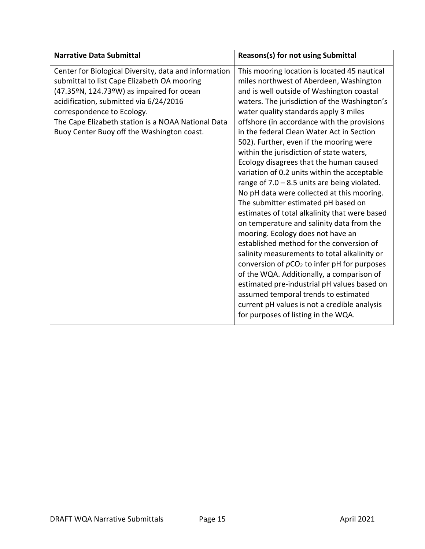| <b>Narrative Data Submittal</b>                                                                                                                                                                                                                                                                                               | Reasons(s) for not using Submittal                                                                                                                                                                                                                                                                                                                                                                                                                                                                                                                                                                                                                                                                                                                                                                                                                                                                                                                                                                                                                                                                                                                            |
|-------------------------------------------------------------------------------------------------------------------------------------------------------------------------------------------------------------------------------------------------------------------------------------------------------------------------------|---------------------------------------------------------------------------------------------------------------------------------------------------------------------------------------------------------------------------------------------------------------------------------------------------------------------------------------------------------------------------------------------------------------------------------------------------------------------------------------------------------------------------------------------------------------------------------------------------------------------------------------------------------------------------------------------------------------------------------------------------------------------------------------------------------------------------------------------------------------------------------------------------------------------------------------------------------------------------------------------------------------------------------------------------------------------------------------------------------------------------------------------------------------|
| Center for Biological Diversity, data and information<br>submittal to list Cape Elizabeth OA mooring<br>(47.35ºN, 124.73ºW) as impaired for ocean<br>acidification, submitted via 6/24/2016<br>correspondence to Ecology.<br>The Cape Elizabeth station is a NOAA National Data<br>Buoy Center Buoy off the Washington coast. | This mooring location is located 45 nautical<br>miles northwest of Aberdeen, Washington<br>and is well outside of Washington coastal<br>waters. The jurisdiction of the Washington's<br>water quality standards apply 3 miles<br>offshore (in accordance with the provisions<br>in the federal Clean Water Act in Section<br>502). Further, even if the mooring were<br>within the jurisdiction of state waters,<br>Ecology disagrees that the human caused<br>variation of 0.2 units within the acceptable<br>range of $7.0 - 8.5$ units are being violated.<br>No pH data were collected at this mooring.<br>The submitter estimated pH based on<br>estimates of total alkalinity that were based<br>on temperature and salinity data from the<br>mooring. Ecology does not have an<br>established method for the conversion of<br>salinity measurements to total alkalinity or<br>conversion of $pCO2$ to infer pH for purposes<br>of the WQA. Additionally, a comparison of<br>estimated pre-industrial pH values based on<br>assumed temporal trends to estimated<br>current pH values is not a credible analysis<br>for purposes of listing in the WQA. |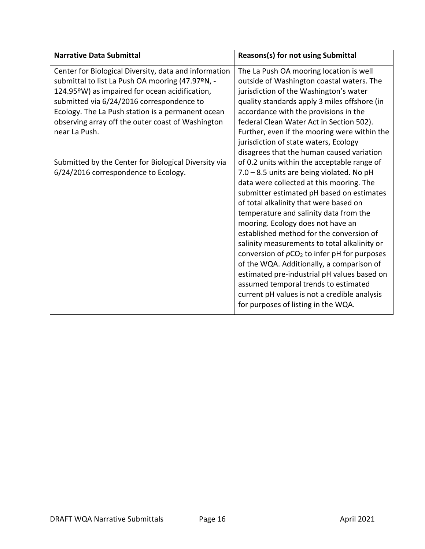| <b>Narrative Data Submittal</b>                                                                                                                                                                                                                                                                                                     | <b>Reasons(s) for not using Submittal</b>                                                                                                                                                                                                                                                                                                                                                                                                                                                                                                                                                                                                                                                                                                                                  |
|-------------------------------------------------------------------------------------------------------------------------------------------------------------------------------------------------------------------------------------------------------------------------------------------------------------------------------------|----------------------------------------------------------------------------------------------------------------------------------------------------------------------------------------------------------------------------------------------------------------------------------------------------------------------------------------------------------------------------------------------------------------------------------------------------------------------------------------------------------------------------------------------------------------------------------------------------------------------------------------------------------------------------------------------------------------------------------------------------------------------------|
| Center for Biological Diversity, data and information<br>submittal to list La Push OA mooring (47.97ºN, -<br>124.95°W) as impaired for ocean acidification,<br>submitted via 6/24/2016 correspondence to<br>Ecology. The La Push station is a permanent ocean<br>observing array off the outer coast of Washington<br>near La Push. | The La Push OA mooring location is well<br>outside of Washington coastal waters. The<br>jurisdiction of the Washington's water<br>quality standards apply 3 miles offshore (in<br>accordance with the provisions in the<br>federal Clean Water Act in Section 502).<br>Further, even if the mooring were within the                                                                                                                                                                                                                                                                                                                                                                                                                                                        |
| Submitted by the Center for Biological Diversity via<br>6/24/2016 correspondence to Ecology.                                                                                                                                                                                                                                        | jurisdiction of state waters, Ecology<br>disagrees that the human caused variation<br>of 0.2 units within the acceptable range of<br>$7.0 - 8.5$ units are being violated. No pH<br>data were collected at this mooring. The<br>submitter estimated pH based on estimates<br>of total alkalinity that were based on<br>temperature and salinity data from the<br>mooring. Ecology does not have an<br>established method for the conversion of<br>salinity measurements to total alkalinity or<br>conversion of $pCO2$ to infer pH for purposes<br>of the WQA. Additionally, a comparison of<br>estimated pre-industrial pH values based on<br>assumed temporal trends to estimated<br>current pH values is not a credible analysis<br>for purposes of listing in the WQA. |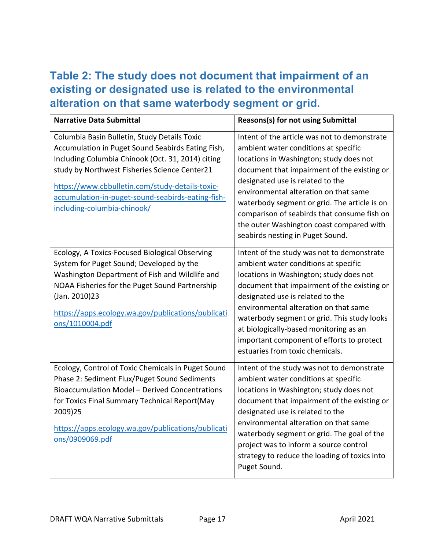#### <span id="page-16-0"></span>**Table 2: The study does not document that impairment of an existing or designated use is related to the environmental alteration on that same waterbody segment or grid.**

| <b>Narrative Data Submittal</b>                                                                                                                                                                                                                                                                                                                | Reasons(s) for not using Submittal                                                                                                                                                                                                                                                                                                                                                                                                         |
|------------------------------------------------------------------------------------------------------------------------------------------------------------------------------------------------------------------------------------------------------------------------------------------------------------------------------------------------|--------------------------------------------------------------------------------------------------------------------------------------------------------------------------------------------------------------------------------------------------------------------------------------------------------------------------------------------------------------------------------------------------------------------------------------------|
| Columbia Basin Bulletin, Study Details Toxic<br>Accumulation in Puget Sound Seabirds Eating Fish,<br>Including Columbia Chinook (Oct. 31, 2014) citing<br>study by Northwest Fisheries Science Center21<br>https://www.cbbulletin.com/study-details-toxic-<br>accumulation-in-puget-sound-seabirds-eating-fish-<br>including-columbia-chinook/ | Intent of the article was not to demonstrate<br>ambient water conditions at specific<br>locations in Washington; study does not<br>document that impairment of the existing or<br>designated use is related to the<br>environmental alteration on that same<br>waterbody segment or grid. The article is on<br>comparison of seabirds that consume fish on<br>the outer Washington coast compared with<br>seabirds nesting in Puget Sound. |
| Ecology, A Toxics-Focused Biological Observing<br>System for Puget Sound; Developed by the<br>Washington Department of Fish and Wildlife and<br>NOAA Fisheries for the Puget Sound Partnership<br>(Jan. 2010)23<br>https://apps.ecology.wa.gov/publications/publicati<br><u>ons/1010004.pdf</u>                                                | Intent of the study was not to demonstrate<br>ambient water conditions at specific<br>locations in Washington; study does not<br>document that impairment of the existing or<br>designated use is related to the<br>environmental alteration on that same<br>waterbody segment or grid. This study looks<br>at biologically-based monitoring as an<br>important component of efforts to protect<br>estuaries from toxic chemicals.         |
| Ecology, Control of Toxic Chemicals in Puget Sound<br>Phase 2: Sediment Flux/Puget Sound Sediments<br>Bioaccumulation Model - Derived Concentrations<br>for Toxics Final Summary Technical Report(May<br>2009)25<br>https://apps.ecology.wa.gov/publications/publicati<br>ons/0909069.pdf                                                      | Intent of the study was not to demonstrate<br>ambient water conditions at specific<br>locations in Washington; study does not<br>document that impairment of the existing or<br>designated use is related to the<br>environmental alteration on that same<br>waterbody segment or grid. The goal of the<br>project was to inform a source control<br>strategy to reduce the loading of toxics into<br>Puget Sound.                         |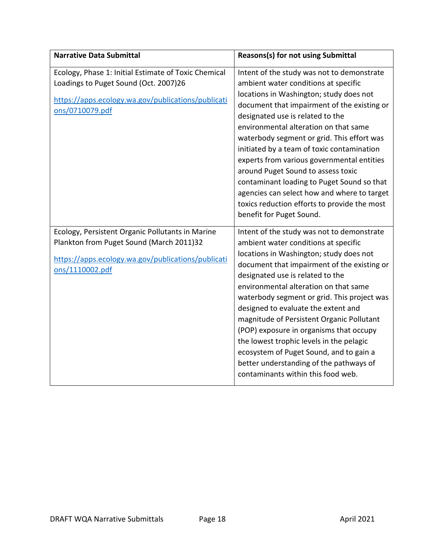| <b>Narrative Data Submittal</b>                                                                                                                                        | Reasons(s) for not using Submittal                                                                                                                                                                                                                                                                                                                                                                                                                                                                                                                                                                                 |
|------------------------------------------------------------------------------------------------------------------------------------------------------------------------|--------------------------------------------------------------------------------------------------------------------------------------------------------------------------------------------------------------------------------------------------------------------------------------------------------------------------------------------------------------------------------------------------------------------------------------------------------------------------------------------------------------------------------------------------------------------------------------------------------------------|
| Ecology, Phase 1: Initial Estimate of Toxic Chemical<br>Loadings to Puget Sound (Oct. 2007)26<br>https://apps.ecology.wa.gov/publications/publicati<br>ons/0710079.pdf | Intent of the study was not to demonstrate<br>ambient water conditions at specific<br>locations in Washington; study does not<br>document that impairment of the existing or<br>designated use is related to the<br>environmental alteration on that same<br>waterbody segment or grid. This effort was<br>initiated by a team of toxic contamination<br>experts from various governmental entities<br>around Puget Sound to assess toxic<br>contaminant loading to Puget Sound so that<br>agencies can select how and where to target<br>toxics reduction efforts to provide the most<br>benefit for Puget Sound. |
| Ecology, Persistent Organic Pollutants in Marine<br>Plankton from Puget Sound (March 2011)32<br>https://apps.ecology.wa.gov/publications/publicati<br>ons/1110002.pdf  | Intent of the study was not to demonstrate<br>ambient water conditions at specific<br>locations in Washington; study does not<br>document that impairment of the existing or<br>designated use is related to the<br>environmental alteration on that same<br>waterbody segment or grid. This project was<br>designed to evaluate the extent and<br>magnitude of Persistent Organic Pollutant<br>(POP) exposure in organisms that occupy<br>the lowest trophic levels in the pelagic<br>ecosystem of Puget Sound, and to gain a<br>better understanding of the pathways of<br>contaminants within this food web.    |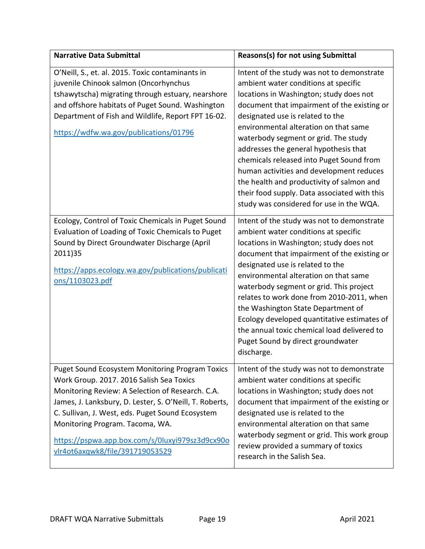| <b>Narrative Data Submittal</b>                                                                                                                                                                                                                                                                                                                                                                | <b>Reasons(s) for not using Submittal</b>                                                                                                                                                                                                                                                                                                                                                                                                                                                                                                                                   |
|------------------------------------------------------------------------------------------------------------------------------------------------------------------------------------------------------------------------------------------------------------------------------------------------------------------------------------------------------------------------------------------------|-----------------------------------------------------------------------------------------------------------------------------------------------------------------------------------------------------------------------------------------------------------------------------------------------------------------------------------------------------------------------------------------------------------------------------------------------------------------------------------------------------------------------------------------------------------------------------|
| O'Neill, S., et. al. 2015. Toxic contaminants in<br>juvenile Chinook salmon (Oncorhynchus<br>tshawytscha) migrating through estuary, nearshore<br>and offshore habitats of Puget Sound. Washington<br>Department of Fish and Wildlife, Report FPT 16-02.<br>https://wdfw.wa.gov/publications/01796                                                                                             | Intent of the study was not to demonstrate<br>ambient water conditions at specific<br>locations in Washington; study does not<br>document that impairment of the existing or<br>designated use is related to the<br>environmental alteration on that same<br>waterbody segment or grid. The study<br>addresses the general hypothesis that<br>chemicals released into Puget Sound from<br>human activities and development reduces<br>the health and productivity of salmon and<br>their food supply. Data associated with this<br>study was considered for use in the WQA. |
| Ecology, Control of Toxic Chemicals in Puget Sound<br>Evaluation of Loading of Toxic Chemicals to Puget<br>Sound by Direct Groundwater Discharge (April<br>2011)35<br>https://apps.ecology.wa.gov/publications/publicati<br>ons/1103023.pdf                                                                                                                                                    | Intent of the study was not to demonstrate<br>ambient water conditions at specific<br>locations in Washington; study does not<br>document that impairment of the existing or<br>designated use is related to the<br>environmental alteration on that same<br>waterbody segment or grid. This project<br>relates to work done from 2010-2011, when<br>the Washington State Department of<br>Ecology developed quantitative estimates of<br>the annual toxic chemical load delivered to<br>Puget Sound by direct groundwater<br>discharge.                                    |
| <b>Puget Sound Ecosystem Monitoring Program Toxics</b><br>Work Group. 2017. 2016 Salish Sea Toxics<br>Monitoring Review: A Selection of Research. C.A.<br>James, J. Lanksbury, D. Lester, S. O'Neill, T. Roberts,<br>C. Sullivan, J. West, eds. Puget Sound Ecosystem<br>Monitoring Program. Tacoma, WA.<br>https://pspwa.app.box.com/s/0luxyi979sz3d9cx90o<br>vlr4ot6axqwk8/file/391719053529 | Intent of the study was not to demonstrate<br>ambient water conditions at specific<br>locations in Washington; study does not<br>document that impairment of the existing or<br>designated use is related to the<br>environmental alteration on that same<br>waterbody segment or grid. This work group<br>review provided a summary of toxics<br>research in the Salish Sea.                                                                                                                                                                                               |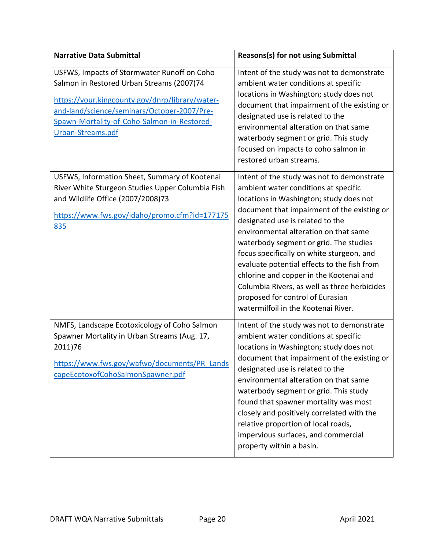| <b>Narrative Data Submittal</b>                                                                                                                                                                                                                                | Reasons(s) for not using Submittal                                                                                                                                                                                                                                                                                                                                                                                                                                                                                                                                    |
|----------------------------------------------------------------------------------------------------------------------------------------------------------------------------------------------------------------------------------------------------------------|-----------------------------------------------------------------------------------------------------------------------------------------------------------------------------------------------------------------------------------------------------------------------------------------------------------------------------------------------------------------------------------------------------------------------------------------------------------------------------------------------------------------------------------------------------------------------|
| USFWS, Impacts of Stormwater Runoff on Coho<br>Salmon in Restored Urban Streams (2007)74<br>https://your.kingcounty.gov/dnrp/library/water-<br>and-land/science/seminars/October-2007/Pre-<br>Spawn-Mortality-of-Coho-Salmon-in-Restored-<br>Urban-Streams.pdf | Intent of the study was not to demonstrate<br>ambient water conditions at specific<br>locations in Washington; study does not<br>document that impairment of the existing or<br>designated use is related to the<br>environmental alteration on that same<br>waterbody segment or grid. This study<br>focused on impacts to coho salmon in<br>restored urban streams.                                                                                                                                                                                                 |
| USFWS, Information Sheet, Summary of Kootenai<br>River White Sturgeon Studies Upper Columbia Fish<br>and Wildlife Office (2007/2008)73<br>https://www.fws.gov/idaho/promo.cfm?id=177175<br>835                                                                 | Intent of the study was not to demonstrate<br>ambient water conditions at specific<br>locations in Washington; study does not<br>document that impairment of the existing or<br>designated use is related to the<br>environmental alteration on that same<br>waterbody segment or grid. The studies<br>focus specifically on white sturgeon, and<br>evaluate potential effects to the fish from<br>chlorine and copper in the Kootenai and<br>Columbia Rivers, as well as three herbicides<br>proposed for control of Eurasian<br>watermilfoil in the Kootenai River. |
| NMFS, Landscape Ecotoxicology of Coho Salmon<br>Spawner Mortality in Urban Streams (Aug. 17,<br>2011)76<br>https://www.fws.gov/wafwo/documents/PR_Lands<br>capeEcotoxofCohoSalmonSpawner.pdf                                                                   | Intent of the study was not to demonstrate<br>ambient water conditions at specific<br>locations in Washington; study does not<br>document that impairment of the existing or<br>designated use is related to the<br>environmental alteration on that same<br>waterbody segment or grid. This study<br>found that spawner mortality was most<br>closely and positively correlated with the<br>relative proportion of local roads,<br>impervious surfaces, and commercial<br>property within a basin.                                                                   |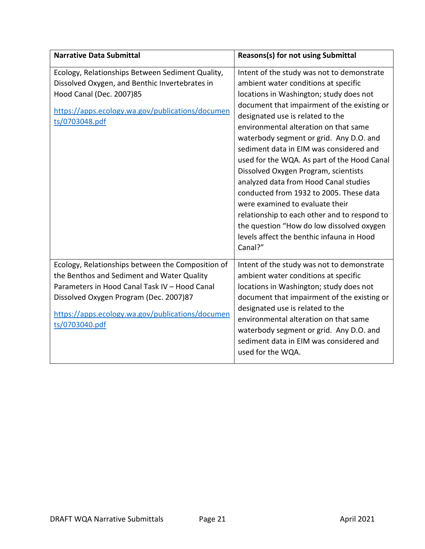| <b>Narrative Data Submittal</b>                                                                                                                                                                                                                                  | <b>Reasons(s) for not using Submittal</b>                                                                                                                                                                                                                                                                                                                                                                                                                                                                                                                                                                                                                                                                          |
|------------------------------------------------------------------------------------------------------------------------------------------------------------------------------------------------------------------------------------------------------------------|--------------------------------------------------------------------------------------------------------------------------------------------------------------------------------------------------------------------------------------------------------------------------------------------------------------------------------------------------------------------------------------------------------------------------------------------------------------------------------------------------------------------------------------------------------------------------------------------------------------------------------------------------------------------------------------------------------------------|
| Ecology, Relationships Between Sediment Quality,<br>Dissolved Oxygen, and Benthic Invertebrates in<br>Hood Canal (Dec. 2007)85<br>https://apps.ecology.wa.gov/publications/documen<br>ts/0703048.pdf                                                             | Intent of the study was not to demonstrate<br>ambient water conditions at specific<br>locations in Washington; study does not<br>document that impairment of the existing or<br>designated use is related to the<br>environmental alteration on that same<br>waterbody segment or grid. Any D.O. and<br>sediment data in EIM was considered and<br>used for the WQA. As part of the Hood Canal<br>Dissolved Oxygen Program, scientists<br>analyzed data from Hood Canal studies<br>conducted from 1932 to 2005. These data<br>were examined to evaluate their<br>relationship to each other and to respond to<br>the question "How do low dissolved oxygen<br>levels affect the benthic infauna in Hood<br>Canal?" |
| Ecology, Relationships between the Composition of<br>the Benthos and Sediment and Water Quality<br>Parameters in Hood Canal Task IV - Hood Canal<br>Dissolved Oxygen Program (Dec. 2007)87<br>https://apps.ecology.wa.gov/publications/documen<br>ts/0703040.pdf | Intent of the study was not to demonstrate<br>ambient water conditions at specific<br>locations in Washington; study does not<br>document that impairment of the existing or<br>designated use is related to the<br>environmental alteration on that same<br>waterbody segment or grid. Any D.O. and<br>sediment data in EIM was considered and<br>used for the WQA.                                                                                                                                                                                                                                                                                                                                               |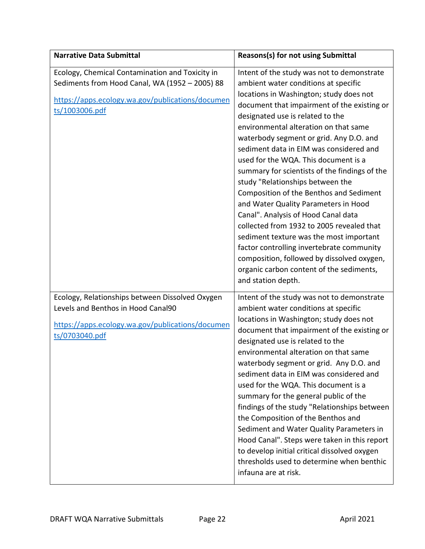| <b>Narrative Data Submittal</b>                                                                                                                                         | Reasons(s) for not using Submittal                                                                                                                                                                                                                                                                                                                                                                                                                                                                                                                                                                                                                                                                                                                                                                                                                          |
|-------------------------------------------------------------------------------------------------------------------------------------------------------------------------|-------------------------------------------------------------------------------------------------------------------------------------------------------------------------------------------------------------------------------------------------------------------------------------------------------------------------------------------------------------------------------------------------------------------------------------------------------------------------------------------------------------------------------------------------------------------------------------------------------------------------------------------------------------------------------------------------------------------------------------------------------------------------------------------------------------------------------------------------------------|
| Ecology, Chemical Contamination and Toxicity in<br>Sediments from Hood Canal, WA (1952 - 2005) 88<br>https://apps.ecology.wa.gov/publications/documen<br>ts/1003006.pdf | Intent of the study was not to demonstrate<br>ambient water conditions at specific<br>locations in Washington; study does not<br>document that impairment of the existing or<br>designated use is related to the<br>environmental alteration on that same<br>waterbody segment or grid. Any D.O. and<br>sediment data in EIM was considered and<br>used for the WQA. This document is a<br>summary for scientists of the findings of the<br>study "Relationships between the<br>Composition of the Benthos and Sediment<br>and Water Quality Parameters in Hood<br>Canal". Analysis of Hood Canal data<br>collected from 1932 to 2005 revealed that<br>sediment texture was the most important<br>factor controlling invertebrate community<br>composition, followed by dissolved oxygen,<br>organic carbon content of the sediments,<br>and station depth. |
| Ecology, Relationships between Dissolved Oxygen<br>Levels and Benthos in Hood Canal90<br>https://apps.ecology.wa.gov/publications/documen<br>ts/0703040.pdf             | Intent of the study was not to demonstrate<br>ambient water conditions at specific<br>locations in Washington; study does not<br>document that impairment of the existing or<br>designated use is related to the<br>environmental alteration on that same<br>waterbody segment or grid. Any D.O. and<br>sediment data in EIM was considered and<br>used for the WQA. This document is a<br>summary for the general public of the<br>findings of the study "Relationships between<br>the Composition of the Benthos and<br>Sediment and Water Quality Parameters in<br>Hood Canal". Steps were taken in this report<br>to develop initial critical dissolved oxygen<br>thresholds used to determine when benthic<br>infauna are at risk.                                                                                                                     |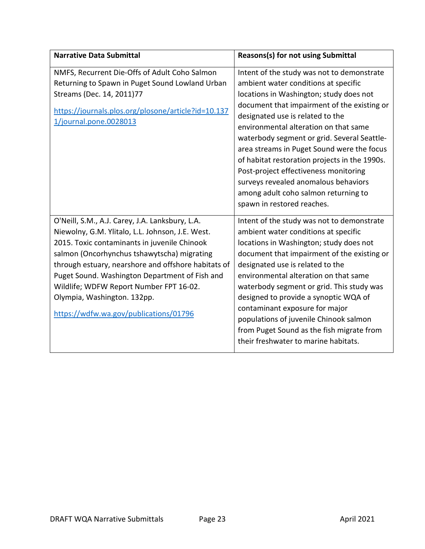| <b>Narrative Data Submittal</b>                                                                                                                                                                                                                                                                                                                                                                                                 | Reasons(s) for not using Submittal                                                                                                                                                                                                                                                                                                                                                                                                                                                                                                                             |
|---------------------------------------------------------------------------------------------------------------------------------------------------------------------------------------------------------------------------------------------------------------------------------------------------------------------------------------------------------------------------------------------------------------------------------|----------------------------------------------------------------------------------------------------------------------------------------------------------------------------------------------------------------------------------------------------------------------------------------------------------------------------------------------------------------------------------------------------------------------------------------------------------------------------------------------------------------------------------------------------------------|
| NMFS, Recurrent Die-Offs of Adult Coho Salmon<br>Returning to Spawn in Puget Sound Lowland Urban<br>Streams (Dec. 14, 2011)77<br>https://journals.plos.org/plosone/article?id=10.137<br>1/journal.pone.0028013                                                                                                                                                                                                                  | Intent of the study was not to demonstrate<br>ambient water conditions at specific<br>locations in Washington; study does not<br>document that impairment of the existing or<br>designated use is related to the<br>environmental alteration on that same<br>waterbody segment or grid. Several Seattle-<br>area streams in Puget Sound were the focus<br>of habitat restoration projects in the 1990s.<br>Post-project effectiveness monitoring<br>surveys revealed anomalous behaviors<br>among adult coho salmon returning to<br>spawn in restored reaches. |
| O'Neill, S.M., A.J. Carey, J.A. Lanksbury, L.A.<br>Niewolny, G.M. Ylitalo, L.L. Johnson, J.E. West.<br>2015. Toxic contaminants in juvenile Chinook<br>salmon (Oncorhynchus tshawytscha) migrating<br>through estuary, nearshore and offshore habitats of<br>Puget Sound. Washington Department of Fish and<br>Wildlife; WDFW Report Number FPT 16-02.<br>Olympia, Washington. 132pp.<br>https://wdfw.wa.gov/publications/01796 | Intent of the study was not to demonstrate<br>ambient water conditions at specific<br>locations in Washington; study does not<br>document that impairment of the existing or<br>designated use is related to the<br>environmental alteration on that same<br>waterbody segment or grid. This study was<br>designed to provide a synoptic WQA of<br>contaminant exposure for major<br>populations of juvenile Chinook salmon<br>from Puget Sound as the fish migrate from<br>their freshwater to marine habitats.                                               |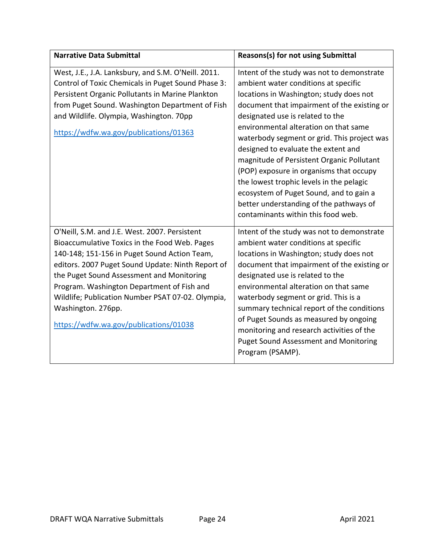| <b>Narrative Data Submittal</b>                                                                                                                                                                                                                                                                                                                                                                                     | <b>Reasons(s) for not using Submittal</b>                                                                                                                                                                                                                                                                                                                                                                                                                                                                                                                                                                       |
|---------------------------------------------------------------------------------------------------------------------------------------------------------------------------------------------------------------------------------------------------------------------------------------------------------------------------------------------------------------------------------------------------------------------|-----------------------------------------------------------------------------------------------------------------------------------------------------------------------------------------------------------------------------------------------------------------------------------------------------------------------------------------------------------------------------------------------------------------------------------------------------------------------------------------------------------------------------------------------------------------------------------------------------------------|
| West, J.E., J.A. Lanksbury, and S.M. O'Neill. 2011.<br>Control of Toxic Chemicals in Puget Sound Phase 3:<br>Persistent Organic Pollutants in Marine Plankton<br>from Puget Sound. Washington Department of Fish<br>and Wildlife. Olympia, Washington. 70pp<br>https://wdfw.wa.gov/publications/01363                                                                                                               | Intent of the study was not to demonstrate<br>ambient water conditions at specific<br>locations in Washington; study does not<br>document that impairment of the existing or<br>designated use is related to the<br>environmental alteration on that same<br>waterbody segment or grid. This project was<br>designed to evaluate the extent and<br>magnitude of Persistent Organic Pollutant<br>(POP) exposure in organisms that occupy<br>the lowest trophic levels in the pelagic<br>ecosystem of Puget Sound, and to gain a<br>better understanding of the pathways of<br>contaminants within this food web. |
| O'Neill, S.M. and J.E. West. 2007. Persistent<br>Bioaccumulative Toxics in the Food Web. Pages<br>140-148; 151-156 in Puget Sound Action Team,<br>editors. 2007 Puget Sound Update: Ninth Report of<br>the Puget Sound Assessment and Monitoring<br>Program. Washington Department of Fish and<br>Wildlife; Publication Number PSAT 07-02. Olympia,<br>Washington. 276pp.<br>https://wdfw.wa.gov/publications/01038 | Intent of the study was not to demonstrate<br>ambient water conditions at specific<br>locations in Washington; study does not<br>document that impairment of the existing or<br>designated use is related to the<br>environmental alteration on that same<br>waterbody segment or grid. This is a<br>summary technical report of the conditions<br>of Puget Sounds as measured by ongoing<br>monitoring and research activities of the<br><b>Puget Sound Assessment and Monitoring</b><br>Program (PSAMP).                                                                                                      |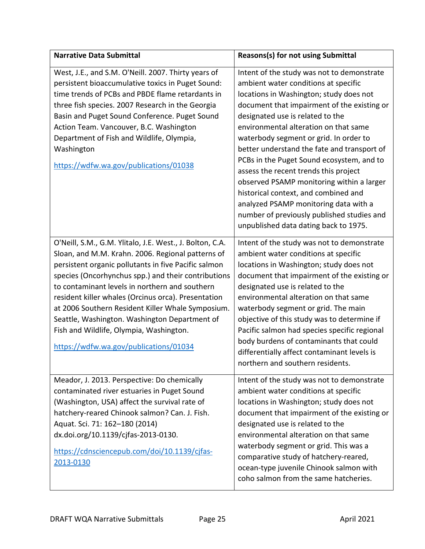| <b>Narrative Data Submittal</b>                                                                                                                                                                                                                                                                                                                                                                                                                                                                                                  | Reasons(s) for not using Submittal                                                                                                                                                                                                                                                                                                                                                                                                                                                                                                                                                                                                                            |
|----------------------------------------------------------------------------------------------------------------------------------------------------------------------------------------------------------------------------------------------------------------------------------------------------------------------------------------------------------------------------------------------------------------------------------------------------------------------------------------------------------------------------------|---------------------------------------------------------------------------------------------------------------------------------------------------------------------------------------------------------------------------------------------------------------------------------------------------------------------------------------------------------------------------------------------------------------------------------------------------------------------------------------------------------------------------------------------------------------------------------------------------------------------------------------------------------------|
| West, J.E., and S.M. O'Neill. 2007. Thirty years of<br>persistent bioaccumulative toxics in Puget Sound:<br>time trends of PCBs and PBDE flame retardants in<br>three fish species. 2007 Research in the Georgia<br>Basin and Puget Sound Conference. Puget Sound<br>Action Team. Vancouver, B.C. Washington<br>Department of Fish and Wildlife, Olympia,<br>Washington<br>https://wdfw.wa.gov/publications/01038                                                                                                                | Intent of the study was not to demonstrate<br>ambient water conditions at specific<br>locations in Washington; study does not<br>document that impairment of the existing or<br>designated use is related to the<br>environmental alteration on that same<br>waterbody segment or grid. In order to<br>better understand the fate and transport of<br>PCBs in the Puget Sound ecosystem, and to<br>assess the recent trends this project<br>observed PSAMP monitoring within a larger<br>historical context, and combined and<br>analyzed PSAMP monitoring data with a<br>number of previously published studies and<br>unpublished data dating back to 1975. |
| O'Neill, S.M., G.M. Ylitalo, J.E. West., J. Bolton, C.A.<br>Sloan, and M.M. Krahn. 2006. Regional patterns of<br>persistent organic pollutants in five Pacific salmon<br>species (Oncorhynchus spp.) and their contributions<br>to contaminant levels in northern and southern<br>resident killer whales (Orcinus orca). Presentation<br>at 2006 Southern Resident Killer Whale Symposium.<br>Seattle, Washington. Washington Department of<br>Fish and Wildlife, Olympia, Washington.<br>https://wdfw.wa.gov/publications/01034 | Intent of the study was not to demonstrate<br>ambient water conditions at specific<br>locations in Washington; study does not<br>document that impairment of the existing or<br>designated use is related to the<br>environmental alteration on that same<br>waterbody segment or grid. The main<br>objective of this study was to determine if<br>Pacific salmon had species specific regional<br>body burdens of contaminants that could<br>differentially affect contaminant levels is<br>northern and southern residents.                                                                                                                                 |
| Meador, J. 2013. Perspective: Do chemically<br>contaminated river estuaries in Puget Sound<br>(Washington, USA) affect the survival rate of<br>hatchery-reared Chinook salmon? Can. J. Fish.<br>Aquat. Sci. 71: 162-180 (2014)<br>dx.doi.org/10.1139/cjfas-2013-0130.<br>https://cdnsciencepub.com/doi/10.1139/cjfas-<br>2013-0130                                                                                                                                                                                               | Intent of the study was not to demonstrate<br>ambient water conditions at specific<br>locations in Washington; study does not<br>document that impairment of the existing or<br>designated use is related to the<br>environmental alteration on that same<br>waterbody segment or grid. This was a<br>comparative study of hatchery-reared,<br>ocean-type juvenile Chinook salmon with<br>coho salmon from the same hatcheries.                                                                                                                                                                                                                               |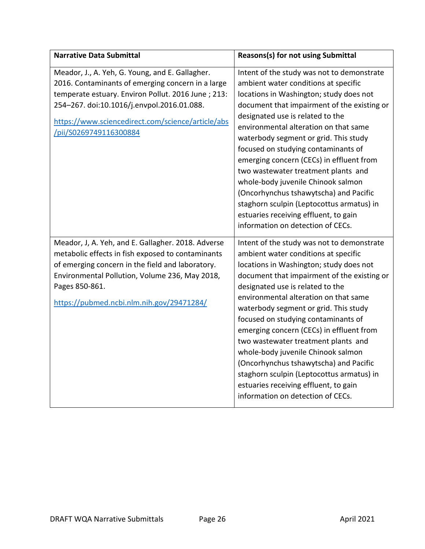| <b>Narrative Data Submittal</b>                                                                                                                                                                                                                                                         | Reasons(s) for not using Submittal                                                                                                                                                                                                                                                                                                                                                                                                                                                                                                                                                                                                      |
|-----------------------------------------------------------------------------------------------------------------------------------------------------------------------------------------------------------------------------------------------------------------------------------------|-----------------------------------------------------------------------------------------------------------------------------------------------------------------------------------------------------------------------------------------------------------------------------------------------------------------------------------------------------------------------------------------------------------------------------------------------------------------------------------------------------------------------------------------------------------------------------------------------------------------------------------------|
| Meador, J., A. Yeh, G. Young, and E. Gallagher.<br>2016. Contaminants of emerging concern in a large<br>temperate estuary. Environ Pollut. 2016 June; 213:<br>254-267. doi:10.1016/j.envpol.2016.01.088.<br>https://www.sciencedirect.com/science/article/abs<br>/pii/S0269749116300884 | Intent of the study was not to demonstrate<br>ambient water conditions at specific<br>locations in Washington; study does not<br>document that impairment of the existing or<br>designated use is related to the<br>environmental alteration on that same<br>waterbody segment or grid. This study<br>focused on studying contaminants of<br>emerging concern (CECs) in effluent from<br>two wastewater treatment plants and<br>whole-body juvenile Chinook salmon<br>(Oncorhynchus tshawytscha) and Pacific<br>staghorn sculpin (Leptocottus armatus) in<br>estuaries receiving effluent, to gain<br>information on detection of CECs. |
| Meador, J, A. Yeh, and E. Gallagher. 2018. Adverse<br>metabolic effects in fish exposed to contaminants<br>of emerging concern in the field and laboratory.<br>Environmental Pollution, Volume 236, May 2018,<br>Pages 850-861.<br>https://pubmed.ncbi.nlm.nih.gov/29471284/            | Intent of the study was not to demonstrate<br>ambient water conditions at specific<br>locations in Washington; study does not<br>document that impairment of the existing or<br>designated use is related to the<br>environmental alteration on that same<br>waterbody segment or grid. This study<br>focused on studying contaminants of<br>emerging concern (CECs) in effluent from<br>two wastewater treatment plants and<br>whole-body juvenile Chinook salmon<br>(Oncorhynchus tshawytscha) and Pacific<br>staghorn sculpin (Leptocottus armatus) in<br>estuaries receiving effluent, to gain<br>information on detection of CECs. |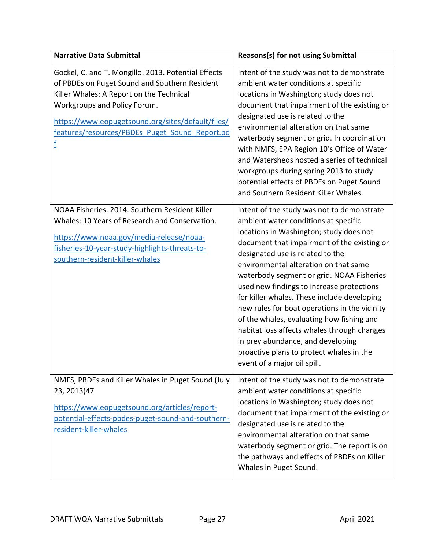| <b>Narrative Data Submittal</b>                                                                                                                                                                                                                                                              | Reasons(s) for not using Submittal                                                                                                                                                                                                                                                                                                                                                                                                                                                                                                                                                                                                                              |
|----------------------------------------------------------------------------------------------------------------------------------------------------------------------------------------------------------------------------------------------------------------------------------------------|-----------------------------------------------------------------------------------------------------------------------------------------------------------------------------------------------------------------------------------------------------------------------------------------------------------------------------------------------------------------------------------------------------------------------------------------------------------------------------------------------------------------------------------------------------------------------------------------------------------------------------------------------------------------|
| Gockel, C. and T. Mongillo. 2013. Potential Effects<br>of PBDEs on Puget Sound and Southern Resident<br>Killer Whales: A Report on the Technical<br>Workgroups and Policy Forum.<br>https://www.eopugetsound.org/sites/default/files/<br>features/resources/PBDEs Puget Sound Report.pd<br>f | Intent of the study was not to demonstrate<br>ambient water conditions at specific<br>locations in Washington; study does not<br>document that impairment of the existing or<br>designated use is related to the<br>environmental alteration on that same<br>waterbody segment or grid. In coordination<br>with NMFS, EPA Region 10's Office of Water<br>and Watersheds hosted a series of technical<br>workgroups during spring 2013 to study<br>potential effects of PBDEs on Puget Sound<br>and Southern Resident Killer Whales.                                                                                                                             |
| NOAA Fisheries. 2014. Southern Resident Killer<br>Whales: 10 Years of Research and Conservation.<br>https://www.noaa.gov/media-release/noaa-<br>fisheries-10-year-study-highlights-threats-to-<br>southern-resident-killer-whales                                                            | Intent of the study was not to demonstrate<br>ambient water conditions at specific<br>locations in Washington; study does not<br>document that impairment of the existing or<br>designated use is related to the<br>environmental alteration on that same<br>waterbody segment or grid. NOAA Fisheries<br>used new findings to increase protections<br>for killer whales. These include developing<br>new rules for boat operations in the vicinity<br>of the whales, evaluating how fishing and<br>habitat loss affects whales through changes<br>in prey abundance, and developing<br>proactive plans to protect whales in the<br>event of a major oil spill. |
| NMFS, PBDEs and Killer Whales in Puget Sound (July<br>23, 2013) 47<br>https://www.eopugetsound.org/articles/report-<br>potential-effects-pbdes-puget-sound-and-southern-<br>resident-killer-whales                                                                                           | Intent of the study was not to demonstrate<br>ambient water conditions at specific<br>locations in Washington; study does not<br>document that impairment of the existing or<br>designated use is related to the<br>environmental alteration on that same<br>waterbody segment or grid. The report is on<br>the pathways and effects of PBDEs on Killer<br>Whales in Puget Sound.                                                                                                                                                                                                                                                                               |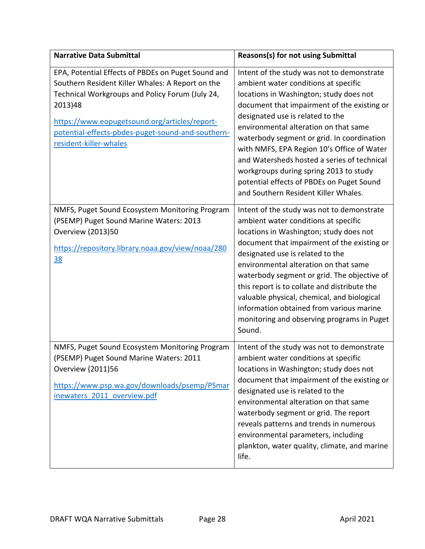| <b>Narrative Data Submittal</b>                                                                                                                                                                                                                                                                      | <b>Reasons(s) for not using Submittal</b>                                                                                                                                                                                                                                                                                                                                                                                                                                                                                           |
|------------------------------------------------------------------------------------------------------------------------------------------------------------------------------------------------------------------------------------------------------------------------------------------------------|-------------------------------------------------------------------------------------------------------------------------------------------------------------------------------------------------------------------------------------------------------------------------------------------------------------------------------------------------------------------------------------------------------------------------------------------------------------------------------------------------------------------------------------|
| EPA, Potential Effects of PBDEs on Puget Sound and<br>Southern Resident Killer Whales: A Report on the<br>Technical Workgroups and Policy Forum (July 24,<br>2013)48<br>https://www.eopugetsound.org/articles/report-<br>potential-effects-pbdes-puget-sound-and-southern-<br>resident-killer-whales | Intent of the study was not to demonstrate<br>ambient water conditions at specific<br>locations in Washington; study does not<br>document that impairment of the existing or<br>designated use is related to the<br>environmental alteration on that same<br>waterbody segment or grid. In coordination<br>with NMFS, EPA Region 10's Office of Water<br>and Watersheds hosted a series of technical<br>workgroups during spring 2013 to study<br>potential effects of PBDEs on Puget Sound<br>and Southern Resident Killer Whales. |
| NMFS, Puget Sound Ecosystem Monitoring Program<br>(PSEMP) Puget Sound Marine Waters: 2013<br>Overview (2013)50<br>https://repository.library.noaa.gov/view/noaa/280<br><u>38</u>                                                                                                                     | Intent of the study was not to demonstrate<br>ambient water conditions at specific<br>locations in Washington; study does not<br>document that impairment of the existing or<br>designated use is related to the<br>environmental alteration on that same<br>waterbody segment or grid. The objective of<br>this report is to collate and distribute the<br>valuable physical, chemical, and biological<br>information obtained from various marine<br>monitoring and observing programs in Puget<br>Sound.                         |
| NMFS, Puget Sound Ecosystem Monitoring Program<br>(PSEMP) Puget Sound Marine Waters: 2011<br><b>Overview (2011)56</b><br>https://www.psp.wa.gov/downloads/psemp/PSmar<br>inewaters 2011 overview.pdf                                                                                                 | Intent of the study was not to demonstrate<br>ambient water conditions at specific<br>locations in Washington; study does not<br>document that impairment of the existing or<br>designated use is related to the<br>environmental alteration on that same<br>waterbody segment or grid. The report<br>reveals patterns and trends in numerous<br>environmental parameters, including<br>plankton, water quality, climate, and marine<br>life.                                                                                       |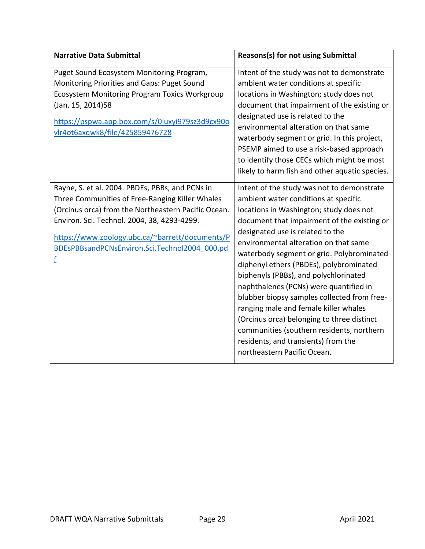| <b>Narrative Data Submittal</b>                                                                                                                                                                                                                                                                                   | <b>Reasons(s) for not using Submittal</b>                                                                                                                                                                                                                                                                                                                                                                                                                                                                                                                                                                                                                                                     |
|-------------------------------------------------------------------------------------------------------------------------------------------------------------------------------------------------------------------------------------------------------------------------------------------------------------------|-----------------------------------------------------------------------------------------------------------------------------------------------------------------------------------------------------------------------------------------------------------------------------------------------------------------------------------------------------------------------------------------------------------------------------------------------------------------------------------------------------------------------------------------------------------------------------------------------------------------------------------------------------------------------------------------------|
| Puget Sound Ecosystem Monitoring Program,<br>Monitoring Priorities and Gaps: Puget Sound<br><b>Ecosystem Monitoring Program Toxics Workgroup</b><br>(Jan. 15, 2014)58<br>https://pspwa.app.box.com/s/0luxyi979sz3d9cx90o<br>vlr4ot6axqwk8/file/425859476728                                                       | Intent of the study was not to demonstrate<br>ambient water conditions at specific<br>locations in Washington; study does not<br>document that impairment of the existing or<br>designated use is related to the<br>environmental alteration on that same<br>waterbody segment or grid. In this project,<br>PSEMP aimed to use a risk-based approach<br>to identify those CECs which might be most<br>likely to harm fish and other aquatic species.                                                                                                                                                                                                                                          |
| Rayne, S. et al. 2004. PBDEs, PBBs, and PCNs in<br>Three Communities of Free-Ranging Killer Whales<br>(Orcinus orca) from the Northeastern Pacific Ocean.<br>Environ. Sci. Technol. 2004, 38, 4293-4299.<br>https://www.zoology.ubc.ca/~barrett/documents/P<br>BDEsPBBsandPCNsEnviron.Sci.Technol2004 000.pd<br>f | Intent of the study was not to demonstrate<br>ambient water conditions at specific<br>locations in Washington; study does not<br>document that impairment of the existing or<br>designated use is related to the<br>environmental alteration on that same<br>waterbody segment or grid. Polybrominated<br>diphenyl ethers (PBDEs), polybrominated<br>biphenyls (PBBs), and polychlorinated<br>naphthalenes (PCNs) were quantified in<br>blubber biopsy samples collected from free-<br>ranging male and female killer whales<br>(Orcinus orca) belonging to three distinct<br>communities (southern residents, northern<br>residents, and transients) from the<br>northeastern Pacific Ocean. |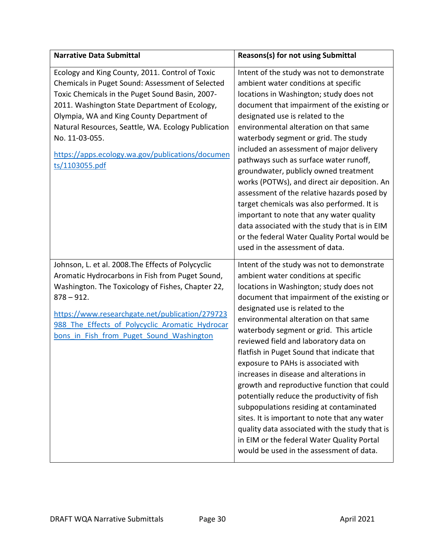| <b>Narrative Data Submittal</b>                                                                                                                                                                                                                                                                                                                                                                     | Reasons(s) for not using Submittal                                                                                                                                                                                                                                                                                                                                                                                                                                                                                                                                                                                                                                                                                                                                                                                  |
|-----------------------------------------------------------------------------------------------------------------------------------------------------------------------------------------------------------------------------------------------------------------------------------------------------------------------------------------------------------------------------------------------------|---------------------------------------------------------------------------------------------------------------------------------------------------------------------------------------------------------------------------------------------------------------------------------------------------------------------------------------------------------------------------------------------------------------------------------------------------------------------------------------------------------------------------------------------------------------------------------------------------------------------------------------------------------------------------------------------------------------------------------------------------------------------------------------------------------------------|
| Ecology and King County, 2011. Control of Toxic<br>Chemicals in Puget Sound: Assessment of Selected<br>Toxic Chemicals in the Puget Sound Basin, 2007-<br>2011. Washington State Department of Ecology,<br>Olympia, WA and King County Department of<br>Natural Resources, Seattle, WA. Ecology Publication<br>No. 11-03-055.<br>https://apps.ecology.wa.gov/publications/documen<br>ts/1103055.pdf | Intent of the study was not to demonstrate<br>ambient water conditions at specific<br>locations in Washington; study does not<br>document that impairment of the existing or<br>designated use is related to the<br>environmental alteration on that same<br>waterbody segment or grid. The study<br>included an assessment of major delivery<br>pathways such as surface water runoff,<br>groundwater, publicly owned treatment<br>works (POTWs), and direct air deposition. An<br>assessment of the relative hazards posed by<br>target chemicals was also performed. It is<br>important to note that any water quality<br>data associated with the study that is in EIM<br>or the federal Water Quality Portal would be<br>used in the assessment of data.                                                       |
| Johnson, L. et al. 2008. The Effects of Polycyclic<br>Aromatic Hydrocarbons in Fish from Puget Sound,<br>Washington. The Toxicology of Fishes, Chapter 22,<br>$878 - 912.$<br>https://www.researchgate.net/publication/279723<br>988 The Effects of Polycyclic Aromatic Hydrocar<br>bons in Fish from Puget Sound Washington                                                                        | Intent of the study was not to demonstrate<br>ambient water conditions at specific<br>locations in Washington; study does not<br>document that impairment of the existing or<br>designated use is related to the<br>environmental alteration on that same<br>waterbody segment or grid. This article<br>reviewed field and laboratory data on<br>flatfish in Puget Sound that indicate that<br>exposure to PAHs is associated with<br>increases in disease and alterations in<br>growth and reproductive function that could<br>potentially reduce the productivity of fish<br>subpopulations residing at contaminated<br>sites. It is important to note that any water<br>quality data associated with the study that is<br>in EIM or the federal Water Quality Portal<br>would be used in the assessment of data. |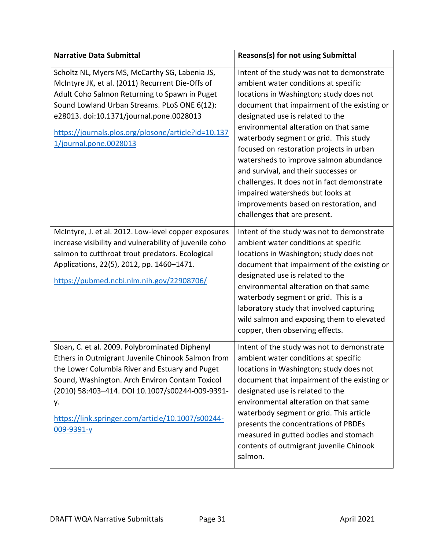| <b>Narrative Data Submittal</b>                                                                                                                                                                                                                                                                                                     | Reasons(s) for not using Submittal                                                                                                                                                                                                                                                                                                                                                                                                                                                                                                                                                            |
|-------------------------------------------------------------------------------------------------------------------------------------------------------------------------------------------------------------------------------------------------------------------------------------------------------------------------------------|-----------------------------------------------------------------------------------------------------------------------------------------------------------------------------------------------------------------------------------------------------------------------------------------------------------------------------------------------------------------------------------------------------------------------------------------------------------------------------------------------------------------------------------------------------------------------------------------------|
| Scholtz NL, Myers MS, McCarthy SG, Labenia JS,<br>McIntyre JK, et al. (2011) Recurrent Die-Offs of<br>Adult Coho Salmon Returning to Spawn in Puget<br>Sound Lowland Urban Streams. PLoS ONE 6(12):<br>e28013. doi:10.1371/journal.pone.0028013<br>https://journals.plos.org/plosone/article?id=10.137<br>1/journal.pone.0028013    | Intent of the study was not to demonstrate<br>ambient water conditions at specific<br>locations in Washington; study does not<br>document that impairment of the existing or<br>designated use is related to the<br>environmental alteration on that same<br>waterbody segment or grid. This study<br>focused on restoration projects in urban<br>watersheds to improve salmon abundance<br>and survival, and their successes or<br>challenges. It does not in fact demonstrate<br>impaired watersheds but looks at<br>improvements based on restoration, and<br>challenges that are present. |
| McIntyre, J. et al. 2012. Low-level copper exposures<br>increase visibility and vulnerability of juvenile coho<br>salmon to cutthroat trout predators. Ecological<br>Applications, 22(5), 2012, pp. 1460-1471.<br>https://pubmed.ncbi.nlm.nih.gov/22908706/                                                                         | Intent of the study was not to demonstrate<br>ambient water conditions at specific<br>locations in Washington; study does not<br>document that impairment of the existing or<br>designated use is related to the<br>environmental alteration on that same<br>waterbody segment or grid. This is a<br>laboratory study that involved capturing<br>wild salmon and exposing them to elevated<br>copper, then observing effects.                                                                                                                                                                 |
| Sloan, C. et al. 2009. Polybrominated Diphenyl<br>Ethers in Outmigrant Juvenile Chinook Salmon from<br>the Lower Columbia River and Estuary and Puget<br>Sound, Washington. Arch Environ Contam Toxicol<br>(2010) 58:403-414. DOI 10.1007/s00244-009-9391-<br>у.<br>https://link.springer.com/article/10.1007/s00244-<br>009-9391-y | Intent of the study was not to demonstrate<br>ambient water conditions at specific<br>locations in Washington; study does not<br>document that impairment of the existing or<br>designated use is related to the<br>environmental alteration on that same<br>waterbody segment or grid. This article<br>presents the concentrations of PBDEs<br>measured in gutted bodies and stomach<br>contents of outmigrant juvenile Chinook<br>salmon.                                                                                                                                                   |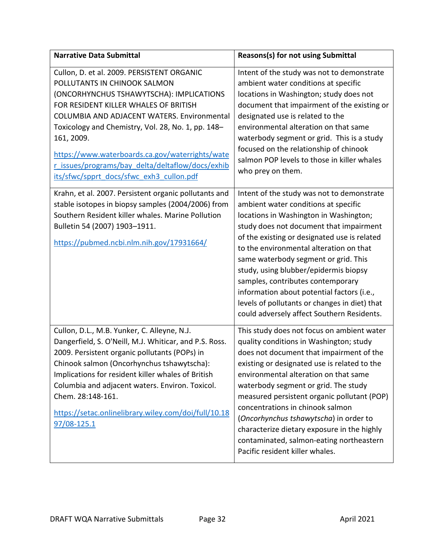| <b>Narrative Data Submittal</b>                                                                                                                                                                                                                                                                                                                                                                                                                                                                | Reasons(s) for not using Submittal                                                                                                                                                                                                                                                                                                                                                                                                                                                                                            |
|------------------------------------------------------------------------------------------------------------------------------------------------------------------------------------------------------------------------------------------------------------------------------------------------------------------------------------------------------------------------------------------------------------------------------------------------------------------------------------------------|-------------------------------------------------------------------------------------------------------------------------------------------------------------------------------------------------------------------------------------------------------------------------------------------------------------------------------------------------------------------------------------------------------------------------------------------------------------------------------------------------------------------------------|
| Cullon, D. et al. 2009. PERSISTENT ORGANIC<br>POLLUTANTS IN CHINOOK SALMON<br>(ONCORHYNCHUS TSHAWYTSCHA): IMPLICATIONS<br>FOR RESIDENT KILLER WHALES OF BRITISH<br>COLUMBIA AND ADJACENT WATERS. Environmental<br>Toxicology and Chemistry, Vol. 28, No. 1, pp. 148-<br>161, 2009.<br>https://www.waterboards.ca.gov/waterrights/wate<br>r issues/programs/bay delta/deltaflow/docs/exhib<br>its/sfwc/spprt_docs/sfwc_exh3_cullon.pdf<br>Krahn, et al. 2007. Persistent organic pollutants and | Intent of the study was not to demonstrate<br>ambient water conditions at specific<br>locations in Washington; study does not<br>document that impairment of the existing or<br>designated use is related to the<br>environmental alteration on that same<br>waterbody segment or grid. This is a study<br>focused on the relationship of chinook<br>salmon POP levels to those in killer whales<br>who prey on them.<br>Intent of the study was not to demonstrate                                                           |
| stable isotopes in biopsy samples (2004/2006) from<br>Southern Resident killer whales. Marine Pollution<br>Bulletin 54 (2007) 1903-1911.<br>https://pubmed.ncbi.nlm.nih.gov/17931664/                                                                                                                                                                                                                                                                                                          | ambient water conditions at specific<br>locations in Washington in Washington;<br>study does not document that impairment<br>of the existing or designated use is related<br>to the environmental alteration on that<br>same waterbody segment or grid. This<br>study, using blubber/epidermis biopsy<br>samples, contributes contemporary<br>information about potential factors (i.e.,<br>levels of pollutants or changes in diet) that<br>could adversely affect Southern Residents.                                       |
| Cullon, D.L., M.B. Yunker, C. Alleyne, N.J.<br>Dangerfield, S. O'Neill, M.J. Whiticar, and P.S. Ross.<br>2009. Persistent organic pollutants (POPs) in<br>Chinook salmon (Oncorhynchus tshawytscha):<br>Implications for resident killer whales of British<br>Columbia and adjacent waters. Environ. Toxicol.<br>Chem. 28:148-161.<br>https://setac.onlinelibrary.wiley.com/doi/full/10.18<br>97/08-125.1                                                                                      | This study does not focus on ambient water<br>quality conditions in Washington; study<br>does not document that impairment of the<br>existing or designated use is related to the<br>environmental alteration on that same<br>waterbody segment or grid. The study<br>measured persistent organic pollutant (POP)<br>concentrations in chinook salmon<br>(Oncorhynchus tshawytscha) in order to<br>characterize dietary exposure in the highly<br>contaminated, salmon-eating northeastern<br>Pacific resident killer whales. |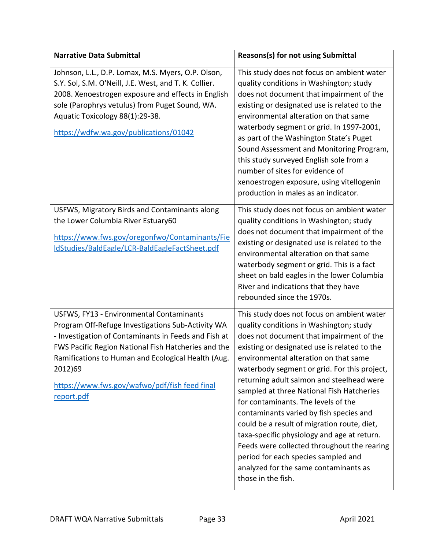| <b>Narrative Data Submittal</b>                                                                                                                                                                                                                                                                                                              | <b>Reasons(s) for not using Submittal</b>                                                                                                                                                                                                                                                                                                                                                                                                                                                                                                                                                                                                                                                                 |
|----------------------------------------------------------------------------------------------------------------------------------------------------------------------------------------------------------------------------------------------------------------------------------------------------------------------------------------------|-----------------------------------------------------------------------------------------------------------------------------------------------------------------------------------------------------------------------------------------------------------------------------------------------------------------------------------------------------------------------------------------------------------------------------------------------------------------------------------------------------------------------------------------------------------------------------------------------------------------------------------------------------------------------------------------------------------|
| Johnson, L.L., D.P. Lomax, M.S. Myers, O.P. Olson,<br>S.Y. Sol, S.M. O'Neill, J.E. West, and T. K. Collier.<br>2008. Xenoestrogen exposure and effects in English<br>sole (Parophrys vetulus) from Puget Sound, WA.<br>Aquatic Toxicology 88(1):29-38.<br>https://wdfw.wa.gov/publications/01042                                             | This study does not focus on ambient water<br>quality conditions in Washington; study<br>does not document that impairment of the<br>existing or designated use is related to the<br>environmental alteration on that same<br>waterbody segment or grid. In 1997-2001,<br>as part of the Washington State's Puget<br>Sound Assessment and Monitoring Program,<br>this study surveyed English sole from a<br>number of sites for evidence of<br>xenoestrogen exposure, using vitellogenin<br>production in males as an indicator.                                                                                                                                                                          |
| USFWS, Migratory Birds and Contaminants along<br>the Lower Columbia River Estuary60<br>https://www.fws.gov/oregonfwo/Contaminants/Fie<br>IdStudies/BaldEagle/LCR-BaldEagleFactSheet.pdf                                                                                                                                                      | This study does not focus on ambient water<br>quality conditions in Washington; study<br>does not document that impairment of the<br>existing or designated use is related to the<br>environmental alteration on that same<br>waterbody segment or grid. This is a fact<br>sheet on bald eagles in the lower Columbia<br>River and indications that they have<br>rebounded since the 1970s.                                                                                                                                                                                                                                                                                                               |
| USFWS, FY13 - Environmental Contaminants<br>Program Off-Refuge Investigations Sub-Activity WA<br>- Investigation of Contaminants in Feeds and Fish at<br>FWS Pacific Region National Fish Hatcheries and the<br>Ramifications to Human and Ecological Health (Aug.<br>2012)69<br>https://www.fws.gov/wafwo/pdf/fish feed final<br>report.pdf | This study does not focus on ambient water<br>quality conditions in Washington; study<br>does not document that impairment of the<br>existing or designated use is related to the<br>environmental alteration on that same<br>waterbody segment or grid. For this project,<br>returning adult salmon and steelhead were<br>sampled at three National Fish Hatcheries<br>for contaminants. The levels of the<br>contaminants varied by fish species and<br>could be a result of migration route, diet,<br>taxa-specific physiology and age at return.<br>Feeds were collected throughout the rearing<br>period for each species sampled and<br>analyzed for the same contaminants as<br>those in the fish. |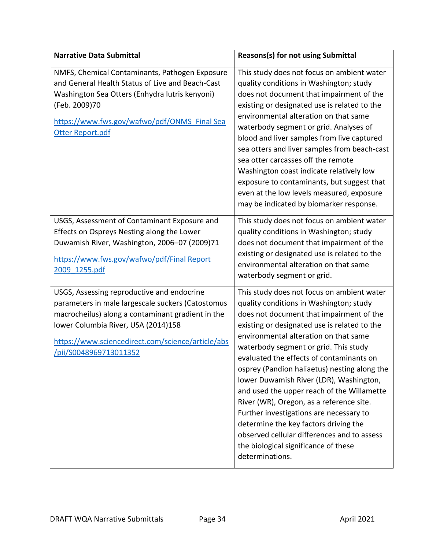| <b>Narrative Data Submittal</b>                                                                                                                                                                                                                                           | <b>Reasons(s) for not using Submittal</b>                                                                                                                                                                                                                                                                                                                                                                                                                                                                                                                                                                                                                                                          |
|---------------------------------------------------------------------------------------------------------------------------------------------------------------------------------------------------------------------------------------------------------------------------|----------------------------------------------------------------------------------------------------------------------------------------------------------------------------------------------------------------------------------------------------------------------------------------------------------------------------------------------------------------------------------------------------------------------------------------------------------------------------------------------------------------------------------------------------------------------------------------------------------------------------------------------------------------------------------------------------|
| NMFS, Chemical Contaminants, Pathogen Exposure<br>and General Health Status of Live and Beach-Cast<br>Washington Sea Otters (Enhydra lutris kenyoni)<br>(Feb. 2009)70<br>https://www.fws.gov/wafwo/pdf/ONMS Final Sea<br>Otter Report.pdf                                 | This study does not focus on ambient water<br>quality conditions in Washington; study<br>does not document that impairment of the<br>existing or designated use is related to the<br>environmental alteration on that same<br>waterbody segment or grid. Analyses of<br>blood and liver samples from live captured<br>sea otters and liver samples from beach-cast<br>sea otter carcasses off the remote<br>Washington coast indicate relatively low<br>exposure to contaminants, but suggest that<br>even at the low levels measured, exposure<br>may be indicated by biomarker response.                                                                                                         |
| USGS, Assessment of Contaminant Exposure and<br>Effects on Ospreys Nesting along the Lower<br>Duwamish River, Washington, 2006-07 (2009)71<br>https://www.fws.gov/wafwo/pdf/Final Report<br>2009 1255.pdf                                                                 | This study does not focus on ambient water<br>quality conditions in Washington; study<br>does not document that impairment of the<br>existing or designated use is related to the<br>environmental alteration on that same<br>waterbody segment or grid.                                                                                                                                                                                                                                                                                                                                                                                                                                           |
| USGS, Assessing reproductive and endocrine<br>parameters in male largescale suckers (Catostomus<br>macrocheilus) along a contaminant gradient in the<br>lower Columbia River, USA (2014)158<br>https://www.sciencedirect.com/science/article/abs<br>pii/S0048969713011352 | This study does not focus on ambient water<br>quality conditions in Washington; study<br>does not document that impairment of the<br>existing or designated use is related to the<br>environmental alteration on that same<br>waterbody segment or grid. This study<br>evaluated the effects of contaminants on<br>osprey (Pandion haliaetus) nesting along the<br>lower Duwamish River (LDR), Washington,<br>and used the upper reach of the Willamette<br>River (WR), Oregon, as a reference site.<br>Further investigations are necessary to<br>determine the key factors driving the<br>observed cellular differences and to assess<br>the biological significance of these<br>determinations. |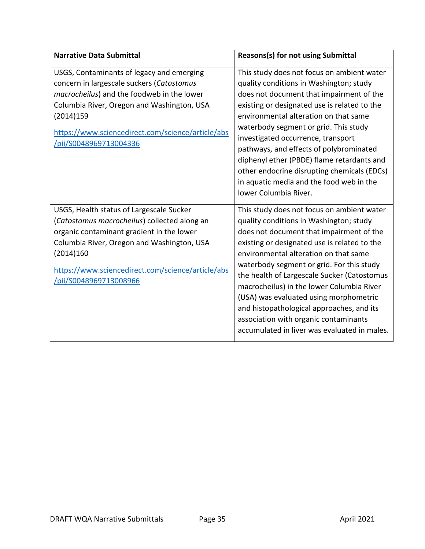| <b>Narrative Data Submittal</b>                                                                                                                                                                                                                                                | <b>Reasons(s) for not using Submittal</b>                                                                                                                                                                                                                                                                                                                                                                                                                                                                                                           |
|--------------------------------------------------------------------------------------------------------------------------------------------------------------------------------------------------------------------------------------------------------------------------------|-----------------------------------------------------------------------------------------------------------------------------------------------------------------------------------------------------------------------------------------------------------------------------------------------------------------------------------------------------------------------------------------------------------------------------------------------------------------------------------------------------------------------------------------------------|
| USGS, Contaminants of legacy and emerging<br>concern in largescale suckers (Catostomus<br>macrocheilus) and the foodweb in the lower<br>Columbia River, Oregon and Washington, USA<br>(2014)159<br>https://www.sciencedirect.com/science/article/abs<br>/pii/S0048969713004336 | This study does not focus on ambient water<br>quality conditions in Washington; study<br>does not document that impairment of the<br>existing or designated use is related to the<br>environmental alteration on that same<br>waterbody segment or grid. This study<br>investigated occurrence, transport<br>pathways, and effects of polybrominated<br>diphenyl ether (PBDE) flame retardants and<br>other endocrine disrupting chemicals (EDCs)<br>in aquatic media and the food web in the<br>lower Columbia River.                              |
| USGS, Health status of Largescale Sucker<br>(Catostomus macrocheilus) collected along an<br>organic contaminant gradient in the lower<br>Columbia River, Oregon and Washington, USA<br>(2014)160<br>https://www.sciencedirect.com/science/article/abs<br>pii/S0048969713008966 | This study does not focus on ambient water<br>quality conditions in Washington; study<br>does not document that impairment of the<br>existing or designated use is related to the<br>environmental alteration on that same<br>waterbody segment or grid. For this study<br>the health of Largescale Sucker (Catostomus<br>macrocheilus) in the lower Columbia River<br>(USA) was evaluated using morphometric<br>and histopathological approaches, and its<br>association with organic contaminants<br>accumulated in liver was evaluated in males. |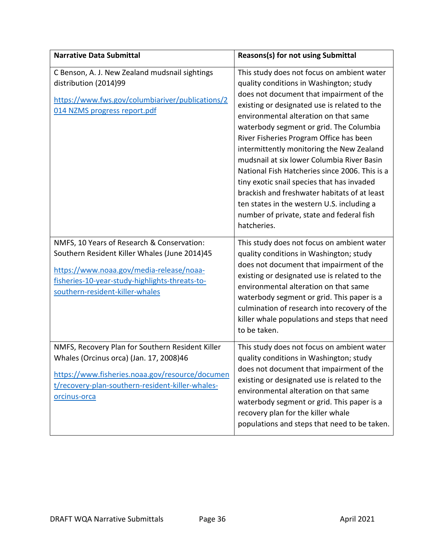| <b>Narrative Data Submittal</b>                                                                                                                                                                                              | <b>Reasons(s) for not using Submittal</b>                                                                                                                                                                                                                                                                                                                                                                                                                                                                                                                                                                                                                             |
|------------------------------------------------------------------------------------------------------------------------------------------------------------------------------------------------------------------------------|-----------------------------------------------------------------------------------------------------------------------------------------------------------------------------------------------------------------------------------------------------------------------------------------------------------------------------------------------------------------------------------------------------------------------------------------------------------------------------------------------------------------------------------------------------------------------------------------------------------------------------------------------------------------------|
| C Benson, A. J. New Zealand mudsnail sightings<br>distribution (2014)99<br>https://www.fws.gov/columbiariver/publications/2<br>014 NZMS progress report.pdf                                                                  | This study does not focus on ambient water<br>quality conditions in Washington; study<br>does not document that impairment of the<br>existing or designated use is related to the<br>environmental alteration on that same<br>waterbody segment or grid. The Columbia<br>River Fisheries Program Office has been<br>intermittently monitoring the New Zealand<br>mudsnail at six lower Columbia River Basin<br>National Fish Hatcheries since 2006. This is a<br>tiny exotic snail species that has invaded<br>brackish and freshwater habitats of at least<br>ten states in the western U.S. including a<br>number of private, state and federal fish<br>hatcheries. |
| NMFS, 10 Years of Research & Conservation:<br>Southern Resident Killer Whales (June 2014)45<br>https://www.noaa.gov/media-release/noaa-<br>fisheries-10-year-study-highlights-threats-to-<br>southern-resident-killer-whales | This study does not focus on ambient water<br>quality conditions in Washington; study<br>does not document that impairment of the<br>existing or designated use is related to the<br>environmental alteration on that same<br>waterbody segment or grid. This paper is a<br>culmination of research into recovery of the<br>killer whale populations and steps that need<br>to be taken.                                                                                                                                                                                                                                                                              |
| NMFS, Recovery Plan for Southern Resident Killer<br>Whales (Orcinus orca) (Jan. 17, 2008)46<br>https://www.fisheries.noaa.gov/resource/documen<br>t/recovery-plan-southern-resident-killer-whales-<br>orcinus-orca           | This study does not focus on ambient water<br>quality conditions in Washington; study<br>does not document that impairment of the<br>existing or designated use is related to the<br>environmental alteration on that same<br>waterbody segment or grid. This paper is a<br>recovery plan for the killer whale<br>populations and steps that need to be taken.                                                                                                                                                                                                                                                                                                        |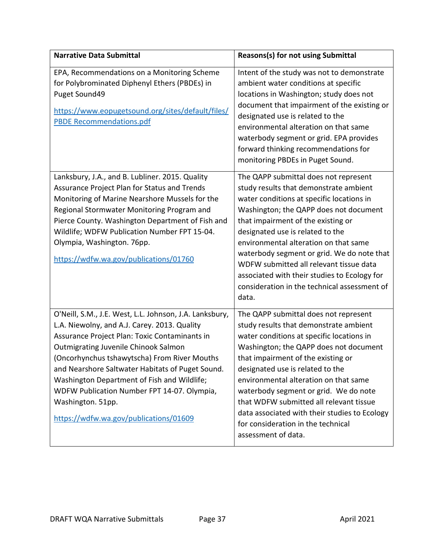| <b>Narrative Data Submittal</b>                                                                                                                                                                                                                                                                                                                                                                                                                                   | <b>Reasons(s) for not using Submittal</b>                                                                                                                                                                                                                                                                                                                                                                                                                                                   |
|-------------------------------------------------------------------------------------------------------------------------------------------------------------------------------------------------------------------------------------------------------------------------------------------------------------------------------------------------------------------------------------------------------------------------------------------------------------------|---------------------------------------------------------------------------------------------------------------------------------------------------------------------------------------------------------------------------------------------------------------------------------------------------------------------------------------------------------------------------------------------------------------------------------------------------------------------------------------------|
| EPA, Recommendations on a Monitoring Scheme<br>for Polybrominated Diphenyl Ethers (PBDEs) in<br>Puget Sound49<br>https://www.eopugetsound.org/sites/default/files/<br><b>PBDE Recommendations.pdf</b>                                                                                                                                                                                                                                                             | Intent of the study was not to demonstrate<br>ambient water conditions at specific<br>locations in Washington; study does not<br>document that impairment of the existing or<br>designated use is related to the<br>environmental alteration on that same<br>waterbody segment or grid. EPA provides<br>forward thinking recommendations for<br>monitoring PBDEs in Puget Sound.                                                                                                            |
| Lanksbury, J.A., and B. Lubliner. 2015. Quality<br>Assurance Project Plan for Status and Trends<br>Monitoring of Marine Nearshore Mussels for the<br>Regional Stormwater Monitoring Program and<br>Pierce County. Washington Department of Fish and<br>Wildlife; WDFW Publication Number FPT 15-04.<br>Olympia, Washington. 76pp.<br>https://wdfw.wa.gov/publications/01760                                                                                       | The QAPP submittal does not represent<br>study results that demonstrate ambient<br>water conditions at specific locations in<br>Washington; the QAPP does not document<br>that impairment of the existing or<br>designated use is related to the<br>environmental alteration on that same<br>waterbody segment or grid. We do note that<br>WDFW submitted all relevant tissue data<br>associated with their studies to Ecology for<br>consideration in the technical assessment of<br>data. |
| O'Neill, S.M., J.E. West, L.L. Johnson, J.A. Lanksbury,<br>L.A. Niewolny, and A.J. Carey. 2013. Quality<br>Assurance Project Plan: Toxic Contaminants in<br>Outmigrating Juvenile Chinook Salmon<br>(Oncorhynchus tshawytscha) From River Mouths<br>and Nearshore Saltwater Habitats of Puget Sound.<br>Washington Department of Fish and Wildlife;<br>WDFW Publication Number FPT 14-07. Olympia,<br>Washington. 51pp.<br>https://wdfw.wa.gov/publications/01609 | The QAPP submittal does not represent<br>study results that demonstrate ambient<br>water conditions at specific locations in<br>Washington; the QAPP does not document<br>that impairment of the existing or<br>designated use is related to the<br>environmental alteration on that same<br>waterbody segment or grid. We do note<br>that WDFW submitted all relevant tissue<br>data associated with their studies to Ecology<br>for consideration in the technical<br>assessment of data. |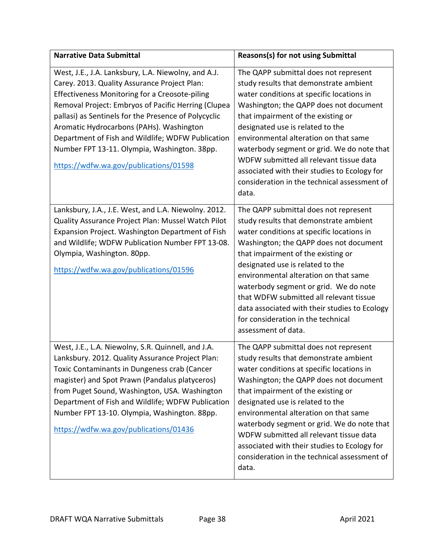| <b>Narrative Data Submittal</b>                                                                                                                                                                                                                                                                                                                                                                                                                                        | Reasons(s) for not using Submittal                                                                                                                                                                                                                                                                                                                                                                                                                                                          |
|------------------------------------------------------------------------------------------------------------------------------------------------------------------------------------------------------------------------------------------------------------------------------------------------------------------------------------------------------------------------------------------------------------------------------------------------------------------------|---------------------------------------------------------------------------------------------------------------------------------------------------------------------------------------------------------------------------------------------------------------------------------------------------------------------------------------------------------------------------------------------------------------------------------------------------------------------------------------------|
| West, J.E., J.A. Lanksbury, L.A. Niewolny, and A.J.<br>Carey. 2013. Quality Assurance Project Plan:<br><b>Effectiveness Monitoring for a Creosote-piling</b><br>Removal Project: Embryos of Pacific Herring (Clupea<br>pallasi) as Sentinels for the Presence of Polycyclic<br>Aromatic Hydrocarbons (PAHs). Washington<br>Department of Fish and Wildlife; WDFW Publication<br>Number FPT 13-11. Olympia, Washington. 38pp.<br>https://wdfw.wa.gov/publications/01598 | The QAPP submittal does not represent<br>study results that demonstrate ambient<br>water conditions at specific locations in<br>Washington; the QAPP does not document<br>that impairment of the existing or<br>designated use is related to the<br>environmental alteration on that same<br>waterbody segment or grid. We do note that<br>WDFW submitted all relevant tissue data<br>associated with their studies to Ecology for<br>consideration in the technical assessment of<br>data. |
| Lanksbury, J.A., J.E. West, and L.A. Niewolny. 2012.<br>Quality Assurance Project Plan: Mussel Watch Pilot<br>Expansion Project. Washington Department of Fish<br>and Wildlife; WDFW Publication Number FPT 13-08.<br>Olympia, Washington. 80pp.<br>https://wdfw.wa.gov/publications/01596                                                                                                                                                                             | The QAPP submittal does not represent<br>study results that demonstrate ambient<br>water conditions at specific locations in<br>Washington; the QAPP does not document<br>that impairment of the existing or<br>designated use is related to the<br>environmental alteration on that same<br>waterbody segment or grid. We do note<br>that WDFW submitted all relevant tissue<br>data associated with their studies to Ecology<br>for consideration in the technical<br>assessment of data. |
| West, J.E., L.A. Niewolny, S.R. Quinnell, and J.A.<br>Lanksbury. 2012. Quality Assurance Project Plan:<br>Toxic Contaminants in Dungeness crab (Cancer<br>magister) and Spot Prawn (Pandalus platyceros)<br>from Puget Sound, Washington, USA. Washington<br>Department of Fish and Wildlife; WDFW Publication<br>Number FPT 13-10. Olympia, Washington. 88pp.<br>https://wdfw.wa.gov/publications/01436                                                               | The QAPP submittal does not represent<br>study results that demonstrate ambient<br>water conditions at specific locations in<br>Washington; the QAPP does not document<br>that impairment of the existing or<br>designated use is related to the<br>environmental alteration on that same<br>waterbody segment or grid. We do note that<br>WDFW submitted all relevant tissue data<br>associated with their studies to Ecology for<br>consideration in the technical assessment of<br>data. |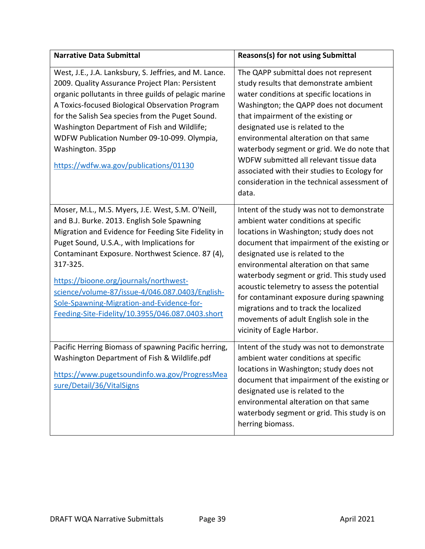| <b>Narrative Data Submittal</b>                                                                                                                                                                                                                                                                                                                                                                                                                                     | <b>Reasons(s) for not using Submittal</b>                                                                                                                                                                                                                                                                                                                                                                                                                                                                         |
|---------------------------------------------------------------------------------------------------------------------------------------------------------------------------------------------------------------------------------------------------------------------------------------------------------------------------------------------------------------------------------------------------------------------------------------------------------------------|-------------------------------------------------------------------------------------------------------------------------------------------------------------------------------------------------------------------------------------------------------------------------------------------------------------------------------------------------------------------------------------------------------------------------------------------------------------------------------------------------------------------|
| West, J.E., J.A. Lanksbury, S. Jeffries, and M. Lance.<br>2009. Quality Assurance Project Plan: Persistent<br>organic pollutants in three guilds of pelagic marine<br>A Toxics-focused Biological Observation Program<br>for the Salish Sea species from the Puget Sound.<br>Washington Department of Fish and Wildlife;<br>WDFW Publication Number 09-10-099. Olympia,<br>Washington. 35pp<br>https://wdfw.wa.gov/publications/01130                               | The QAPP submittal does not represent<br>study results that demonstrate ambient<br>water conditions at specific locations in<br>Washington; the QAPP does not document<br>that impairment of the existing or<br>designated use is related to the<br>environmental alteration on that same<br>waterbody segment or grid. We do note that<br>WDFW submitted all relevant tissue data<br>associated with their studies to Ecology for<br>consideration in the technical assessment of<br>data.                       |
| Moser, M.L., M.S. Myers, J.E. West, S.M. O'Neill,<br>and B.J. Burke. 2013. English Sole Spawning<br>Migration and Evidence for Feeding Site Fidelity in<br>Puget Sound, U.S.A., with Implications for<br>Contaminant Exposure. Northwest Science. 87 (4),<br>317-325.<br>https://bioone.org/journals/northwest-<br>science/volume-87/issue-4/046.087.0403/English-<br>Sole-Spawning-Migration-and-Evidence-for-<br>Feeding-Site-Fidelity/10.3955/046.087.0403.short | Intent of the study was not to demonstrate<br>ambient water conditions at specific<br>locations in Washington; study does not<br>document that impairment of the existing or<br>designated use is related to the<br>environmental alteration on that same<br>waterbody segment or grid. This study used<br>acoustic telemetry to assess the potential<br>for contaminant exposure during spawning<br>migrations and to track the localized<br>movements of adult English sole in the<br>vicinity of Eagle Harbor. |
| Pacific Herring Biomass of spawning Pacific herring,<br>Washington Department of Fish & Wildlife.pdf<br>https://www.pugetsoundinfo.wa.gov/ProgressMea<br>sure/Detail/36/VitalSigns                                                                                                                                                                                                                                                                                  | Intent of the study was not to demonstrate<br>ambient water conditions at specific<br>locations in Washington; study does not<br>document that impairment of the existing or<br>designated use is related to the<br>environmental alteration on that same<br>waterbody segment or grid. This study is on<br>herring biomass.                                                                                                                                                                                      |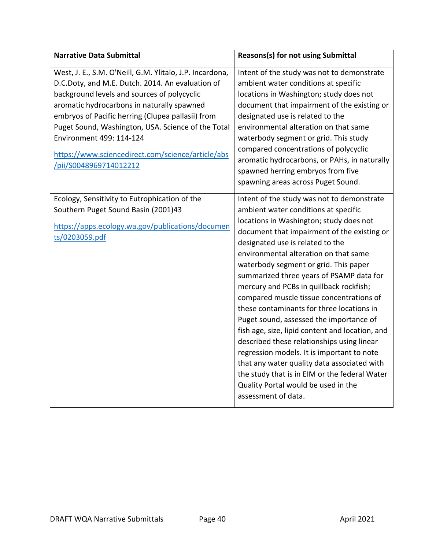| <b>Narrative Data Submittal</b>                                                                                                                                                                                                                                                                                                                                                                                                 | Reasons(s) for not using Submittal                                                                                                                                                                                                                                                                                                                                                                                                                                                                                                                                                                                                                                                                                                                                                                                                         |
|---------------------------------------------------------------------------------------------------------------------------------------------------------------------------------------------------------------------------------------------------------------------------------------------------------------------------------------------------------------------------------------------------------------------------------|--------------------------------------------------------------------------------------------------------------------------------------------------------------------------------------------------------------------------------------------------------------------------------------------------------------------------------------------------------------------------------------------------------------------------------------------------------------------------------------------------------------------------------------------------------------------------------------------------------------------------------------------------------------------------------------------------------------------------------------------------------------------------------------------------------------------------------------------|
| West, J. E., S.M. O'Neill, G.M. Ylitalo, J.P. Incardona,<br>D.C.Doty, and M.E. Dutch. 2014. An evaluation of<br>background levels and sources of polycyclic<br>aromatic hydrocarbons in naturally spawned<br>embryos of Pacific herring (Clupea pallasii) from<br>Puget Sound, Washington, USA. Science of the Total<br>Environment 499: 114-124<br>https://www.sciencedirect.com/science/article/abs<br>/pii/S0048969714012212 | Intent of the study was not to demonstrate<br>ambient water conditions at specific<br>locations in Washington; study does not<br>document that impairment of the existing or<br>designated use is related to the<br>environmental alteration on that same<br>waterbody segment or grid. This study<br>compared concentrations of polycyclic<br>aromatic hydrocarbons, or PAHs, in naturally<br>spawned herring embryos from five<br>spawning areas across Puget Sound.                                                                                                                                                                                                                                                                                                                                                                     |
| Ecology, Sensitivity to Eutrophication of the<br>Southern Puget Sound Basin (2001)43<br>https://apps.ecology.wa.gov/publications/documen<br>ts/0203059.pdf                                                                                                                                                                                                                                                                      | Intent of the study was not to demonstrate<br>ambient water conditions at specific<br>locations in Washington; study does not<br>document that impairment of the existing or<br>designated use is related to the<br>environmental alteration on that same<br>waterbody segment or grid. This paper<br>summarized three years of PSAMP data for<br>mercury and PCBs in quillback rockfish;<br>compared muscle tissue concentrations of<br>these contaminants for three locations in<br>Puget sound, assessed the importance of<br>fish age, size, lipid content and location, and<br>described these relationships using linear<br>regression models. It is important to note<br>that any water quality data associated with<br>the study that is in EIM or the federal Water<br>Quality Portal would be used in the<br>assessment of data. |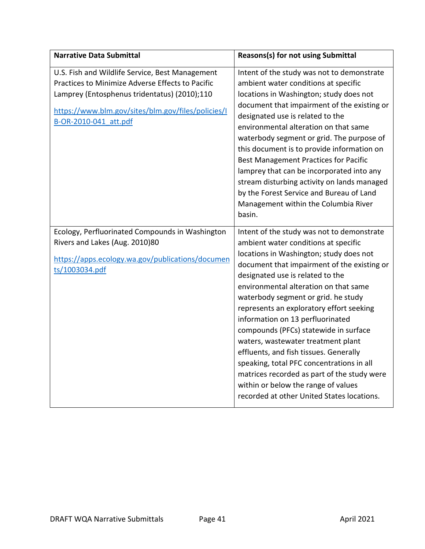| <b>Narrative Data Submittal</b>                                                                                                                                                                                                    | Reasons(s) for not using Submittal                                                                                                                                                                                                                                                                                                                                                                                                                                                                                                                                                                                                                                                         |
|------------------------------------------------------------------------------------------------------------------------------------------------------------------------------------------------------------------------------------|--------------------------------------------------------------------------------------------------------------------------------------------------------------------------------------------------------------------------------------------------------------------------------------------------------------------------------------------------------------------------------------------------------------------------------------------------------------------------------------------------------------------------------------------------------------------------------------------------------------------------------------------------------------------------------------------|
| U.S. Fish and Wildlife Service, Best Management<br>Practices to Minimize Adverse Effects to Pacific<br>Lamprey (Entosphenus tridentatus) (2010);110<br>https://www.blm.gov/sites/blm.gov/files/policies/I<br>B-OR-2010-041 att.pdf | Intent of the study was not to demonstrate<br>ambient water conditions at specific<br>locations in Washington; study does not<br>document that impairment of the existing or<br>designated use is related to the<br>environmental alteration on that same<br>waterbody segment or grid. The purpose of<br>this document is to provide information on<br>Best Management Practices for Pacific<br>lamprey that can be incorporated into any<br>stream disturbing activity on lands managed<br>by the Forest Service and Bureau of Land<br>Management within the Columbia River<br>basin.                                                                                                    |
| Ecology, Perfluorinated Compounds in Washington<br>Rivers and Lakes (Aug. 2010)80<br>https://apps.ecology.wa.gov/publications/documen<br>ts/1003034.pdf                                                                            | Intent of the study was not to demonstrate<br>ambient water conditions at specific<br>locations in Washington; study does not<br>document that impairment of the existing or<br>designated use is related to the<br>environmental alteration on that same<br>waterbody segment or grid. he study<br>represents an exploratory effort seeking<br>information on 13 perfluorinated<br>compounds (PFCs) statewide in surface<br>waters, wastewater treatment plant<br>effluents, and fish tissues. Generally<br>speaking, total PFC concentrations in all<br>matrices recorded as part of the study were<br>within or below the range of values<br>recorded at other United States locations. |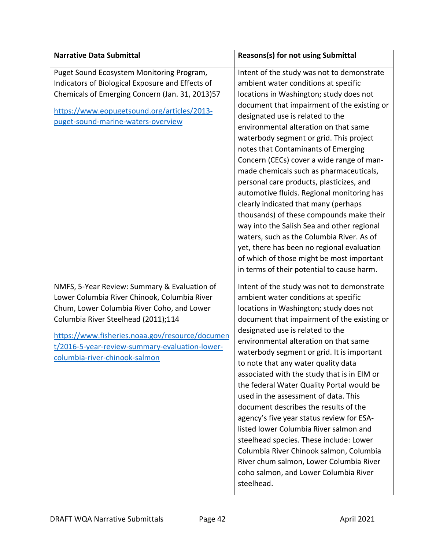| <b>Narrative Data Submittal</b>                                                                                                                                                                                                                                                                                         | <b>Reasons(s) for not using Submittal</b>                                                                                                                                                                                                                                                                                                                                                                                                                                                                                                                                                                                                                                                                                                                                                                                                             |
|-------------------------------------------------------------------------------------------------------------------------------------------------------------------------------------------------------------------------------------------------------------------------------------------------------------------------|-------------------------------------------------------------------------------------------------------------------------------------------------------------------------------------------------------------------------------------------------------------------------------------------------------------------------------------------------------------------------------------------------------------------------------------------------------------------------------------------------------------------------------------------------------------------------------------------------------------------------------------------------------------------------------------------------------------------------------------------------------------------------------------------------------------------------------------------------------|
| Puget Sound Ecosystem Monitoring Program,<br>Indicators of Biological Exposure and Effects of<br>Chemicals of Emerging Concern (Jan. 31, 2013)57<br>https://www.eopugetsound.org/articles/2013-<br>puget-sound-marine-waters-overview                                                                                   | Intent of the study was not to demonstrate<br>ambient water conditions at specific<br>locations in Washington; study does not<br>document that impairment of the existing or<br>designated use is related to the<br>environmental alteration on that same<br>waterbody segment or grid. This project<br>notes that Contaminants of Emerging<br>Concern (CECs) cover a wide range of man-<br>made chemicals such as pharmaceuticals,<br>personal care products, plasticizes, and<br>automotive fluids. Regional monitoring has<br>clearly indicated that many (perhaps<br>thousands) of these compounds make their<br>way into the Salish Sea and other regional<br>waters, such as the Columbia River. As of<br>yet, there has been no regional evaluation<br>of which of those might be most important<br>in terms of their potential to cause harm. |
| NMFS, 5-Year Review: Summary & Evaluation of<br>Lower Columbia River Chinook, Columbia River<br>Chum, Lower Columbia River Coho, and Lower<br>Columbia River Steelhead (2011);114<br>https://www.fisheries.noaa.gov/resource/documen<br>t/2016-5-year-review-summary-evaluation-lower-<br>columbia-river-chinook-salmon | Intent of the study was not to demonstrate<br>ambient water conditions at specific<br>locations in Washington; study does not<br>document that impairment of the existing or<br>designated use is related to the<br>environmental alteration on that same<br>waterbody segment or grid. It is important<br>to note that any water quality data<br>associated with the study that is in EIM or<br>the federal Water Quality Portal would be<br>used in the assessment of data. This<br>document describes the results of the<br>agency's five year status review for ESA-<br>listed lower Columbia River salmon and<br>steelhead species. These include: Lower<br>Columbia River Chinook salmon, Columbia<br>River chum salmon, Lower Columbia River<br>coho salmon, and Lower Columbia River<br>steelhead.                                            |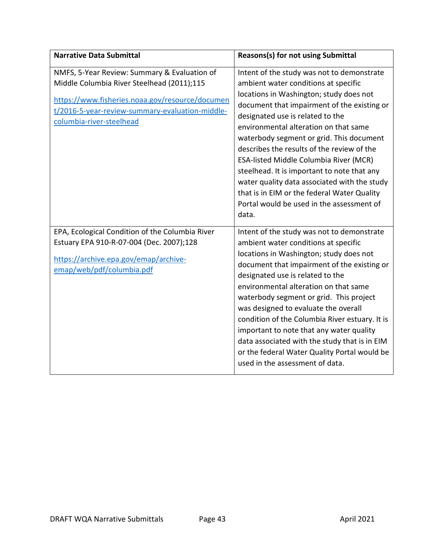| <b>Narrative Data Submittal</b>                                                                                                                                                                                              | Reasons(s) for not using Submittal                                                                                                                                                                                                                                                                                                                                                                                                                                                                                                                                                                       |
|------------------------------------------------------------------------------------------------------------------------------------------------------------------------------------------------------------------------------|----------------------------------------------------------------------------------------------------------------------------------------------------------------------------------------------------------------------------------------------------------------------------------------------------------------------------------------------------------------------------------------------------------------------------------------------------------------------------------------------------------------------------------------------------------------------------------------------------------|
| NMFS, 5-Year Review: Summary & Evaluation of<br>Middle Columbia River Steelhead (2011);115<br>https://www.fisheries.noaa.gov/resource/documen<br>t/2016-5-year-review-summary-evaluation-middle-<br>columbia-river-steelhead | Intent of the study was not to demonstrate<br>ambient water conditions at specific<br>locations in Washington; study does not<br>document that impairment of the existing or<br>designated use is related to the<br>environmental alteration on that same<br>waterbody segment or grid. This document<br>describes the results of the review of the<br><b>ESA-listed Middle Columbia River (MCR)</b><br>steelhead. It is important to note that any<br>water quality data associated with the study<br>that is in EIM or the federal Water Quality<br>Portal would be used in the assessment of<br>data. |
| EPA, Ecological Condition of the Columbia River<br>Estuary EPA 910-R-07-004 (Dec. 2007);128<br>https://archive.epa.gov/emap/archive-<br>emap/web/pdf/columbia.pdf                                                            | Intent of the study was not to demonstrate<br>ambient water conditions at specific<br>locations in Washington; study does not<br>document that impairment of the existing or<br>designated use is related to the<br>environmental alteration on that same<br>waterbody segment or grid. This project<br>was designed to evaluate the overall<br>condition of the Columbia River estuary. It is<br>important to note that any water quality<br>data associated with the study that is in EIM<br>or the federal Water Quality Portal would be<br>used in the assessment of data.                           |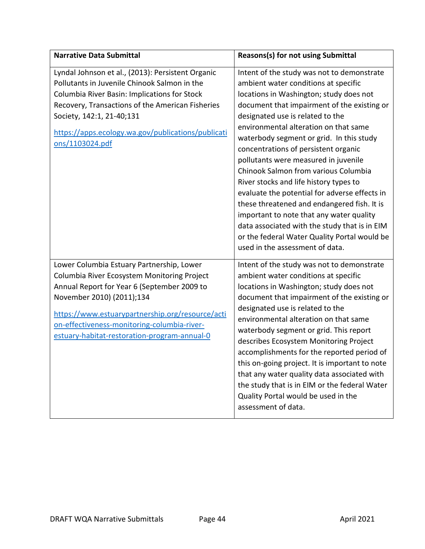| <b>Narrative Data Submittal</b>                                                                                                                                                                                                                                                                                         | Reasons(s) for not using Submittal                                                                                                                                                                                                                                                                                                                                                                                                                                                                                                                                                                                                                                                                                                                      |
|-------------------------------------------------------------------------------------------------------------------------------------------------------------------------------------------------------------------------------------------------------------------------------------------------------------------------|---------------------------------------------------------------------------------------------------------------------------------------------------------------------------------------------------------------------------------------------------------------------------------------------------------------------------------------------------------------------------------------------------------------------------------------------------------------------------------------------------------------------------------------------------------------------------------------------------------------------------------------------------------------------------------------------------------------------------------------------------------|
| Lyndal Johnson et al., (2013): Persistent Organic<br>Pollutants in Juvenile Chinook Salmon in the<br>Columbia River Basin: Implications for Stock<br>Recovery, Transactions of the American Fisheries<br>Society, 142:1, 21-40;131<br>https://apps.ecology.wa.gov/publications/publicati<br>ons/1103024.pdf             | Intent of the study was not to demonstrate<br>ambient water conditions at specific<br>locations in Washington; study does not<br>document that impairment of the existing or<br>designated use is related to the<br>environmental alteration on that same<br>waterbody segment or grid. In this study<br>concentrations of persistent organic<br>pollutants were measured in juvenile<br>Chinook Salmon from various Columbia<br>River stocks and life history types to<br>evaluate the potential for adverse effects in<br>these threatened and endangered fish. It is<br>important to note that any water quality<br>data associated with the study that is in EIM<br>or the federal Water Quality Portal would be<br>used in the assessment of data. |
| Lower Columbia Estuary Partnership, Lower<br>Columbia River Ecosystem Monitoring Project<br>Annual Report for Year 6 (September 2009 to<br>November 2010) (2011);134<br>https://www.estuarypartnership.org/resource/acti<br>on-effectiveness-monitoring-columbia-river-<br>estuary-habitat-restoration-program-annual-0 | Intent of the study was not to demonstrate<br>ambient water conditions at specific<br>locations in Washington; study does not<br>document that impairment of the existing or<br>designated use is related to the<br>environmental alteration on that same<br>waterbody segment or grid. This report<br>describes Ecosystem Monitoring Project<br>accomplishments for the reported period of<br>this on-going project. It is important to note<br>that any water quality data associated with<br>the study that is in EIM or the federal Water<br>Quality Portal would be used in the<br>assessment of data.                                                                                                                                             |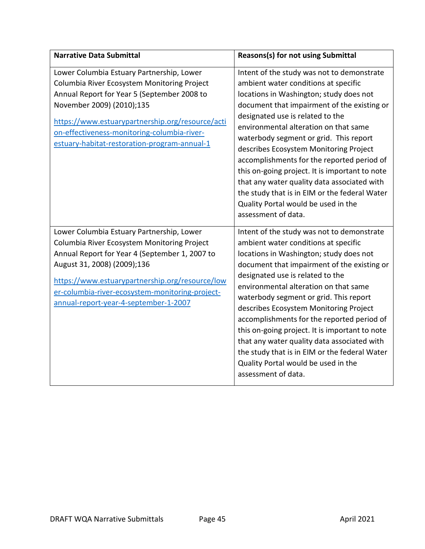| <b>Narrative Data Submittal</b>                                                                                                                                                                                                                                                                                          | Reasons(s) for not using Submittal                                                                                                                                                                                                                                                                                                                                                                                                                                                                                                                                                                          |
|--------------------------------------------------------------------------------------------------------------------------------------------------------------------------------------------------------------------------------------------------------------------------------------------------------------------------|-------------------------------------------------------------------------------------------------------------------------------------------------------------------------------------------------------------------------------------------------------------------------------------------------------------------------------------------------------------------------------------------------------------------------------------------------------------------------------------------------------------------------------------------------------------------------------------------------------------|
| Lower Columbia Estuary Partnership, Lower<br>Columbia River Ecosystem Monitoring Project<br>Annual Report for Year 5 (September 2008 to<br>November 2009) (2010);135<br>https://www.estuarypartnership.org/resource/acti<br>on-effectiveness-monitoring-columbia-river-<br>estuary-habitat-restoration-program-annual-1  | Intent of the study was not to demonstrate<br>ambient water conditions at specific<br>locations in Washington; study does not<br>document that impairment of the existing or<br>designated use is related to the<br>environmental alteration on that same<br>waterbody segment or grid. This report<br>describes Ecosystem Monitoring Project<br>accomplishments for the reported period of<br>this on-going project. It is important to note<br>that any water quality data associated with<br>the study that is in EIM or the federal Water<br>Quality Portal would be used in the<br>assessment of data. |
| Lower Columbia Estuary Partnership, Lower<br>Columbia River Ecosystem Monitoring Project<br>Annual Report for Year 4 (September 1, 2007 to<br>August 31, 2008) (2009);136<br>https://www.estuarypartnership.org/resource/low<br>er-columbia-river-ecosystem-monitoring-project-<br>annual-report-year-4-september-1-2007 | Intent of the study was not to demonstrate<br>ambient water conditions at specific<br>locations in Washington; study does not<br>document that impairment of the existing or<br>designated use is related to the<br>environmental alteration on that same<br>waterbody segment or grid. This report<br>describes Ecosystem Monitoring Project<br>accomplishments for the reported period of<br>this on-going project. It is important to note<br>that any water quality data associated with<br>the study that is in EIM or the federal Water<br>Quality Portal would be used in the<br>assessment of data. |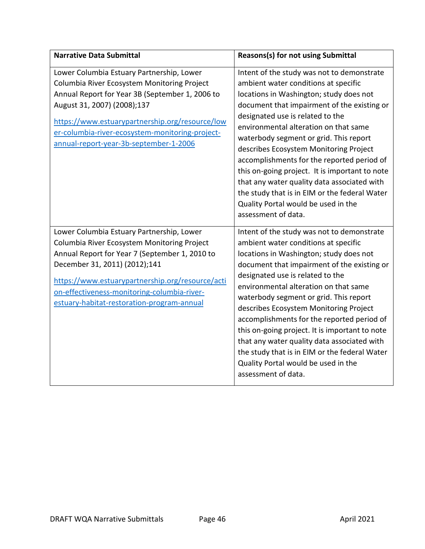| <b>Narrative Data Submittal</b>                                                                                                                                                                                                                                                                                              | <b>Reasons(s) for not using Submittal</b>                                                                                                                                                                                                                                                                                                                                                                                                                                                                                                                                                                   |
|------------------------------------------------------------------------------------------------------------------------------------------------------------------------------------------------------------------------------------------------------------------------------------------------------------------------------|-------------------------------------------------------------------------------------------------------------------------------------------------------------------------------------------------------------------------------------------------------------------------------------------------------------------------------------------------------------------------------------------------------------------------------------------------------------------------------------------------------------------------------------------------------------------------------------------------------------|
| Lower Columbia Estuary Partnership, Lower<br>Columbia River Ecosystem Monitoring Project<br>Annual Report for Year 3B (September 1, 2006 to<br>August 31, 2007) (2008);137<br>https://www.estuarypartnership.org/resource/low<br>er-columbia-river-ecosystem-monitoring-project-<br>annual-report-year-3b-september-1-2006   | Intent of the study was not to demonstrate<br>ambient water conditions at specific<br>locations in Washington; study does not<br>document that impairment of the existing or<br>designated use is related to the<br>environmental alteration on that same<br>waterbody segment or grid. This report<br>describes Ecosystem Monitoring Project<br>accomplishments for the reported period of<br>this on-going project. It is important to note<br>that any water quality data associated with<br>the study that is in EIM or the federal Water<br>Quality Portal would be used in the<br>assessment of data. |
| Lower Columbia Estuary Partnership, Lower<br>Columbia River Ecosystem Monitoring Project<br>Annual Report for Year 7 (September 1, 2010 to<br>December 31, 2011) (2012);141<br>https://www.estuarypartnership.org/resource/acti<br>on-effectiveness-monitoring-columbia-river-<br>estuary-habitat-restoration-program-annual | Intent of the study was not to demonstrate<br>ambient water conditions at specific<br>locations in Washington; study does not<br>document that impairment of the existing or<br>designated use is related to the<br>environmental alteration on that same<br>waterbody segment or grid. This report<br>describes Ecosystem Monitoring Project<br>accomplishments for the reported period of<br>this on-going project. It is important to note<br>that any water quality data associated with<br>the study that is in EIM or the federal Water<br>Quality Portal would be used in the<br>assessment of data. |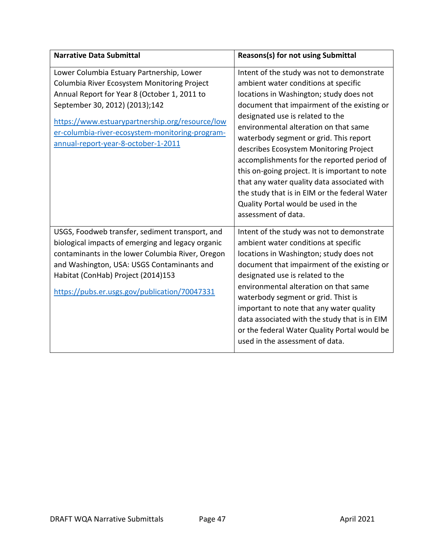| <b>Narrative Data Submittal</b>                                                                                                                                                                                                                                                                                         | <b>Reasons(s) for not using Submittal</b>                                                                                                                                                                                                                                                                                                                                                                                                                                                                                                                                                                   |
|-------------------------------------------------------------------------------------------------------------------------------------------------------------------------------------------------------------------------------------------------------------------------------------------------------------------------|-------------------------------------------------------------------------------------------------------------------------------------------------------------------------------------------------------------------------------------------------------------------------------------------------------------------------------------------------------------------------------------------------------------------------------------------------------------------------------------------------------------------------------------------------------------------------------------------------------------|
| Lower Columbia Estuary Partnership, Lower<br>Columbia River Ecosystem Monitoring Project<br>Annual Report for Year 8 (October 1, 2011 to<br>September 30, 2012) (2013);142<br>https://www.estuarypartnership.org/resource/low<br>er-columbia-river-ecosystem-monitoring-program-<br>annual-report-year-8-october-1-2011 | Intent of the study was not to demonstrate<br>ambient water conditions at specific<br>locations in Washington; study does not<br>document that impairment of the existing or<br>designated use is related to the<br>environmental alteration on that same<br>waterbody segment or grid. This report<br>describes Ecosystem Monitoring Project<br>accomplishments for the reported period of<br>this on-going project. It is important to note<br>that any water quality data associated with<br>the study that is in EIM or the federal Water<br>Quality Portal would be used in the<br>assessment of data. |
| USGS, Foodweb transfer, sediment transport, and<br>biological impacts of emerging and legacy organic<br>contaminants in the lower Columbia River, Oregon<br>and Washington, USA: USGS Contaminants and<br>Habitat (ConHab) Project (2014)153<br>https://pubs.er.usgs.gov/publication/70047331                           | Intent of the study was not to demonstrate<br>ambient water conditions at specific<br>locations in Washington; study does not<br>document that impairment of the existing or<br>designated use is related to the<br>environmental alteration on that same<br>waterbody segment or grid. Thist is<br>important to note that any water quality<br>data associated with the study that is in EIM<br>or the federal Water Quality Portal would be<br>used in the assessment of data.                                                                                                                            |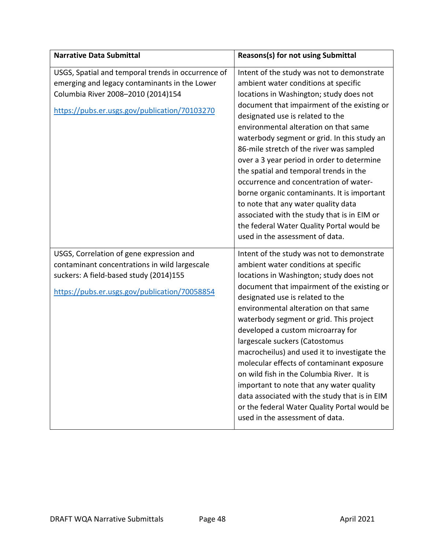| <b>Narrative Data Submittal</b>                                                                                                                                                            | Reasons(s) for not using Submittal                                                                                                                                                                                                                                                                                                                                                                                                                                                                                                                                                                                                                                                                          |
|--------------------------------------------------------------------------------------------------------------------------------------------------------------------------------------------|-------------------------------------------------------------------------------------------------------------------------------------------------------------------------------------------------------------------------------------------------------------------------------------------------------------------------------------------------------------------------------------------------------------------------------------------------------------------------------------------------------------------------------------------------------------------------------------------------------------------------------------------------------------------------------------------------------------|
| USGS, Spatial and temporal trends in occurrence of<br>emerging and legacy contaminants in the Lower<br>Columbia River 2008-2010 (2014)154<br>https://pubs.er.usgs.gov/publication/70103270 | Intent of the study was not to demonstrate<br>ambient water conditions at specific<br>locations in Washington; study does not<br>document that impairment of the existing or<br>designated use is related to the<br>environmental alteration on that same<br>waterbody segment or grid. In this study an<br>86-mile stretch of the river was sampled<br>over a 3 year period in order to determine<br>the spatial and temporal trends in the<br>occurrence and concentration of water-<br>borne organic contaminants. It is important<br>to note that any water quality data<br>associated with the study that is in EIM or<br>the federal Water Quality Portal would be<br>used in the assessment of data. |
| USGS, Correlation of gene expression and<br>contaminant concentrations in wild largescale<br>suckers: A field-based study (2014)155<br>https://pubs.er.usgs.gov/publication/70058854       | Intent of the study was not to demonstrate<br>ambient water conditions at specific<br>locations in Washington; study does not<br>document that impairment of the existing or<br>designated use is related to the<br>environmental alteration on that same<br>waterbody segment or grid. This project<br>developed a custom microarray for<br>largescale suckers (Catostomus<br>macrocheilus) and used it to investigate the<br>molecular effects of contaminant exposure<br>on wild fish in the Columbia River. It is<br>important to note that any water quality<br>data associated with the study that is in EIM<br>or the federal Water Quality Portal would be<br>used in the assessment of data.       |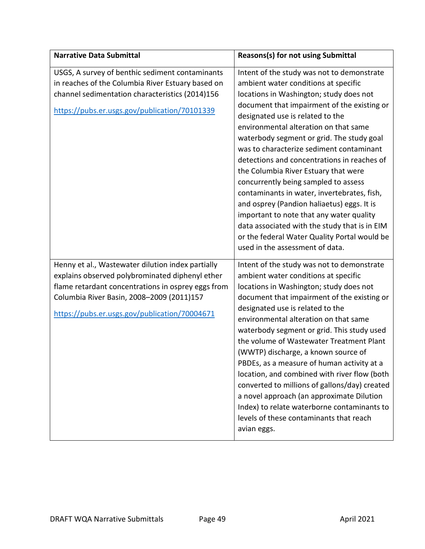| <b>Narrative Data Submittal</b>                                                                                                                                                                                                                          | Reasons(s) for not using Submittal                                                                                                                                                                                                                                                                                                                                                                                                                                                                                                                                                                                                                                                                                                                             |
|----------------------------------------------------------------------------------------------------------------------------------------------------------------------------------------------------------------------------------------------------------|----------------------------------------------------------------------------------------------------------------------------------------------------------------------------------------------------------------------------------------------------------------------------------------------------------------------------------------------------------------------------------------------------------------------------------------------------------------------------------------------------------------------------------------------------------------------------------------------------------------------------------------------------------------------------------------------------------------------------------------------------------------|
| USGS, A survey of benthic sediment contaminants<br>in reaches of the Columbia River Estuary based on<br>channel sedimentation characteristics (2014)156<br>https://pubs.er.usgs.gov/publication/70101339                                                 | Intent of the study was not to demonstrate<br>ambient water conditions at specific<br>locations in Washington; study does not<br>document that impairment of the existing or<br>designated use is related to the<br>environmental alteration on that same<br>waterbody segment or grid. The study goal<br>was to characterize sediment contaminant<br>detections and concentrations in reaches of<br>the Columbia River Estuary that were<br>concurrently being sampled to assess<br>contaminants in water, invertebrates, fish,<br>and osprey (Pandion haliaetus) eggs. It is<br>important to note that any water quality<br>data associated with the study that is in EIM<br>or the federal Water Quality Portal would be<br>used in the assessment of data. |
| Henny et al., Wastewater dilution index partially<br>explains observed polybrominated diphenyl ether<br>flame retardant concentrations in osprey eggs from<br>Columbia River Basin, 2008-2009 (2011)157<br>https://pubs.er.usgs.gov/publication/70004671 | Intent of the study was not to demonstrate<br>ambient water conditions at specific<br>locations in Washington; study does not<br>document that impairment of the existing or<br>designated use is related to the<br>environmental alteration on that same<br>waterbody segment or grid. This study used<br>the volume of Wastewater Treatment Plant<br>(WWTP) discharge, a known source of<br>PBDEs, as a measure of human activity at a<br>location, and combined with river flow (both<br>converted to millions of gallons/day) created<br>a novel approach (an approximate Dilution<br>Index) to relate waterborne contaminants to<br>levels of these contaminants that reach<br>avian eggs.                                                                |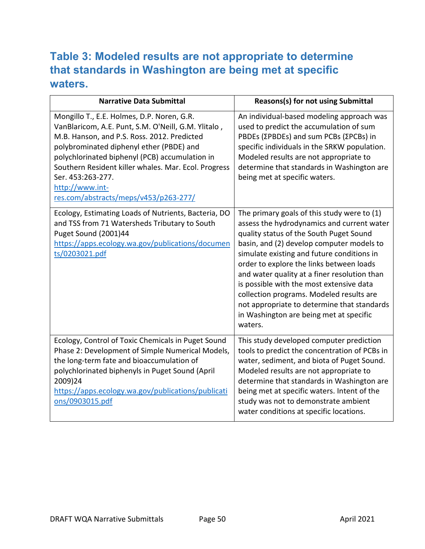## **Table 3: Modeled results are not appropriate to determine that standards in Washington are being met at specific waters.**

| <b>Narrative Data Submittal</b>                                                                                                                                                                                                                                                                                                                                                         | Reasons(s) for not using Submittal                                                                                                                                                                                                                                                                                                                                                                                                                                                                                       |
|-----------------------------------------------------------------------------------------------------------------------------------------------------------------------------------------------------------------------------------------------------------------------------------------------------------------------------------------------------------------------------------------|--------------------------------------------------------------------------------------------------------------------------------------------------------------------------------------------------------------------------------------------------------------------------------------------------------------------------------------------------------------------------------------------------------------------------------------------------------------------------------------------------------------------------|
| Mongillo T., E.E. Holmes, D.P. Noren, G.R.<br>VanBlaricom, A.E. Punt, S.M. O'Neill, G.M. Ylitalo,<br>M.B. Hanson, and P.S. Ross. 2012. Predicted<br>polybrominated diphenyl ether (PBDE) and<br>polychlorinated biphenyl (PCB) accumulation in<br>Southern Resident killer whales. Mar. Ecol. Progress<br>Ser. 453:263-277.<br>http://www.int-<br>res.com/abstracts/meps/v453/p263-277/ | An individual-based modeling approach was<br>used to predict the accumulation of sum<br>PBDEs (ΣPBDEs) and sum PCBs (ΣPCBs) in<br>specific individuals in the SRKW population.<br>Modeled results are not appropriate to<br>determine that standards in Washington are<br>being met at specific waters.                                                                                                                                                                                                                  |
| Ecology, Estimating Loads of Nutrients, Bacteria, DO<br>and TSS from 71 Watersheds Tributary to South<br>Puget Sound (2001)44<br>https://apps.ecology.wa.gov/publications/documen<br>ts/0203021.pdf                                                                                                                                                                                     | The primary goals of this study were to (1)<br>assess the hydrodynamics and current water<br>quality status of the South Puget Sound<br>basin, and (2) develop computer models to<br>simulate existing and future conditions in<br>order to explore the links between loads<br>and water quality at a finer resolution than<br>is possible with the most extensive data<br>collection programs. Modeled results are<br>not appropriate to determine that standards<br>in Washington are being met at specific<br>waters. |
| Ecology, Control of Toxic Chemicals in Puget Sound<br>Phase 2: Development of Simple Numerical Models,<br>the long-term fate and bioaccumulation of<br>polychlorinated biphenyls in Puget Sound (April<br>2009)24<br>https://apps.ecology.wa.gov/publications/publicati<br>ons/0903015.pdf                                                                                              | This study developed computer prediction<br>tools to predict the concentration of PCBs in<br>water, sediment, and biota of Puget Sound.<br>Modeled results are not appropriate to<br>determine that standards in Washington are<br>being met at specific waters. Intent of the<br>study was not to demonstrate ambient<br>water conditions at specific locations.                                                                                                                                                        |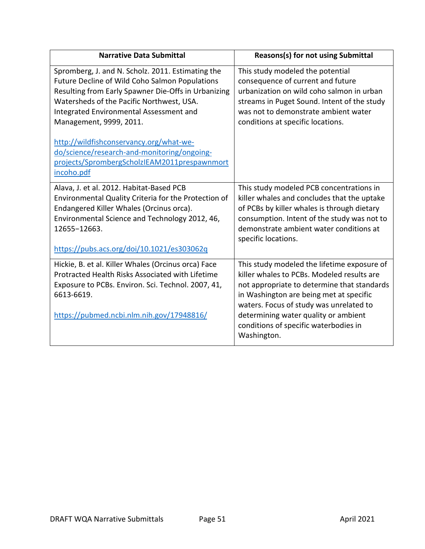| <b>Narrative Data Submittal</b>                                                                                                                                                                                                                                                                                                                                                                                                       | Reasons(s) for not using Submittal                                                                                                                                                                                                                                                                                             |
|---------------------------------------------------------------------------------------------------------------------------------------------------------------------------------------------------------------------------------------------------------------------------------------------------------------------------------------------------------------------------------------------------------------------------------------|--------------------------------------------------------------------------------------------------------------------------------------------------------------------------------------------------------------------------------------------------------------------------------------------------------------------------------|
| Spromberg, J. and N. Scholz. 2011. Estimating the<br>Future Decline of Wild Coho Salmon Populations<br>Resulting from Early Spawner Die-Offs in Urbanizing<br>Watersheds of the Pacific Northwest, USA.<br>Integrated Environmental Assessment and<br>Management, 9999, 2011.<br>http://wildfishconservancy.org/what-we-<br>do/science/research-and-monitoring/ongoing-<br>projects/SprombergScholzIEAM2011prespawnmort<br>incoho.pdf | This study modeled the potential<br>consequence of current and future<br>urbanization on wild coho salmon in urban<br>streams in Puget Sound. Intent of the study<br>was not to demonstrate ambient water<br>conditions at specific locations.                                                                                 |
| Alava, J. et al. 2012. Habitat-Based PCB<br>Environmental Quality Criteria for the Protection of<br>Endangered Killer Whales (Orcinus orca).<br>Environmental Science and Technology 2012, 46,<br>12655-12663.<br>https://pubs.acs.org/doi/10.1021/es303062q                                                                                                                                                                          | This study modeled PCB concentrations in<br>killer whales and concludes that the uptake<br>of PCBs by killer whales is through dietary<br>consumption. Intent of the study was not to<br>demonstrate ambient water conditions at<br>specific locations.                                                                        |
| Hickie, B. et al. Killer Whales (Orcinus orca) Face<br>Protracted Health Risks Associated with Lifetime<br>Exposure to PCBs. Environ. Sci. Technol. 2007, 41,<br>6613-6619.<br>https://pubmed.ncbi.nlm.nih.gov/17948816/                                                                                                                                                                                                              | This study modeled the lifetime exposure of<br>killer whales to PCBs. Modeled results are<br>not appropriate to determine that standards<br>in Washington are being met at specific<br>waters. Focus of study was unrelated to<br>determining water quality or ambient<br>conditions of specific waterbodies in<br>Washington. |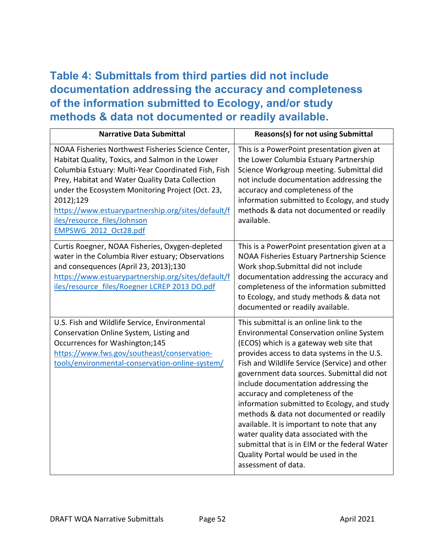## **Table 4: Submittals from third parties did not include documentation addressing the accuracy and completeness of the information submitted to Ecology, and/or study methods & data not documented or readily available.**

| <b>Narrative Data Submittal</b>                                                                                                                                                                                                                                                                                                                                                                 | Reasons(s) for not using Submittal                                                                                                                                                                                                                                                                                                                                                                                                                                                                                                                                                                                                                          |
|-------------------------------------------------------------------------------------------------------------------------------------------------------------------------------------------------------------------------------------------------------------------------------------------------------------------------------------------------------------------------------------------------|-------------------------------------------------------------------------------------------------------------------------------------------------------------------------------------------------------------------------------------------------------------------------------------------------------------------------------------------------------------------------------------------------------------------------------------------------------------------------------------------------------------------------------------------------------------------------------------------------------------------------------------------------------------|
| NOAA Fisheries Northwest Fisheries Science Center,<br>Habitat Quality, Toxics, and Salmon in the Lower<br>Columbia Estuary: Multi-Year Coordinated Fish, Fish<br>Prey, Habitat and Water Quality Data Collection<br>under the Ecosystem Monitoring Project (Oct. 23,<br>2012);129<br>https://www.estuarypartnership.org/sites/default/f<br>iles/resource files/Johnson<br>EMPSWG 2012 Oct28.pdf | This is a PowerPoint presentation given at<br>the Lower Columbia Estuary Partnership<br>Science Workgroup meeting. Submittal did<br>not include documentation addressing the<br>accuracy and completeness of the<br>information submitted to Ecology, and study<br>methods & data not documented or readily<br>available.                                                                                                                                                                                                                                                                                                                                   |
| Curtis Roegner, NOAA Fisheries, Oxygen-depleted<br>water in the Columbia River estuary; Observations<br>and consequences (April 23, 2013);130<br>https://www.estuarypartnership.org/sites/default/f<br>iles/resource files/Roegner LCREP 2013 DO.pdf                                                                                                                                            | This is a PowerPoint presentation given at a<br>NOAA Fisheries Estuary Partnership Science<br>Work shop.Submittal did not include<br>documentation addressing the accuracy and<br>completeness of the information submitted<br>to Ecology, and study methods & data not<br>documented or readily available.                                                                                                                                                                                                                                                                                                                                                 |
| U.S. Fish and Wildlife Service, Environmental<br>Conservation Online System, Listing and<br>Occurrences for Washington;145<br>https://www.fws.gov/southeast/conservation-<br>tools/environmental-conservation-online-system/                                                                                                                                                                    | This submittal is an online link to the<br>Environmental Conservation online System<br>(ECOS) which is a gateway web site that<br>provides access to data systems in the U.S.<br>Fish and Wildlife Service (Service) and other<br>government data sources. Submittal did not<br>include documentation addressing the<br>accuracy and completeness of the<br>information submitted to Ecology, and study<br>methods & data not documented or readily<br>available. It is important to note that any<br>water quality data associated with the<br>submittal that is in EIM or the federal Water<br>Quality Portal would be used in the<br>assessment of data. |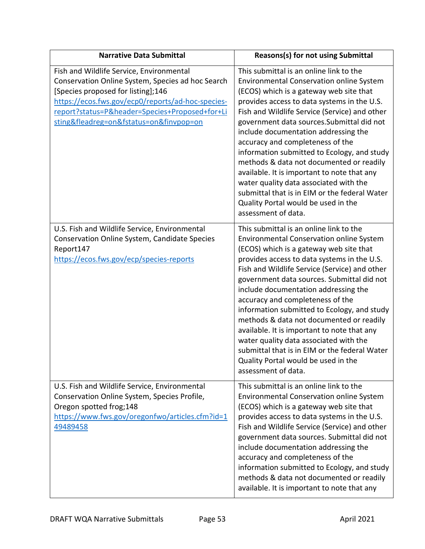| <b>Narrative Data Submittal</b>                                                                                                                                                                                                                                                       | <b>Reasons(s) for not using Submittal</b>                                                                                                                                                                                                                                                                                                                                                                                                                                                                                                                                                                                                                          |
|---------------------------------------------------------------------------------------------------------------------------------------------------------------------------------------------------------------------------------------------------------------------------------------|--------------------------------------------------------------------------------------------------------------------------------------------------------------------------------------------------------------------------------------------------------------------------------------------------------------------------------------------------------------------------------------------------------------------------------------------------------------------------------------------------------------------------------------------------------------------------------------------------------------------------------------------------------------------|
| Fish and Wildlife Service, Environmental<br>Conservation Online System, Species ad hoc Search<br>[Species proposed for listing];146<br>https://ecos.fws.gov/ecp0/reports/ad-hoc-species-<br>report?status=P&header=Species+Proposed+for+Li<br>sting&fleadreg=on&fstatus=on&finvpop=on | This submittal is an online link to the<br><b>Environmental Conservation online System</b><br>(ECOS) which is a gateway web site that<br>provides access to data systems in the U.S.<br>Fish and Wildlife Service (Service) and other<br>government data sources. Submittal did not<br>include documentation addressing the<br>accuracy and completeness of the<br>information submitted to Ecology, and study<br>methods & data not documented or readily<br>available. It is important to note that any<br>water quality data associated with the<br>submittal that is in EIM or the federal Water<br>Quality Portal would be used in the<br>assessment of data. |
| U.S. Fish and Wildlife Service, Environmental<br>Conservation Online System, Candidate Species<br>Report147<br>https://ecos.fws.gov/ecp/species-reports                                                                                                                               | This submittal is an online link to the<br><b>Environmental Conservation online System</b><br>(ECOS) which is a gateway web site that<br>provides access to data systems in the U.S.<br>Fish and Wildlife Service (Service) and other<br>government data sources. Submittal did not<br>include documentation addressing the<br>accuracy and completeness of the<br>information submitted to Ecology, and study<br>methods & data not documented or readily<br>available. It is important to note that any<br>water quality data associated with the<br>submittal that is in EIM or the federal Water<br>Quality Portal would be used in the<br>assessment of data. |
| U.S. Fish and Wildlife Service, Environmental<br>Conservation Online System, Species Profile,<br>Oregon spotted frog;148<br>https://www.fws.gov/oregonfwo/articles.cfm?id=1<br>49489458                                                                                               | This submittal is an online link to the<br><b>Environmental Conservation online System</b><br>(ECOS) which is a gateway web site that<br>provides access to data systems in the U.S.<br>Fish and Wildlife Service (Service) and other<br>government data sources. Submittal did not<br>include documentation addressing the<br>accuracy and completeness of the<br>information submitted to Ecology, and study<br>methods & data not documented or readily<br>available. It is important to note that any                                                                                                                                                          |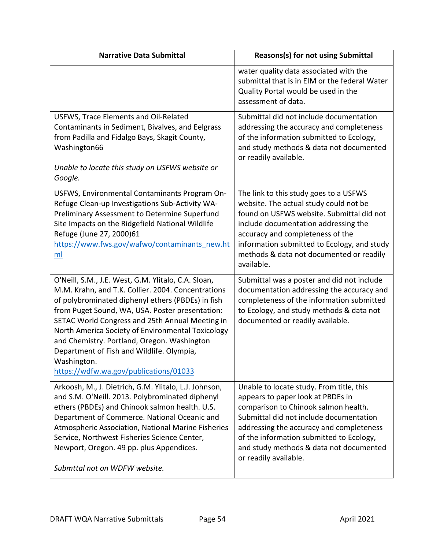| <b>Narrative Data Submittal</b>                                                                                                                                                                                                                                                                                                                                                                                                                                                | <b>Reasons(s) for not using Submittal</b>                                                                                                                                                                                                                                                                                    |
|--------------------------------------------------------------------------------------------------------------------------------------------------------------------------------------------------------------------------------------------------------------------------------------------------------------------------------------------------------------------------------------------------------------------------------------------------------------------------------|------------------------------------------------------------------------------------------------------------------------------------------------------------------------------------------------------------------------------------------------------------------------------------------------------------------------------|
|                                                                                                                                                                                                                                                                                                                                                                                                                                                                                | water quality data associated with the<br>submittal that is in EIM or the federal Water<br>Quality Portal would be used in the<br>assessment of data.                                                                                                                                                                        |
| USFWS, Trace Elements and Oil-Related<br>Contaminants in Sediment, Bivalves, and Eelgrass<br>from Padilla and Fidalgo Bays, Skagit County,<br>Washington66<br>Unable to locate this study on USFWS website or<br>Google.                                                                                                                                                                                                                                                       | Submittal did not include documentation<br>addressing the accuracy and completeness<br>of the information submitted to Ecology,<br>and study methods & data not documented<br>or readily available.                                                                                                                          |
| USFWS, Environmental Contaminants Program On-<br>Refuge Clean-up Investigations Sub-Activity WA-<br>Preliminary Assessment to Determine Superfund<br>Site Impacts on the Ridgefield National Wildlife<br>Refuge (June 27, 2000)61<br>https://www.fws.gov/wafwo/contaminants new.ht<br>ml                                                                                                                                                                                       | The link to this study goes to a USFWS<br>website. The actual study could not be<br>found on USFWS website. Submittal did not<br>include documentation addressing the<br>accuracy and completeness of the<br>information submitted to Ecology, and study<br>methods & data not documented or readily<br>available.           |
| O'Neill, S.M., J.E. West, G.M. Ylitalo, C.A. Sloan,<br>M.M. Krahn, and T.K. Collier. 2004. Concentrations<br>of polybrominated diphenyl ethers (PBDEs) in fish<br>from Puget Sound, WA, USA. Poster presentation:<br>SETAC World Congress and 25th Annual Meeting in<br>North America Society of Environmental Toxicology<br>and Chemistry. Portland, Oregon. Washington<br>Department of Fish and Wildlife. Olympia,<br>Washington.<br>https://wdfw.wa.gov/publications/01033 | Submittal was a poster and did not include<br>documentation addressing the accuracy and<br>completeness of the information submitted<br>to Ecology, and study methods & data not<br>documented or readily available.                                                                                                         |
| Arkoosh, M., J. Dietrich, G.M. Ylitalo, L.J. Johnson,<br>and S.M. O'Neill. 2013. Polybrominated diphenyl<br>ethers (PBDEs) and Chinook salmon health. U.S.<br>Department of Commerce. National Oceanic and<br>Atmospheric Association, National Marine Fisheries<br>Service, Northwest Fisheries Science Center,<br>Newport, Oregon. 49 pp. plus Appendices.<br>Submttal not on WDFW website.                                                                                  | Unable to locate study. From title, this<br>appears to paper look at PBDEs in<br>comparison to Chinook salmon health.<br>Submittal did not include documentation<br>addressing the accuracy and completeness<br>of the information submitted to Ecology,<br>and study methods & data not documented<br>or readily available. |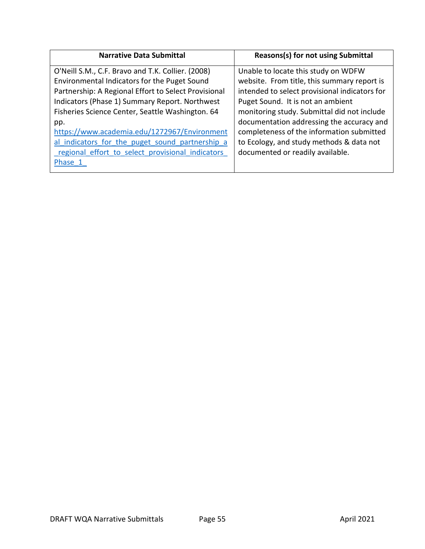| <b>Narrative Data Submittal</b>                                                                                                                                                                                                                                                                                                                                           | <b>Reasons(s) for not using Submittal</b>                                                                                                                                                                                                                                                                                                                     |
|---------------------------------------------------------------------------------------------------------------------------------------------------------------------------------------------------------------------------------------------------------------------------------------------------------------------------------------------------------------------------|---------------------------------------------------------------------------------------------------------------------------------------------------------------------------------------------------------------------------------------------------------------------------------------------------------------------------------------------------------------|
| O'Neill S.M., C.F. Bravo and T.K. Collier. (2008)<br>Environmental Indicators for the Puget Sound<br>Partnership: A Regional Effort to Select Provisional<br>Indicators (Phase 1) Summary Report. Northwest<br>Fisheries Science Center, Seattle Washington. 64<br>pp.<br>https://www.academia.edu/1272967/Environment<br>al indicators for the puget sound partnership a | Unable to locate this study on WDFW<br>website. From title, this summary report is<br>intended to select provisional indicators for<br>Puget Sound. It is not an ambient<br>monitoring study. Submittal did not include<br>documentation addressing the accuracy and<br>completeness of the information submitted<br>to Ecology, and study methods & data not |
| regional effort to select provisional indicators<br>Phase 1                                                                                                                                                                                                                                                                                                               | documented or readily available.                                                                                                                                                                                                                                                                                                                              |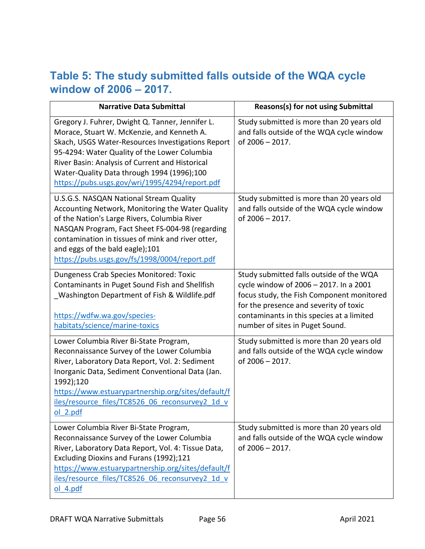## **Table 5: The study submitted falls outside of the WQA cycle window of 2006 – 2017.**

| <b>Narrative Data Submittal</b>                                                                                                                                                                                                                                                                                                                        | <b>Reasons(s) for not using Submittal</b>                                                                                                                                                                                                                 |
|--------------------------------------------------------------------------------------------------------------------------------------------------------------------------------------------------------------------------------------------------------------------------------------------------------------------------------------------------------|-----------------------------------------------------------------------------------------------------------------------------------------------------------------------------------------------------------------------------------------------------------|
| Gregory J. Fuhrer, Dwight Q. Tanner, Jennifer L.<br>Morace, Stuart W. McKenzie, and Kenneth A.<br>Skach, USGS Water-Resources Investigations Report<br>95-4294: Water Quality of the Lower Columbia<br>River Basin: Analysis of Current and Historical<br>Water-Quality Data through 1994 (1996);100<br>https://pubs.usgs.gov/wri/1995/4294/report.pdf | Study submitted is more than 20 years old<br>and falls outside of the WQA cycle window<br>of 2006 - 2017.                                                                                                                                                 |
| U.S.G.S. NASQAN National Stream Quality<br>Accounting Network, Monitoring the Water Quality<br>of the Nation's Large Rivers, Columbia River<br>NASQAN Program, Fact Sheet FS-004-98 (regarding<br>contamination in tissues of mink and river otter,<br>and eggs of the bald eagle);101<br>https://pubs.usgs.gov/fs/1998/0004/report.pdf                | Study submitted is more than 20 years old<br>and falls outside of the WQA cycle window<br>of 2006 - 2017.                                                                                                                                                 |
| Dungeness Crab Species Monitored: Toxic<br>Contaminants in Puget Sound Fish and Shellfish<br>Washington Department of Fish & Wildlife.pdf<br>https://wdfw.wa.gov/species-<br>habitats/science/marine-toxics                                                                                                                                            | Study submitted falls outside of the WQA<br>cycle window of 2006 - 2017. In a 2001<br>focus study, the Fish Component monitored<br>for the presence and severity of toxic<br>contaminants in this species at a limited<br>number of sites in Puget Sound. |
| Lower Columbia River Bi-State Program,<br>Reconnaissance Survey of the Lower Columbia<br>River, Laboratory Data Report, Vol. 2: Sediment<br>Inorganic Data, Sediment Conventional Data (Jan.<br>1992);120<br>https://www.estuarypartnership.org/sites/default/f<br>iles/resource files/TC8526 06 reconsurvey2 1d v<br>ol 2.pdf                         | Study submitted is more than 20 years old<br>and falls outside of the WQA cycle window<br>of 2006 - 2017.                                                                                                                                                 |
| Lower Columbia River Bi-State Program,<br>Reconnaissance Survey of the Lower Columbia<br>River, Laboratory Data Report, Vol. 4: Tissue Data,<br>Excluding Dioxins and Furans (1992);121<br>https://www.estuarypartnership.org/sites/default/f<br>iles/resource files/TC8526 06 reconsurvey2 1d v<br>ol 4.pdf                                           | Study submitted is more than 20 years old<br>and falls outside of the WQA cycle window<br>of 2006 - 2017.                                                                                                                                                 |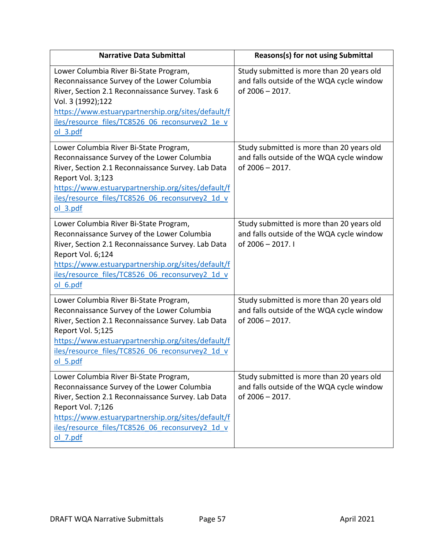| <b>Narrative Data Submittal</b>                                                                                                                                                                                                                                                         | <b>Reasons(s) for not using Submittal</b>                                                                   |
|-----------------------------------------------------------------------------------------------------------------------------------------------------------------------------------------------------------------------------------------------------------------------------------------|-------------------------------------------------------------------------------------------------------------|
| Lower Columbia River Bi-State Program,<br>Reconnaissance Survey of the Lower Columbia<br>River, Section 2.1 Reconnaissance Survey. Task 6<br>Vol. 3 (1992);122<br>https://www.estuarypartnership.org/sites/default/f<br>iles/resource files/TC8526 06 reconsurvey2 1e v<br>$ol$ 3.pdf   | Study submitted is more than 20 years old<br>and falls outside of the WQA cycle window<br>of 2006 - 2017.   |
| Lower Columbia River Bi-State Program,<br>Reconnaissance Survey of the Lower Columbia<br>River, Section 2.1 Reconnaissance Survey. Lab Data<br>Report Vol. 3;123<br>https://www.estuarypartnership.org/sites/default/f<br>iles/resource files/TC8526 06 reconsurvey2 1d v<br>ol 3.pdf   | Study submitted is more than 20 years old<br>and falls outside of the WQA cycle window<br>of 2006 - 2017.   |
| Lower Columbia River Bi-State Program,<br>Reconnaissance Survey of the Lower Columbia<br>River, Section 2.1 Reconnaissance Survey. Lab Data<br>Report Vol. 6;124<br>https://www.estuarypartnership.org/sites/default/f<br>iles/resource files/TC8526 06 reconsurvey2 1d v<br>ol 6.pdf   | Study submitted is more than 20 years old<br>and falls outside of the WQA cycle window<br>of 2006 - 2017. I |
| Lower Columbia River Bi-State Program,<br>Reconnaissance Survey of the Lower Columbia<br>River, Section 2.1 Reconnaissance Survey. Lab Data<br>Report Vol. 5;125<br>https://www.estuarypartnership.org/sites/default/f<br>iles/resource files/TC8526 06 reconsurvey2 1d v<br>$ol$ 5.pdf | Study submitted is more than 20 years old<br>and falls outside of the WQA cycle window<br>of 2006 - 2017.   |
| Lower Columbia River Bi-State Program,<br>Reconnaissance Survey of the Lower Columbia<br>River, Section 2.1 Reconnaissance Survey. Lab Data<br>Report Vol. 7;126<br>https://www.estuarypartnership.org/sites/default/f<br>iles/resource files/TC8526 06 reconsurvey2 1d v<br>ol 7.pdf   | Study submitted is more than 20 years old<br>and falls outside of the WQA cycle window<br>of 2006 - 2017.   |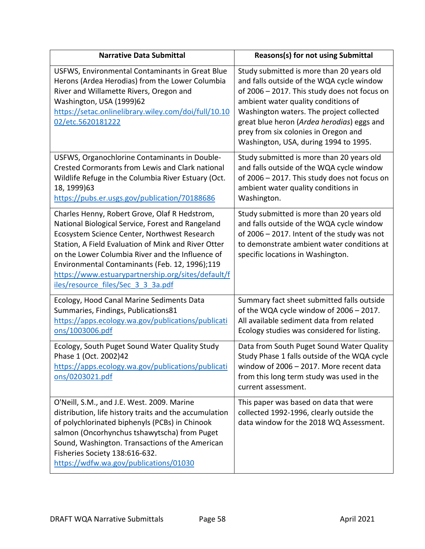| <b>Narrative Data Submittal</b>                                                                                                                                                                                                                                                                                                                                                                             | Reasons(s) for not using Submittal                                                                                                                                                                                                                                                                                                                       |
|-------------------------------------------------------------------------------------------------------------------------------------------------------------------------------------------------------------------------------------------------------------------------------------------------------------------------------------------------------------------------------------------------------------|----------------------------------------------------------------------------------------------------------------------------------------------------------------------------------------------------------------------------------------------------------------------------------------------------------------------------------------------------------|
| USFWS, Environmental Contaminants in Great Blue<br>Herons (Ardea Herodias) from the Lower Columbia<br>River and Willamette Rivers, Oregon and<br>Washington, USA (1999)62<br>https://setac.onlinelibrary.wiley.com/doi/full/10.10<br>02/etc.5620181222                                                                                                                                                      | Study submitted is more than 20 years old<br>and falls outside of the WQA cycle window<br>of 2006 - 2017. This study does not focus on<br>ambient water quality conditions of<br>Washington waters. The project collected<br>great blue heron (Ardea herodias) eggs and<br>prey from six colonies in Oregon and<br>Washington, USA, during 1994 to 1995. |
| USFWS, Organochlorine Contaminants in Double-<br>Crested Cormorants from Lewis and Clark national<br>Wildlife Refuge in the Columbia River Estuary (Oct.<br>18, 1999)63<br>https://pubs.er.usgs.gov/publication/70188686                                                                                                                                                                                    | Study submitted is more than 20 years old<br>and falls outside of the WQA cycle window<br>of 2006 - 2017. This study does not focus on<br>ambient water quality conditions in<br>Washington.                                                                                                                                                             |
| Charles Henny, Robert Grove, Olaf R Hedstrom,<br>National Biological Service, Forest and Rangeland<br>Ecosystem Science Center, Northwest Research<br>Station, A Field Evaluation of Mink and River Otter<br>on the Lower Columbia River and the Influence of<br>Environmental Contaminants (Feb. 12, 1996);119<br>https://www.estuarypartnership.org/sites/default/f<br>iles/resource files/Sec 3 3 3a.pdf | Study submitted is more than 20 years old<br>and falls outside of the WQA cycle window<br>of 2006 - 2017. Intent of the study was not<br>to demonstrate ambient water conditions at<br>specific locations in Washington.                                                                                                                                 |
| Ecology, Hood Canal Marine Sediments Data<br>Summaries, Findings, Publications81<br>https://apps.ecology.wa.gov/publications/publicati<br>ons/1003006.pdf                                                                                                                                                                                                                                                   | Summary fact sheet submitted falls outside<br>of the WQA cycle window of 2006 - 2017.<br>All available sediment data from related<br>Ecology studies was considered for listing.                                                                                                                                                                         |
| Ecology, South Puget Sound Water Quality Study<br>Phase 1 (Oct. 2002)42<br>https://apps.ecology.wa.gov/publications/publicati<br>ons/0203021.pdf                                                                                                                                                                                                                                                            | Data from South Puget Sound Water Quality<br>Study Phase 1 falls outside of the WQA cycle<br>window of 2006 - 2017. More recent data<br>from this long term study was used in the<br>current assessment.                                                                                                                                                 |
| O'Neill, S.M., and J.E. West. 2009. Marine<br>distribution, life history traits and the accumulation<br>of polychlorinated biphenyls (PCBs) in Chinook<br>salmon (Oncorhynchus tshawytscha) from Puget<br>Sound, Washington. Transactions of the American<br>Fisheries Society 138:616-632.<br>https://wdfw.wa.gov/publications/01030                                                                       | This paper was based on data that were<br>collected 1992-1996, clearly outside the<br>data window for the 2018 WQ Assessment.                                                                                                                                                                                                                            |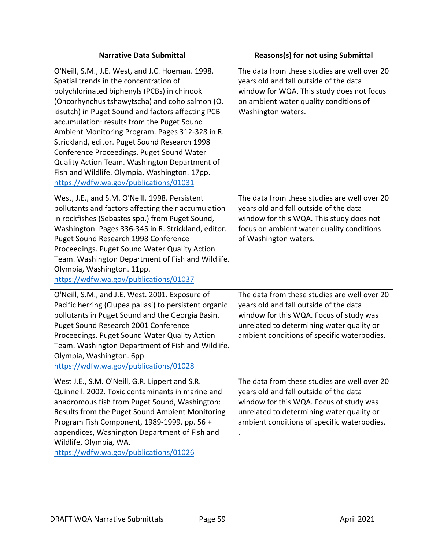| <b>Narrative Data Submittal</b>                                                                                                                                                                                                                                                                                                                                                                                                                                                                                                                                                             | Reasons(s) for not using Submittal                                                                                                                                                                                            |
|---------------------------------------------------------------------------------------------------------------------------------------------------------------------------------------------------------------------------------------------------------------------------------------------------------------------------------------------------------------------------------------------------------------------------------------------------------------------------------------------------------------------------------------------------------------------------------------------|-------------------------------------------------------------------------------------------------------------------------------------------------------------------------------------------------------------------------------|
| O'Neill, S.M., J.E. West, and J.C. Hoeman. 1998.<br>Spatial trends in the concentration of<br>polychlorinated biphenyls (PCBs) in chinook<br>(Oncorhynchus tshawytscha) and coho salmon (O.<br>kisutch) in Puget Sound and factors affecting PCB<br>accumulation: results from the Puget Sound<br>Ambient Monitoring Program. Pages 312-328 in R.<br>Strickland, editor. Puget Sound Research 1998<br>Conference Proceedings. Puget Sound Water<br>Quality Action Team. Washington Department of<br>Fish and Wildlife. Olympia, Washington. 17pp.<br>https://wdfw.wa.gov/publications/01031 | The data from these studies are well over 20<br>years old and fall outside of the data<br>window for WQA. This study does not focus<br>on ambient water quality conditions of<br>Washington waters.                           |
| West, J.E., and S.M. O'Neill. 1998. Persistent<br>pollutants and factors affecting their accumulation<br>in rockfishes (Sebastes spp.) from Puget Sound,<br>Washington. Pages 336-345 in R. Strickland, editor.<br>Puget Sound Research 1998 Conference<br>Proceedings. Puget Sound Water Quality Action<br>Team. Washington Department of Fish and Wildlife.<br>Olympia, Washington. 11pp.<br>https://wdfw.wa.gov/publications/01037                                                                                                                                                       | The data from these studies are well over 20<br>years old and fall outside of the data<br>window for this WQA. This study does not<br>focus on ambient water quality conditions<br>of Washington waters.                      |
| O'Neill, S.M., and J.E. West. 2001. Exposure of<br>Pacific herring (Clupea pallasi) to persistent organic<br>pollutants in Puget Sound and the Georgia Basin.<br>Puget Sound Research 2001 Conference<br>Proceedings. Puget Sound Water Quality Action<br>Team. Washington Department of Fish and Wildlife.<br>Olympia, Washington. 6pp.<br>https://wdfw.wa.gov/publications/01028                                                                                                                                                                                                          | The data from these studies are well over 20<br>years old and fall outside of the data<br>window for this WQA. Focus of study was<br>unrelated to determining water quality or<br>ambient conditions of specific waterbodies. |
| West J.E., S.M. O'Neill, G.R. Lippert and S.R.<br>Quinnell. 2002. Toxic contaminants in marine and<br>anadromous fish from Puget Sound, Washington:<br>Results from the Puget Sound Ambient Monitoring<br>Program Fish Component, 1989-1999. pp. 56 +<br>appendices, Washington Department of Fish and<br>Wildlife, Olympia, WA.<br>https://wdfw.wa.gov/publications/01026                                                                                                                                                                                                                  | The data from these studies are well over 20<br>years old and fall outside of the data<br>window for this WQA. Focus of study was<br>unrelated to determining water quality or<br>ambient conditions of specific waterbodies. |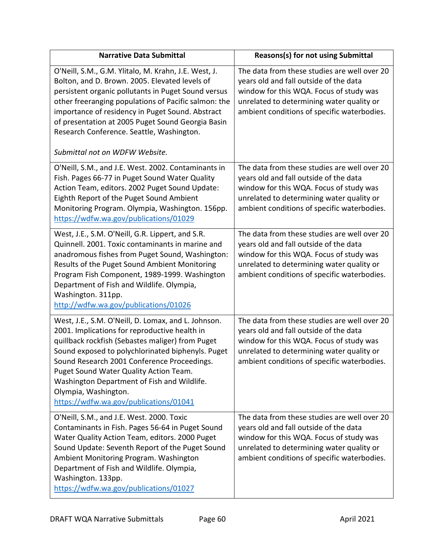| <b>Narrative Data Submittal</b>                                                                                                                                                                                                                                                                                                                                                                                         | Reasons(s) for not using Submittal                                                                                                                                                                                            |
|-------------------------------------------------------------------------------------------------------------------------------------------------------------------------------------------------------------------------------------------------------------------------------------------------------------------------------------------------------------------------------------------------------------------------|-------------------------------------------------------------------------------------------------------------------------------------------------------------------------------------------------------------------------------|
| O'Neill, S.M., G.M. Ylitalo, M. Krahn, J.E. West, J.<br>Bolton, and D. Brown. 2005. Elevated levels of<br>persistent organic pollutants in Puget Sound versus<br>other freeranging populations of Pacific salmon: the<br>importance of residency in Puget Sound. Abstract<br>of presentation at 2005 Puget Sound Georgia Basin<br>Research Conference. Seattle, Washington.                                             | The data from these studies are well over 20<br>years old and fall outside of the data<br>window for this WQA. Focus of study was<br>unrelated to determining water quality or<br>ambient conditions of specific waterbodies. |
| Submittal not on WDFW Website.                                                                                                                                                                                                                                                                                                                                                                                          |                                                                                                                                                                                                                               |
| O'Neill, S.M., and J.E. West. 2002. Contaminants in<br>Fish. Pages 66-77 in Puget Sound Water Quality<br>Action Team, editors. 2002 Puget Sound Update:<br>Eighth Report of the Puget Sound Ambient<br>Monitoring Program. Olympia, Washington. 156pp.<br>https://wdfw.wa.gov/publications/01029                                                                                                                        | The data from these studies are well over 20<br>years old and fall outside of the data<br>window for this WQA. Focus of study was<br>unrelated to determining water quality or<br>ambient conditions of specific waterbodies. |
| West, J.E., S.M. O'Neill, G.R. Lippert, and S.R.<br>Quinnell. 2001. Toxic contaminants in marine and<br>anadromous fishes from Puget Sound, Washington:<br>Results of the Puget Sound Ambient Monitoring<br>Program Fish Component, 1989-1999. Washington<br>Department of Fish and Wildlife. Olympia,<br>Washington. 311pp.<br>http://wdfw.wa.gov/publications/01026                                                   | The data from these studies are well over 20<br>years old and fall outside of the data<br>window for this WQA. Focus of study was<br>unrelated to determining water quality or<br>ambient conditions of specific waterbodies. |
| West, J.E., S.M. O'Neill, D. Lomax, and L. Johnson.<br>2001. Implications for reproductive health in<br>quillback rockfish (Sebastes maliger) from Puget<br>Sound exposed to polychlorinated biphenyls. Puget<br>Sound Research 2001 Conference Proceedings.<br>Puget Sound Water Quality Action Team.<br>Washington Department of Fish and Wildlife.<br>Olympia, Washington.<br>https://wdfw.wa.gov/publications/01041 | The data from these studies are well over 20<br>years old and fall outside of the data<br>window for this WQA. Focus of study was<br>unrelated to determining water quality or<br>ambient conditions of specific waterbodies. |
| O'Neill, S.M., and J.E. West. 2000. Toxic<br>Contaminants in Fish. Pages 56-64 in Puget Sound<br>Water Quality Action Team, editors. 2000 Puget<br>Sound Update: Seventh Report of the Puget Sound<br>Ambient Monitoring Program. Washington<br>Department of Fish and Wildlife. Olympia,<br>Washington. 133pp.<br>https://wdfw.wa.gov/publications/01027                                                               | The data from these studies are well over 20<br>years old and fall outside of the data<br>window for this WQA. Focus of study was<br>unrelated to determining water quality or<br>ambient conditions of specific waterbodies. |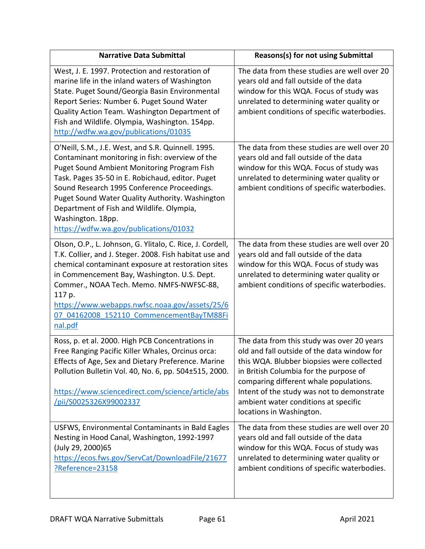| <b>Narrative Data Submittal</b>                                                                                                                                                                                                                                                                                                                                                                                               | Reasons(s) for not using Submittal                                                                                                                                                                                                                                                                                                           |
|-------------------------------------------------------------------------------------------------------------------------------------------------------------------------------------------------------------------------------------------------------------------------------------------------------------------------------------------------------------------------------------------------------------------------------|----------------------------------------------------------------------------------------------------------------------------------------------------------------------------------------------------------------------------------------------------------------------------------------------------------------------------------------------|
| West, J. E. 1997. Protection and restoration of<br>marine life in the inland waters of Washington<br>State. Puget Sound/Georgia Basin Environmental<br>Report Series: Number 6. Puget Sound Water<br>Quality Action Team. Washington Department of<br>Fish and Wildlife. Olympia, Washington. 154pp.<br>http://wdfw.wa.gov/publications/01035                                                                                 | The data from these studies are well over 20<br>years old and fall outside of the data<br>window for this WQA. Focus of study was<br>unrelated to determining water quality or<br>ambient conditions of specific waterbodies.                                                                                                                |
| O'Neill, S.M., J.E. West, and S.R. Quinnell. 1995.<br>Contaminant monitoring in fish: overview of the<br><b>Puget Sound Ambient Monitoring Program Fish</b><br>Task. Pages 35-50 in E. Robichaud, editor. Puget<br>Sound Research 1995 Conference Proceedings.<br>Puget Sound Water Quality Authority. Washington<br>Department of Fish and Wildlife. Olympia,<br>Washington. 18pp.<br>https://wdfw.wa.gov/publications/01032 | The data from these studies are well over 20<br>years old and fall outside of the data<br>window for this WQA. Focus of study was<br>unrelated to determining water quality or<br>ambient conditions of specific waterbodies.                                                                                                                |
| Olson, O.P., L. Johnson, G. Ylitalo, C. Rice, J. Cordell,<br>T.K. Collier, and J. Steger. 2008. Fish habitat use and<br>chemical contaminant exposure at restoration sites<br>in Commencement Bay, Washington. U.S. Dept.<br>Commer., NOAA Tech. Memo. NMFS-NWFSC-88,<br>117 p.<br>https://www.webapps.nwfsc.noaa.gov/assets/25/6<br>07 04162008 152110 CommencementBayTM88Fi<br>nal.pdf                                      | The data from these studies are well over 20<br>years old and fall outside of the data<br>window for this WQA. Focus of study was<br>unrelated to determining water quality or<br>ambient conditions of specific waterbodies.                                                                                                                |
| Ross, p. et al. 2000. High PCB Concentrations in<br>Free Ranging Pacific Killer Whales, Orcinus orca:<br>Effects of Age, Sex and Dietary Preference. Marine<br>Pollution Bulletin Vol. 40, No. 6, pp. 504±515, 2000.<br>https://www.sciencedirect.com/science/article/abs<br>/pii/S0025326X99002337                                                                                                                           | The data from this study was over 20 years<br>old and fall outside of the data window for<br>this WQA. Blubber biopsies were collected<br>in British Columbia for the purpose of<br>comparing different whale populations.<br>Intent of the study was not to demonstrate<br>ambient water conditions at specific<br>locations in Washington. |
| USFWS, Environmental Contaminants in Bald Eagles<br>Nesting in Hood Canal, Washington, 1992-1997<br>(July 29, 2000)65<br>https://ecos.fws.gov/ServCat/DownloadFile/21677<br>?Reference=23158                                                                                                                                                                                                                                  | The data from these studies are well over 20<br>years old and fall outside of the data<br>window for this WQA. Focus of study was<br>unrelated to determining water quality or<br>ambient conditions of specific waterbodies.                                                                                                                |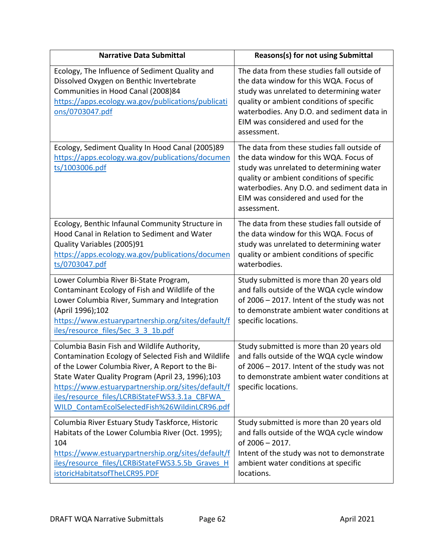| <b>Narrative Data Submittal</b>                                                                                                                                                                                                                                                                                                                                    | Reasons(s) for not using Submittal                                                                                                                                                                                                                                                 |
|--------------------------------------------------------------------------------------------------------------------------------------------------------------------------------------------------------------------------------------------------------------------------------------------------------------------------------------------------------------------|------------------------------------------------------------------------------------------------------------------------------------------------------------------------------------------------------------------------------------------------------------------------------------|
| Ecology, The Influence of Sediment Quality and<br>Dissolved Oxygen on Benthic Invertebrate<br>Communities in Hood Canal (2008)84<br>https://apps.ecology.wa.gov/publications/publicati<br><u>ons/0703047.pdf</u>                                                                                                                                                   | The data from these studies fall outside of<br>the data window for this WQA. Focus of<br>study was unrelated to determining water<br>quality or ambient conditions of specific<br>waterbodies. Any D.O. and sediment data in<br>EIM was considered and used for the<br>assessment. |
| Ecology, Sediment Quality In Hood Canal (2005)89<br>https://apps.ecology.wa.gov/publications/documen<br>ts/1003006.pdf                                                                                                                                                                                                                                             | The data from these studies fall outside of<br>the data window for this WQA. Focus of<br>study was unrelated to determining water<br>quality or ambient conditions of specific<br>waterbodies. Any D.O. and sediment data in<br>EIM was considered and used for the<br>assessment. |
| Ecology, Benthic Infaunal Community Structure in<br>Hood Canal in Relation to Sediment and Water<br>Quality Variables (2005)91<br>https://apps.ecology.wa.gov/publications/documen<br>ts/0703047.pdf                                                                                                                                                               | The data from these studies fall outside of<br>the data window for this WQA. Focus of<br>study was unrelated to determining water<br>quality or ambient conditions of specific<br>waterbodies.                                                                                     |
| Lower Columbia River Bi-State Program,<br>Contaminant Ecology of Fish and Wildlife of the<br>Lower Columbia River, Summary and Integration<br>(April 1996);102<br>https://www.estuarypartnership.org/sites/default/f<br>iles/resource files/Sec 3 3 1b.pdf                                                                                                         | Study submitted is more than 20 years old<br>and falls outside of the WQA cycle window<br>of 2006 - 2017. Intent of the study was not<br>to demonstrate ambient water conditions at<br>specific locations.                                                                         |
| Columbia Basin Fish and Wildlife Authority,<br>Contamination Ecology of Selected Fish and Wildlife<br>of the Lower Columbia River, A Report to the Bi-<br>State Water Quality Program (April 23, 1996);103<br>https://www.estuarypartnership.org/sites/default/f<br>iles/resource files/LCRBiStateFWS3.3.1a CBFWA<br>WILD ContamEcolSelectedFish%26WildinLCR96.pdf | Study submitted is more than 20 years old<br>and falls outside of the WQA cycle window<br>of 2006 - 2017. Intent of the study was not<br>to demonstrate ambient water conditions at<br>specific locations.                                                                         |
| Columbia River Estuary Study Taskforce, Historic<br>Habitats of the Lower Columbia River (Oct. 1995);<br>104<br>https://www.estuarypartnership.org/sites/default/f<br>iles/resource files/LCRBiStateFWS3.5.5b Graves H<br>istoricHabitatsofTheLCR95.PDF                                                                                                            | Study submitted is more than 20 years old<br>and falls outside of the WQA cycle window<br>of 2006 - 2017.<br>Intent of the study was not to demonstrate<br>ambient water conditions at specific<br>locations.                                                                      |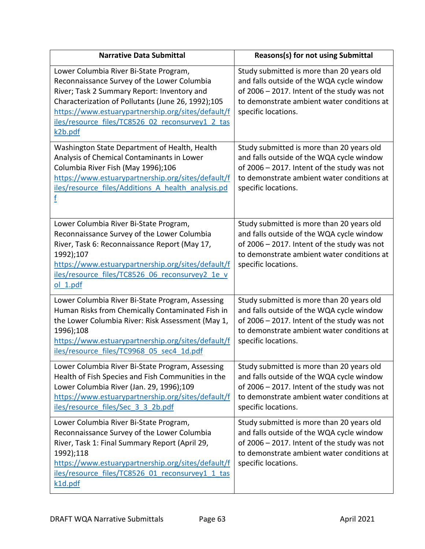| <b>Narrative Data Submittal</b>                                                                                                                                                                                                                                                                                 | <b>Reasons(s) for not using Submittal</b>                                                                                                                                                                     |
|-----------------------------------------------------------------------------------------------------------------------------------------------------------------------------------------------------------------------------------------------------------------------------------------------------------------|---------------------------------------------------------------------------------------------------------------------------------------------------------------------------------------------------------------|
| Lower Columbia River Bi-State Program,<br>Reconnaissance Survey of the Lower Columbia<br>River; Task 2 Summary Report: Inventory and<br>Characterization of Pollutants (June 26, 1992);105<br>https://www.estuarypartnership.org/sites/default/f<br>iles/resource files/TC8526 02 reconsurvey1 2 tas<br>k2b.pdf | Study submitted is more than 20 years old<br>and falls outside of the WQA cycle window<br>of $2006 - 2017$ . Intent of the study was not<br>to demonstrate ambient water conditions at<br>specific locations. |
| Washington State Department of Health, Health<br>Analysis of Chemical Contaminants in Lower<br>Columbia River Fish (May 1996);106<br>https://www.estuarypartnership.org/sites/default/f<br>iles/resource files/Additions A health analysis.pd<br>f                                                              | Study submitted is more than 20 years old<br>and falls outside of the WQA cycle window<br>of 2006 - 2017. Intent of the study was not<br>to demonstrate ambient water conditions at<br>specific locations.    |
| Lower Columbia River Bi-State Program,<br>Reconnaissance Survey of the Lower Columbia<br>River, Task 6: Reconnaissance Report (May 17,<br>1992);107<br>https://www.estuarypartnership.org/sites/default/f<br>iles/resource files/TC8526 06 reconsurvey2 1e v<br>$ol$ 1.pdf                                      | Study submitted is more than 20 years old<br>and falls outside of the WQA cycle window<br>of 2006 - 2017. Intent of the study was not<br>to demonstrate ambient water conditions at<br>specific locations.    |
| Lower Columbia River Bi-State Program, Assessing<br>Human Risks from Chemically Contaminated Fish in<br>the Lower Columbia River: Risk Assessment (May 1,<br>1996);108<br>https://www.estuarypartnership.org/sites/default/f<br>iles/resource files/TC9968 05 sec4 1d.pdf                                       | Study submitted is more than 20 years old<br>and falls outside of the WQA cycle window<br>of $2006 - 2017$ . Intent of the study was not<br>to demonstrate ambient water conditions at<br>specific locations. |
| Lower Columbia River Bi-State Program, Assessing<br>Health of Fish Species and Fish Communities in the<br>Lower Columbia River (Jan. 29, 1996);109<br>https://www.estuarypartnership.org/sites/default/f<br>iles/resource files/Sec 3 3 2b.pdf                                                                  | Study submitted is more than 20 years old<br>and falls outside of the WQA cycle window<br>of 2006 - 2017. Intent of the study was not<br>to demonstrate ambient water conditions at<br>specific locations.    |
| Lower Columbia River Bi-State Program,<br>Reconnaissance Survey of the Lower Columbia<br>River, Task 1: Final Summary Report (April 29,<br>1992);118<br>https://www.estuarypartnership.org/sites/default/f<br>iles/resource files/TC8526 01 reconsurvey1 1 tas<br>k1d.pdf                                       | Study submitted is more than 20 years old<br>and falls outside of the WQA cycle window<br>of 2006 - 2017. Intent of the study was not<br>to demonstrate ambient water conditions at<br>specific locations.    |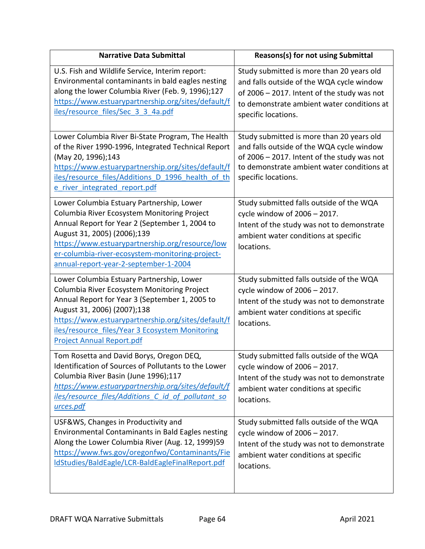| <b>Narrative Data Submittal</b>                                                                                                                                                                                                                                                                                          | Reasons(s) for not using Submittal                                                                                                                                                                         |
|--------------------------------------------------------------------------------------------------------------------------------------------------------------------------------------------------------------------------------------------------------------------------------------------------------------------------|------------------------------------------------------------------------------------------------------------------------------------------------------------------------------------------------------------|
| U.S. Fish and Wildlife Service, Interim report:<br>Environmental contaminants in bald eagles nesting<br>along the lower Columbia River (Feb. 9, 1996);127<br>https://www.estuarypartnership.org/sites/default/f<br>iles/resource files/Sec 3 3 4a.pdf                                                                    | Study submitted is more than 20 years old<br>and falls outside of the WQA cycle window<br>of 2006 - 2017. Intent of the study was not<br>to demonstrate ambient water conditions at<br>specific locations. |
| Lower Columbia River Bi-State Program, The Health<br>of the River 1990-1996, Integrated Technical Report<br>(May 20, 1996);143<br>https://www.estuarypartnership.org/sites/default/f<br>iles/resource files/Additions D 1996 health of th<br>e river integrated report.pdf                                               | Study submitted is more than 20 years old<br>and falls outside of the WQA cycle window<br>of 2006 - 2017. Intent of the study was not<br>to demonstrate ambient water conditions at<br>specific locations. |
| Lower Columbia Estuary Partnership, Lower<br>Columbia River Ecosystem Monitoring Project<br>Annual Report for Year 2 (September 1, 2004 to<br>August 31, 2005) (2006);139<br>https://www.estuarypartnership.org/resource/low<br>er-columbia-river-ecosystem-monitoring-project-<br>annual-report-year-2-september-1-2004 | Study submitted falls outside of the WQA<br>cycle window of 2006 - 2017.<br>Intent of the study was not to demonstrate<br>ambient water conditions at specific<br>locations.                               |
| Lower Columbia Estuary Partnership, Lower<br>Columbia River Ecosystem Monitoring Project<br>Annual Report for Year 3 (September 1, 2005 to<br>August 31, 2006) (2007);138<br>https://www.estuarypartnership.org/sites/default/f<br>iles/resource files/Year 3 Ecosystem Monitoring<br><b>Project Annual Report.pdf</b>   | Study submitted falls outside of the WQA<br>cycle window of 2006 - 2017.<br>Intent of the study was not to demonstrate<br>ambient water conditions at specific<br>locations.                               |
| Tom Rosetta and David Borys, Oregon DEQ,<br>Identification of Sources of Pollutants to the Lower<br>Columbia River Basin (June 1996);117<br>https://www.estuarypartnership.org/sites/default/f<br>iles/resource files/Additions C id of pollutant so<br>urces.pdf                                                        | Study submitted falls outside of the WQA<br>cycle window of 2006 - 2017.<br>Intent of the study was not to demonstrate<br>ambient water conditions at specific<br>locations.                               |
| USF&WS, Changes in Productivity and<br>Environmental Contaminants in Bald Eagles nesting<br>Along the Lower Columbia River (Aug. 12, 1999)59<br>https://www.fws.gov/oregonfwo/Contaminants/Fie<br>IdStudies/BaldEagle/LCR-BaldEagleFinalReport.pdf                                                                       | Study submitted falls outside of the WQA<br>cycle window of 2006 - 2017.<br>Intent of the study was not to demonstrate<br>ambient water conditions at specific<br>locations.                               |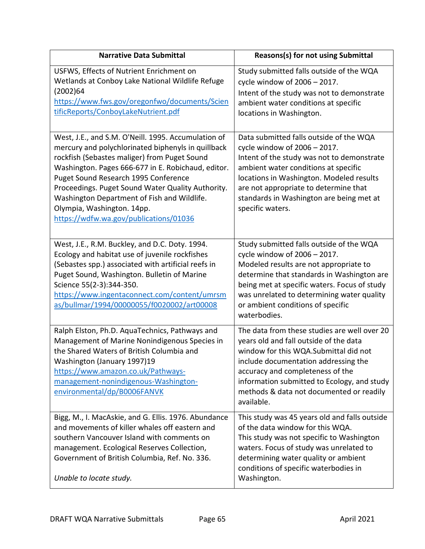| <b>Narrative Data Submittal</b>                                                                                                                                                                                                                                                                                                                                                                                                     | <b>Reasons(s) for not using Submittal</b>                                                                                                                                                                                                                                                                            |
|-------------------------------------------------------------------------------------------------------------------------------------------------------------------------------------------------------------------------------------------------------------------------------------------------------------------------------------------------------------------------------------------------------------------------------------|----------------------------------------------------------------------------------------------------------------------------------------------------------------------------------------------------------------------------------------------------------------------------------------------------------------------|
| USFWS, Effects of Nutrient Enrichment on<br>Wetlands at Conboy Lake National Wildlife Refuge<br>(2002)64<br>https://www.fws.gov/oregonfwo/documents/Scien<br>tificReports/ConboyLakeNutrient.pdf                                                                                                                                                                                                                                    | Study submitted falls outside of the WQA<br>cycle window of 2006 - 2017.<br>Intent of the study was not to demonstrate<br>ambient water conditions at specific<br>locations in Washington.                                                                                                                           |
| West, J.E., and S.M. O'Neill. 1995. Accumulation of<br>mercury and polychlorinated biphenyls in quillback<br>rockfish (Sebastes maliger) from Puget Sound<br>Washington. Pages 666-677 in E. Robichaud, editor.<br>Puget Sound Research 1995 Conference<br>Proceedings. Puget Sound Water Quality Authority.<br>Washington Department of Fish and Wildlife.<br>Olympia, Washington. 14pp.<br>https://wdfw.wa.gov/publications/01036 | Data submitted falls outside of the WQA<br>cycle window of 2006 - 2017.<br>Intent of the study was not to demonstrate<br>ambient water conditions at specific<br>locations in Washington. Modeled results<br>are not appropriate to determine that<br>standards in Washington are being met at<br>specific waters.   |
| West, J.E., R.M. Buckley, and D.C. Doty. 1994.<br>Ecology and habitat use of juvenile rockfishes<br>(Sebastes spp.) associated with artificial reefs in<br>Puget Sound, Washington. Bulletin of Marine<br>Science 55(2-3):344-350.<br>https://www.ingentaconnect.com/content/umrsm<br>as/bullmar/1994/00000055/f0020002/art00008                                                                                                    | Study submitted falls outside of the WQA<br>cycle window of 2006 - 2017.<br>Modeled results are not appropriate to<br>determine that standards in Washington are<br>being met at specific waters. Focus of study<br>was unrelated to determining water quality<br>or ambient conditions of specific<br>waterbodies.  |
| Ralph Elston, Ph.D. AquaTechnics, Pathways and<br>Management of Marine Nonindigenous Species in<br>the Shared Waters of British Columbia and<br>Washington (January 1997)19<br>https://www.amazon.co.uk/Pathways-<br>management-nonindigenous-Washington-<br>environmental/dp/B0006FANVK                                                                                                                                            | The data from these studies are well over 20<br>years old and fall outside of the data<br>window for this WQA.Submittal did not<br>include documentation addressing the<br>accuracy and completeness of the<br>information submitted to Ecology, and study<br>methods & data not documented or readily<br>available. |
| Bigg, M., I. MacAskie, and G. Ellis. 1976. Abundance<br>and movements of killer whales off eastern and<br>southern Vancouver Island with comments on<br>management. Ecological Reserves Collection,<br>Government of British Columbia, Ref. No. 336.<br>Unable to locate study.                                                                                                                                                     | This study was 45 years old and falls outside<br>of the data window for this WQA.<br>This study was not specific to Washington<br>waters. Focus of study was unrelated to<br>determining water quality or ambient<br>conditions of specific waterbodies in<br>Washington.                                            |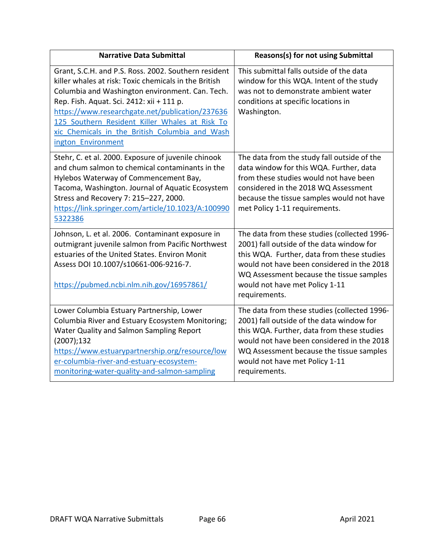| <b>Narrative Data Submittal</b>                                                                                                                                                                                                                                                                                                                                                            | <b>Reasons(s) for not using Submittal</b>                                                                                                                                                                                                                                            |
|--------------------------------------------------------------------------------------------------------------------------------------------------------------------------------------------------------------------------------------------------------------------------------------------------------------------------------------------------------------------------------------------|--------------------------------------------------------------------------------------------------------------------------------------------------------------------------------------------------------------------------------------------------------------------------------------|
| Grant, S.C.H. and P.S. Ross. 2002. Southern resident<br>killer whales at risk: Toxic chemicals in the British<br>Columbia and Washington environment. Can. Tech.<br>Rep. Fish. Aquat. Sci. 2412: xii + 111 p.<br>https://www.researchgate.net/publication/237636<br>125 Southern Resident Killer Whales at Risk To<br>xic Chemicals in the British Columbia and Wash<br>ington Environment | This submittal falls outside of the data<br>window for this WQA. Intent of the study<br>was not to demonstrate ambient water<br>conditions at specific locations in<br>Washington.                                                                                                   |
| Stehr, C. et al. 2000. Exposure of juvenile chinook<br>and chum salmon to chemical contaminants in the<br>Hylebos Waterway of Commencement Bay,<br>Tacoma, Washington. Journal of Aquatic Ecosystem<br>Stress and Recovery 7: 215-227, 2000.<br>https://link.springer.com/article/10.1023/A:100990<br>5322386                                                                              | The data from the study fall outside of the<br>data window for this WQA. Further, data<br>from these studies would not have been<br>considered in the 2018 WQ Assessment<br>because the tissue samples would not have<br>met Policy 1-11 requirements.                               |
| Johnson, L. et al. 2006. Contaminant exposure in<br>outmigrant juvenile salmon from Pacific Northwest<br>estuaries of the United States. Environ Monit<br>Assess DOI 10.1007/s10661-006-9216-7.<br>https://pubmed.ncbi.nlm.nih.gov/16957861/                                                                                                                                               | The data from these studies (collected 1996-<br>2001) fall outside of the data window for<br>this WQA. Further, data from these studies<br>would not have been considered in the 2018<br>WQ Assessment because the tissue samples<br>would not have met Policy 1-11<br>requirements. |
| Lower Columbia Estuary Partnership, Lower<br>Columbia River and Estuary Ecosystem Monitoring;<br>Water Quality and Salmon Sampling Report<br>(2007); 132<br>https://www.estuarypartnership.org/resource/low<br>er-columbia-river-and-estuary-ecosystem-<br>monitoring-water-quality-and-salmon-sampling                                                                                    | The data from these studies (collected 1996-<br>2001) fall outside of the data window for<br>this WQA. Further, data from these studies<br>would not have been considered in the 2018<br>WQ Assessment because the tissue samples<br>would not have met Policy 1-11<br>requirements. |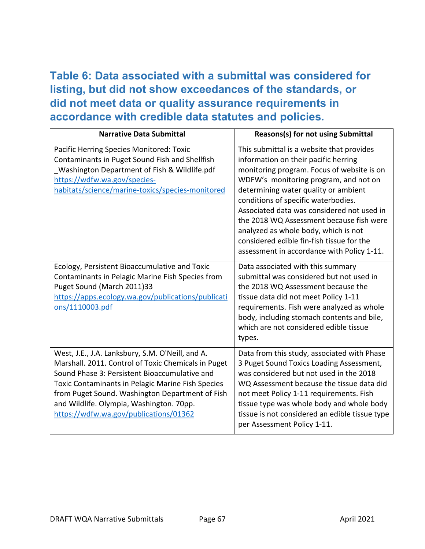## **Table 6: Data associated with a submittal was considered for listing, but did not show exceedances of the standards, or did not meet data or quality assurance requirements in accordance with credible data statutes and policies***.*

| <b>Narrative Data Submittal</b>                                                                                                                                                                                                                                                                                                                        | <b>Reasons(s) for not using Submittal</b>                                                                                                                                                                                                                                                                                                                                                                                                                                            |
|--------------------------------------------------------------------------------------------------------------------------------------------------------------------------------------------------------------------------------------------------------------------------------------------------------------------------------------------------------|--------------------------------------------------------------------------------------------------------------------------------------------------------------------------------------------------------------------------------------------------------------------------------------------------------------------------------------------------------------------------------------------------------------------------------------------------------------------------------------|
| Pacific Herring Species Monitored: Toxic<br>Contaminants in Puget Sound Fish and Shellfish<br>Washington Department of Fish & Wildlife.pdf<br>https://wdfw.wa.gov/species-<br>habitats/science/marine-toxics/species-monitored                                                                                                                         | This submittal is a website that provides<br>information on their pacific herring<br>monitoring program. Focus of website is on<br>WDFW's monitoring program, and not on<br>determining water quality or ambient<br>conditions of specific waterbodies.<br>Associated data was considered not used in<br>the 2018 WQ Assessment because fish were<br>analyzed as whole body, which is not<br>considered edible fin-fish tissue for the<br>assessment in accordance with Policy 1-11. |
| Ecology, Persistent Bioaccumulative and Toxic<br>Contaminants in Pelagic Marine Fish Species from<br>Puget Sound (March 2011)33<br>https://apps.ecology.wa.gov/publications/publicati<br>ons/1110003.pdf                                                                                                                                               | Data associated with this summary<br>submittal was considered but not used in<br>the 2018 WQ Assessment because the<br>tissue data did not meet Policy 1-11<br>requirements. Fish were analyzed as whole<br>body, including stomach contents and bile,<br>which are not considered edible tissue<br>types.                                                                                                                                                                           |
| West, J.E., J.A. Lanksbury, S.M. O'Neill, and A.<br>Marshall. 2011. Control of Toxic Chemicals in Puget<br>Sound Phase 3: Persistent Bioaccumulative and<br>Toxic Contaminants in Pelagic Marine Fish Species<br>from Puget Sound. Washington Department of Fish<br>and Wildlife. Olympia, Washington. 70pp.<br>https://wdfw.wa.gov/publications/01362 | Data from this study, associated with Phase<br>3 Puget Sound Toxics Loading Assessment,<br>was considered but not used in the 2018<br>WQ Assessment because the tissue data did<br>not meet Policy 1-11 requirements. Fish<br>tissue type was whole body and whole body<br>tissue is not considered an edible tissue type<br>per Assessment Policy 1-11.                                                                                                                             |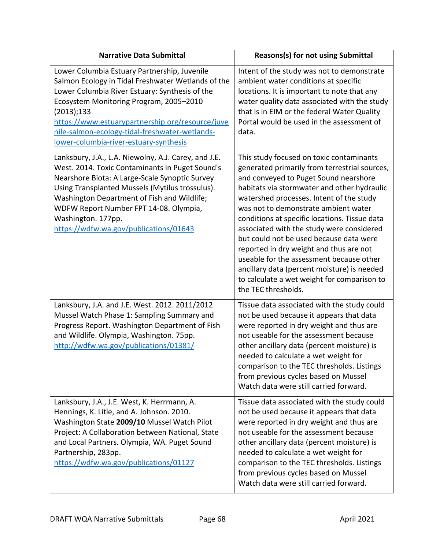| <b>Narrative Data Submittal</b>                                                                                                                                                                                                                                                                                                                                       | Reasons(s) for not using Submittal                                                                                                                                                                                                                                                                                                                                                                                                                                                                                                                                                                                         |
|-----------------------------------------------------------------------------------------------------------------------------------------------------------------------------------------------------------------------------------------------------------------------------------------------------------------------------------------------------------------------|----------------------------------------------------------------------------------------------------------------------------------------------------------------------------------------------------------------------------------------------------------------------------------------------------------------------------------------------------------------------------------------------------------------------------------------------------------------------------------------------------------------------------------------------------------------------------------------------------------------------------|
| Lower Columbia Estuary Partnership, Juvenile<br>Salmon Ecology in Tidal Freshwater Wetlands of the<br>Lower Columbia River Estuary: Synthesis of the<br>Ecosystem Monitoring Program, 2005-2010<br>(2013); 133<br>https://www.estuarypartnership.org/resource/juve<br>nile-salmon-ecology-tidal-freshwater-wetlands-<br>lower-columbia-river-estuary-synthesis        | Intent of the study was not to demonstrate<br>ambient water conditions at specific<br>locations. It is important to note that any<br>water quality data associated with the study<br>that is in EIM or the federal Water Quality<br>Portal would be used in the assessment of<br>data.                                                                                                                                                                                                                                                                                                                                     |
| Lanksbury, J.A., L.A. Niewolny, A.J. Carey, and J.E.<br>West. 2014. Toxic Contaminants in Puget Sound's<br>Nearshore Biota: A Large-Scale Synoptic Survey<br>Using Transplanted Mussels (Mytilus trossulus).<br>Washington Department of Fish and Wildlife;<br>WDFW Report Number FPT 14-08. Olympia,<br>Washington. 177pp.<br>https://wdfw.wa.gov/publications/01643 | This study focused on toxic contaminants<br>generated primarily from terrestrial sources,<br>and conveyed to Puget Sound nearshore<br>habitats via stormwater and other hydraulic<br>watershed processes. Intent of the study<br>was not to demonstrate ambient water<br>conditions at specific locations. Tissue data<br>associated with the study were considered<br>but could not be used because data were<br>reported in dry weight and thus are not<br>useable for the assessment because other<br>ancillary data (percent moisture) is needed<br>to calculate a wet weight for comparison to<br>the TEC thresholds. |
| Lanksbury, J.A. and J.E. West. 2012. 2011/2012<br>Mussel Watch Phase 1: Sampling Summary and<br>Progress Report. Washington Department of Fish<br>and Wildlife. Olympia, Washington. 75pp.<br>http://wdfw.wa.gov/publications/01381/                                                                                                                                  | Tissue data associated with the study could<br>not be used because it appears that data<br>were reported in dry weight and thus are<br>not useable for the assessment because<br>other ancillary data (percent moisture) is<br>needed to calculate a wet weight for<br>comparison to the TEC thresholds. Listings<br>from previous cycles based on Mussel<br>Watch data were still carried forward.                                                                                                                                                                                                                        |
| Lanksbury, J.A., J.E. West, K. Herrmann, A.<br>Hennings, K. Litle, and A. Johnson. 2010.<br>Washington State 2009/10 Mussel Watch Pilot<br>Project: A Collaboration between National, State<br>and Local Partners. Olympia, WA. Puget Sound<br>Partnership, 283pp.<br>https://wdfw.wa.gov/publications/01127                                                          | Tissue data associated with the study could<br>not be used because it appears that data<br>were reported in dry weight and thus are<br>not useable for the assessment because<br>other ancillary data (percent moisture) is<br>needed to calculate a wet weight for<br>comparison to the TEC thresholds. Listings<br>from previous cycles based on Mussel<br>Watch data were still carried forward.                                                                                                                                                                                                                        |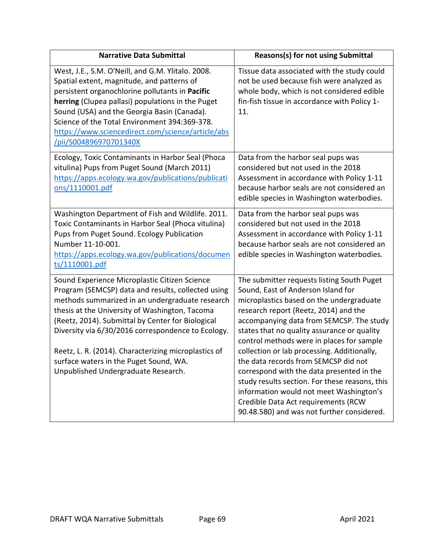| <b>Narrative Data Submittal</b>                                                                                                                                                                                                                                                                                                                                                                                                                              | Reasons(s) for not using Submittal                                                                                                                                                                                                                                                                                                                                                                                                                                                                                                                                                                                                  |
|--------------------------------------------------------------------------------------------------------------------------------------------------------------------------------------------------------------------------------------------------------------------------------------------------------------------------------------------------------------------------------------------------------------------------------------------------------------|-------------------------------------------------------------------------------------------------------------------------------------------------------------------------------------------------------------------------------------------------------------------------------------------------------------------------------------------------------------------------------------------------------------------------------------------------------------------------------------------------------------------------------------------------------------------------------------------------------------------------------------|
| West, J.E., S.M. O'Neill, and G.M. Ylitalo. 2008.<br>Spatial extent, magnitude, and patterns of<br>persistent organochlorine pollutants in Pacific<br>herring (Clupea pallasi) populations in the Puget<br>Sound (USA) and the Georgia Basin (Canada).<br>Science of the Total Environment 394:369-378.<br>https://www.sciencedirect.com/science/article/abs<br>/pii/S004896970701340X                                                                       | Tissue data associated with the study could<br>not be used because fish were analyzed as<br>whole body, which is not considered edible<br>fin-fish tissue in accordance with Policy 1-<br>11.                                                                                                                                                                                                                                                                                                                                                                                                                                       |
| Ecology, Toxic Contaminants in Harbor Seal (Phoca<br>vitulina) Pups from Puget Sound (March 2011)<br>https://apps.ecology.wa.gov/publications/publicati<br>ons/1110001.pdf                                                                                                                                                                                                                                                                                   | Data from the harbor seal pups was<br>considered but not used in the 2018<br>Assessment in accordance with Policy 1-11<br>because harbor seals are not considered an<br>edible species in Washington waterbodies.                                                                                                                                                                                                                                                                                                                                                                                                                   |
| Washington Department of Fish and Wildlife. 2011.<br>Toxic Contaminants in Harbor Seal (Phoca vitulina)<br>Pups from Puget Sound. Ecology Publication<br>Number 11-10-001.<br>https://apps.ecology.wa.gov/publications/documen<br>ts/1110001.pdf                                                                                                                                                                                                             | Data from the harbor seal pups was<br>considered but not used in the 2018<br>Assessment in accordance with Policy 1-11<br>because harbor seals are not considered an<br>edible species in Washington waterbodies.                                                                                                                                                                                                                                                                                                                                                                                                                   |
| Sound Experience Microplastic Citizen Science<br>Program (SEMCSP) data and results, collected using<br>methods summarized in an undergraduate research<br>thesis at the University of Washington, Tacoma<br>(Reetz, 2014). Submittal by Center for Biological<br>Diversity via 6/30/2016 correspondence to Ecology.<br>Reetz, L. R. (2014). Characterizing microplastics of<br>surface waters in the Puget Sound, WA.<br>Unpublished Undergraduate Research. | The submitter requests listing South Puget<br>Sound, East of Anderson Island for<br>microplastics based on the undergraduate<br>research report (Reetz, 2014) and the<br>accompanying data from SEMCSP. The study<br>states that no quality assurance or quality<br>control methods were in places for sample<br>collection or lab processing. Additionally,<br>the data records from SEMCSP did not<br>correspond with the data presented in the<br>study results section. For these reasons, this<br>information would not meet Washington's<br>Credible Data Act requirements (RCW<br>90.48.580) and was not further considered. |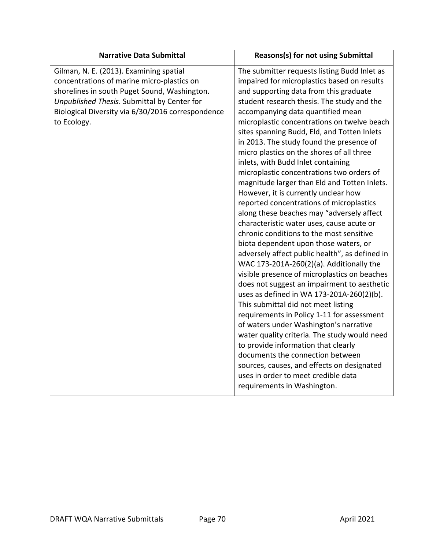| <b>Narrative Data Submittal</b>                                                                                                                                                                                                                          | Reasons(s) for not using Submittal                                                                                                                                                                                                                                                                                                                                                                                                                                                                                                                                                                                                                                                                                                                                                                                                                                                                                                                                                                                                                                                                                                                                                                                                                                                                                                                                                                                                            |
|----------------------------------------------------------------------------------------------------------------------------------------------------------------------------------------------------------------------------------------------------------|-----------------------------------------------------------------------------------------------------------------------------------------------------------------------------------------------------------------------------------------------------------------------------------------------------------------------------------------------------------------------------------------------------------------------------------------------------------------------------------------------------------------------------------------------------------------------------------------------------------------------------------------------------------------------------------------------------------------------------------------------------------------------------------------------------------------------------------------------------------------------------------------------------------------------------------------------------------------------------------------------------------------------------------------------------------------------------------------------------------------------------------------------------------------------------------------------------------------------------------------------------------------------------------------------------------------------------------------------------------------------------------------------------------------------------------------------|
| Gilman, N. E. (2013). Examining spatial<br>concentrations of marine micro-plastics on<br>shorelines in south Puget Sound, Washington.<br>Unpublished Thesis. Submittal by Center for<br>Biological Diversity via 6/30/2016 correspondence<br>to Ecology. | The submitter requests listing Budd Inlet as<br>impaired for microplastics based on results<br>and supporting data from this graduate<br>student research thesis. The study and the<br>accompanying data quantified mean<br>microplastic concentrations on twelve beach<br>sites spanning Budd, Eld, and Totten Inlets<br>in 2013. The study found the presence of<br>micro plastics on the shores of all three<br>inlets, with Budd Inlet containing<br>microplastic concentrations two orders of<br>magnitude larger than Eld and Totten Inlets.<br>However, it is currently unclear how<br>reported concentrations of microplastics<br>along these beaches may "adversely affect<br>characteristic water uses, cause acute or<br>chronic conditions to the most sensitive<br>biota dependent upon those waters, or<br>adversely affect public health", as defined in<br>WAC 173-201A-260(2)(a). Additionally the<br>visible presence of microplastics on beaches<br>does not suggest an impairment to aesthetic<br>uses as defined in WA 173-201A-260(2)(b).<br>This submittal did not meet listing<br>requirements in Policy 1-11 for assessment<br>of waters under Washington's narrative<br>water quality criteria. The study would need<br>to provide information that clearly<br>documents the connection between<br>sources, causes, and effects on designated<br>uses in order to meet credible data<br>requirements in Washington. |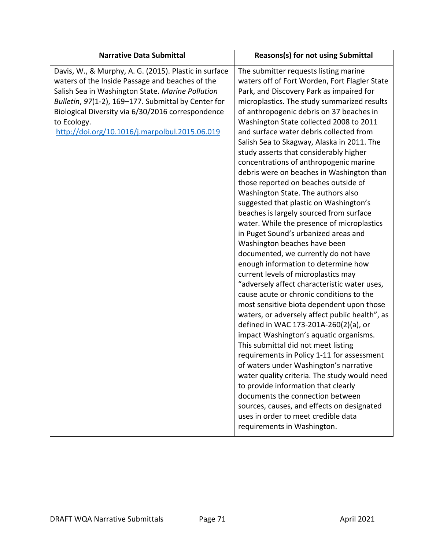| <b>Narrative Data Submittal</b>                                                                                                                                                                                                                                                                                                           | <b>Reasons(s) for not using Submittal</b>                                                                                                                                                                                                                                                                                                                                                                                                                                                                                                                                                                                                                                                                                                                                                                                                                                                                                                                                                                                                                                                                                                                                                                                                                                                                                                                                                                                                                                                                                                                                     |
|-------------------------------------------------------------------------------------------------------------------------------------------------------------------------------------------------------------------------------------------------------------------------------------------------------------------------------------------|-------------------------------------------------------------------------------------------------------------------------------------------------------------------------------------------------------------------------------------------------------------------------------------------------------------------------------------------------------------------------------------------------------------------------------------------------------------------------------------------------------------------------------------------------------------------------------------------------------------------------------------------------------------------------------------------------------------------------------------------------------------------------------------------------------------------------------------------------------------------------------------------------------------------------------------------------------------------------------------------------------------------------------------------------------------------------------------------------------------------------------------------------------------------------------------------------------------------------------------------------------------------------------------------------------------------------------------------------------------------------------------------------------------------------------------------------------------------------------------------------------------------------------------------------------------------------------|
| Davis, W., & Murphy, A. G. (2015). Plastic in surface<br>waters of the Inside Passage and beaches of the<br>Salish Sea in Washington State. Marine Pollution<br>Bulletin, 97(1-2), 169-177. Submittal by Center for<br>Biological Diversity via 6/30/2016 correspondence<br>to Ecology.<br>http://doi.org/10.1016/j.marpolbul.2015.06.019 | The submitter requests listing marine<br>waters off of Fort Worden, Fort Flagler State<br>Park, and Discovery Park as impaired for<br>microplastics. The study summarized results<br>of anthropogenic debris on 37 beaches in<br>Washington State collected 2008 to 2011<br>and surface water debris collected from<br>Salish Sea to Skagway, Alaska in 2011. The<br>study asserts that considerably higher<br>concentrations of anthropogenic marine<br>debris were on beaches in Washington than<br>those reported on beaches outside of<br>Washington State. The authors also<br>suggested that plastic on Washington's<br>beaches is largely sourced from surface<br>water. While the presence of microplastics<br>in Puget Sound's urbanized areas and<br>Washington beaches have been<br>documented, we currently do not have<br>enough information to determine how<br>current levels of microplastics may<br>"adversely affect characteristic water uses,<br>cause acute or chronic conditions to the<br>most sensitive biota dependent upon those<br>waters, or adversely affect public health", as<br>defined in WAC 173-201A-260(2)(a), or<br>impact Washington's aquatic organisms.<br>This submittal did not meet listing<br>requirements in Policy 1-11 for assessment<br>of waters under Washington's narrative<br>water quality criteria. The study would need<br>to provide information that clearly<br>documents the connection between<br>sources, causes, and effects on designated<br>uses in order to meet credible data<br>requirements in Washington. |
|                                                                                                                                                                                                                                                                                                                                           |                                                                                                                                                                                                                                                                                                                                                                                                                                                                                                                                                                                                                                                                                                                                                                                                                                                                                                                                                                                                                                                                                                                                                                                                                                                                                                                                                                                                                                                                                                                                                                               |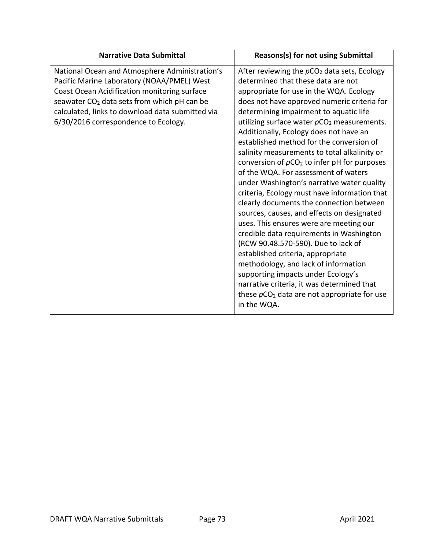| <b>Narrative Data Submittal</b>                                                                                                                                                                                                                                                                     | <b>Reasons(s) for not using Submittal</b>                                                                                                                                                                                                                                                                                                                                                                                                                                                                                                                                                                                                                                                                                                                                                                                                                                                                                                                                                                                                                     |
|-----------------------------------------------------------------------------------------------------------------------------------------------------------------------------------------------------------------------------------------------------------------------------------------------------|---------------------------------------------------------------------------------------------------------------------------------------------------------------------------------------------------------------------------------------------------------------------------------------------------------------------------------------------------------------------------------------------------------------------------------------------------------------------------------------------------------------------------------------------------------------------------------------------------------------------------------------------------------------------------------------------------------------------------------------------------------------------------------------------------------------------------------------------------------------------------------------------------------------------------------------------------------------------------------------------------------------------------------------------------------------|
| National Ocean and Atmosphere Administration's<br>Pacific Marine Laboratory (NOAA/PMEL) West<br>Coast Ocean Acidification monitoring surface<br>seawater CO <sub>2</sub> data sets from which pH can be<br>calculated, links to download data submitted via<br>6/30/2016 correspondence to Ecology. | After reviewing the $pCO2$ data sets, Ecology<br>determined that these data are not<br>appropriate for use in the WQA. Ecology<br>does not have approved numeric criteria for<br>determining impairment to aquatic life<br>utilizing surface water $pCO2$ measurements.<br>Additionally, Ecology does not have an<br>established method for the conversion of<br>salinity measurements to total alkalinity or<br>conversion of $pCO2$ to infer pH for purposes<br>of the WQA. For assessment of waters<br>under Washington's narrative water quality<br>criteria, Ecology must have information that<br>clearly documents the connection between<br>sources, causes, and effects on designated<br>uses. This ensures were are meeting our<br>credible data requirements in Washington<br>(RCW 90.48.570-590). Due to lack of<br>established criteria, appropriate<br>methodology, and lack of information<br>supporting impacts under Ecology's<br>narrative criteria, it was determined that<br>these $pCO2$ data are not appropriate for use<br>in the WQA. |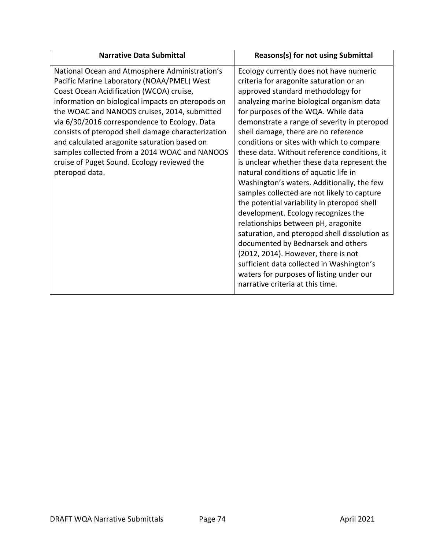| National Ocean and Atmosphere Administration's<br>Ecology currently does not have numeric<br>Pacific Marine Laboratory (NOAA/PMEL) West<br>criteria for aragonite saturation or an<br>Coast Ocean Acidification (WCOA) cruise,<br>approved standard methodology for<br>information on biological impacts on pteropods on<br>analyzing marine biological organism data<br>the WOAC and NANOOS cruises, 2014, submitted<br>for purposes of the WQA. While data<br>via 6/30/2016 correspondence to Ecology. Data<br>demonstrate a range of severity in pteropod<br>consists of pteropod shell damage characterization<br>shell damage, there are no reference<br>and calculated aragonite saturation based on<br>conditions or sites with which to compare<br>samples collected from a 2014 WOAC and NANOOS<br>these data. Without reference conditions, it<br>cruise of Puget Sound. Ecology reviewed the<br>is unclear whether these data represent the<br>natural conditions of aquatic life in<br>pteropod data.<br>Washington's waters. Additionally, the few<br>samples collected are not likely to capture<br>the potential variability in pteropod shell<br>development. Ecology recognizes the<br>relationships between pH, aragonite<br>saturation, and pteropod shell dissolution as<br>documented by Bednarsek and others<br>(2012, 2014). However, there is not<br>sufficient data collected in Washington's<br>waters for purposes of listing under our | <b>Narrative Data Submittal</b> | <b>Reasons(s) for not using Submittal</b> |
|--------------------------------------------------------------------------------------------------------------------------------------------------------------------------------------------------------------------------------------------------------------------------------------------------------------------------------------------------------------------------------------------------------------------------------------------------------------------------------------------------------------------------------------------------------------------------------------------------------------------------------------------------------------------------------------------------------------------------------------------------------------------------------------------------------------------------------------------------------------------------------------------------------------------------------------------------------------------------------------------------------------------------------------------------------------------------------------------------------------------------------------------------------------------------------------------------------------------------------------------------------------------------------------------------------------------------------------------------------------------------------------------------------------------------------------------------------------------|---------------------------------|-------------------------------------------|
|                                                                                                                                                                                                                                                                                                                                                                                                                                                                                                                                                                                                                                                                                                                                                                                                                                                                                                                                                                                                                                                                                                                                                                                                                                                                                                                                                                                                                                                                    |                                 | narrative criteria at this time.          |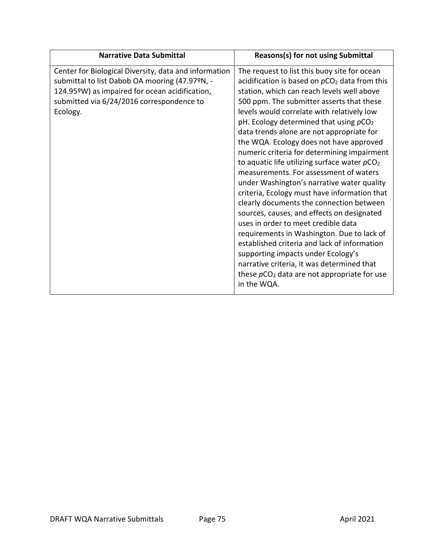| <b>Narrative Data Submittal</b>                                                                                                                                                                                    | <b>Reasons(s) for not using Submittal</b>                                                                                                                                                                                                                                                                                                                                                                                                                                                                                                                                                                                                                                                                                                                                                                                                                                                                                                                                                                                    |
|--------------------------------------------------------------------------------------------------------------------------------------------------------------------------------------------------------------------|------------------------------------------------------------------------------------------------------------------------------------------------------------------------------------------------------------------------------------------------------------------------------------------------------------------------------------------------------------------------------------------------------------------------------------------------------------------------------------------------------------------------------------------------------------------------------------------------------------------------------------------------------------------------------------------------------------------------------------------------------------------------------------------------------------------------------------------------------------------------------------------------------------------------------------------------------------------------------------------------------------------------------|
| Center for Biological Diversity, data and information<br>submittal to list Dabob OA mooring (47.97ºN, -<br>124.95°W) as impaired for ocean acidification,<br>submitted via 6/24/2016 correspondence to<br>Ecology. | The request to list this buoy site for ocean<br>acidification is based on $pCO2$ data from this<br>station, which can reach levels well above<br>500 ppm. The submitter asserts that these<br>levels would correlate with relatively low<br>pH. Ecology determined that using pCO <sub>2</sub><br>data trends alone are not appropriate for<br>the WQA. Ecology does not have approved<br>numeric criteria for determining impairment<br>to aquatic life utilizing surface water pCO <sub>2</sub><br>measurements. For assessment of waters<br>under Washington's narrative water quality<br>criteria, Ecology must have information that<br>clearly documents the connection between<br>sources, causes, and effects on designated<br>uses in order to meet credible data<br>requirements in Washington. Due to lack of<br>established criteria and lack of information<br>supporting impacts under Ecology's<br>narrative criteria, it was determined that<br>these $pCO2$ data are not appropriate for use<br>in the WQA. |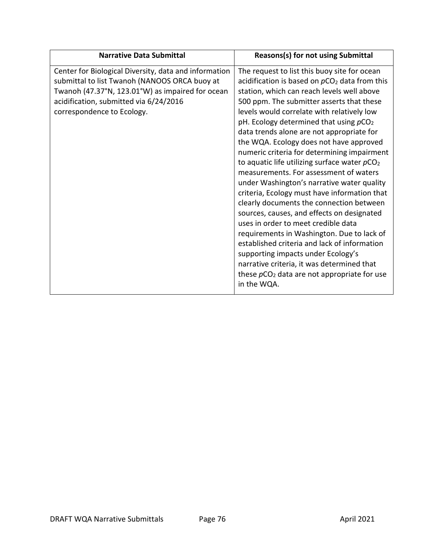| <b>Narrative Data Submittal</b>                                                                                                                                                                                                                                                                                                | <b>Reasons(s) for not using Submittal</b>                                                                                                                                                                                                                                                                                                                                                                                                                                                                                                                                                                                                                                                                                                                                                                                                                                                                              |
|--------------------------------------------------------------------------------------------------------------------------------------------------------------------------------------------------------------------------------------------------------------------------------------------------------------------------------|------------------------------------------------------------------------------------------------------------------------------------------------------------------------------------------------------------------------------------------------------------------------------------------------------------------------------------------------------------------------------------------------------------------------------------------------------------------------------------------------------------------------------------------------------------------------------------------------------------------------------------------------------------------------------------------------------------------------------------------------------------------------------------------------------------------------------------------------------------------------------------------------------------------------|
| Center for Biological Diversity, data and information<br>submittal to list Twanoh (NANOOS ORCA buoy at<br>Twanoh (47.37°N, 123.01°W) as impaired for ocean<br>acidification, submitted via 6/24/2016<br>correspondence to Ecology.<br>uses in order to meet credible data<br>supporting impacts under Ecology's<br>in the WQA. | The request to list this buoy site for ocean<br>acidification is based on $pCO2$ data from this<br>station, which can reach levels well above<br>500 ppm. The submitter asserts that these<br>levels would correlate with relatively low<br>pH. Ecology determined that using $pCO2$<br>data trends alone are not appropriate for<br>the WQA. Ecology does not have approved<br>numeric criteria for determining impairment<br>to aquatic life utilizing surface water pCO <sub>2</sub><br>measurements. For assessment of waters<br>under Washington's narrative water quality<br>criteria, Ecology must have information that<br>clearly documents the connection between<br>sources, causes, and effects on designated<br>requirements in Washington. Due to lack of<br>established criteria and lack of information<br>narrative criteria, it was determined that<br>these $pCO2$ data are not appropriate for use |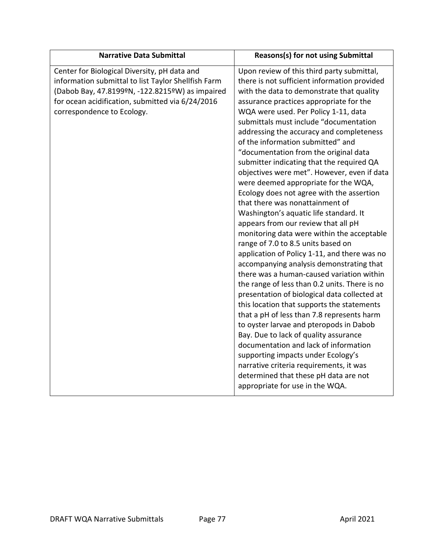| <b>Narrative Data Submittal</b>                                                                                                                                                                                                          | Reasons(s) for not using Submittal                                                                                                                                                                                                                                                                                                                                                                                                                                                                                                                                                                                                                                                                                                                                                                                                                                                                                                                                                                                                                                                                                                                                                                                                                                                                                                                                                                                      |
|------------------------------------------------------------------------------------------------------------------------------------------------------------------------------------------------------------------------------------------|-------------------------------------------------------------------------------------------------------------------------------------------------------------------------------------------------------------------------------------------------------------------------------------------------------------------------------------------------------------------------------------------------------------------------------------------------------------------------------------------------------------------------------------------------------------------------------------------------------------------------------------------------------------------------------------------------------------------------------------------------------------------------------------------------------------------------------------------------------------------------------------------------------------------------------------------------------------------------------------------------------------------------------------------------------------------------------------------------------------------------------------------------------------------------------------------------------------------------------------------------------------------------------------------------------------------------------------------------------------------------------------------------------------------------|
| Center for Biological Diversity, pH data and<br>information submittal to list Taylor Shellfish Farm<br>(Dabob Bay, 47.8199ºN, -122.8215ºW) as impaired<br>for ocean acidification, submitted via 6/24/2016<br>correspondence to Ecology. | Upon review of this third party submittal,<br>there is not sufficient information provided<br>with the data to demonstrate that quality<br>assurance practices appropriate for the<br>WQA were used. Per Policy 1-11, data<br>submittals must include "documentation<br>addressing the accuracy and completeness<br>of the information submitted" and<br>"documentation from the original data<br>submitter indicating that the required QA<br>objectives were met". However, even if data<br>were deemed appropriate for the WQA,<br>Ecology does not agree with the assertion<br>that there was nonattainment of<br>Washington's aquatic life standard. It<br>appears from our review that all pH<br>monitoring data were within the acceptable<br>range of 7.0 to 8.5 units based on<br>application of Policy 1-11, and there was no<br>accompanying analysis demonstrating that<br>there was a human-caused variation within<br>the range of less than 0.2 units. There is no<br>presentation of biological data collected at<br>this location that supports the statements<br>that a pH of less than 7.8 represents harm<br>to oyster larvae and pteropods in Dabob<br>Bay. Due to lack of quality assurance<br>documentation and lack of information<br>supporting impacts under Ecology's<br>narrative criteria requirements, it was<br>determined that these pH data are not<br>appropriate for use in the WQA. |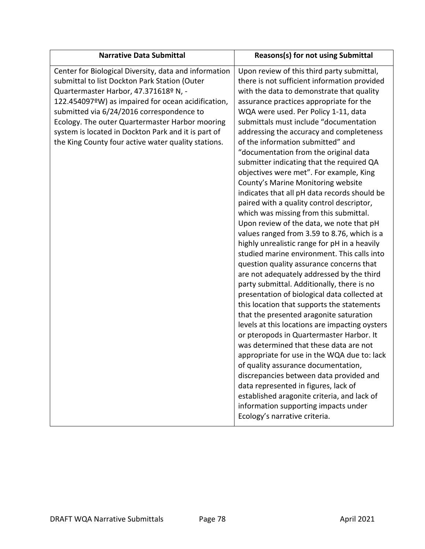| <b>Narrative Data Submittal</b>                                                                                                                                                                                                                                                                                                                                                                                     | <b>Reasons(s) for not using Submittal</b>                                                                                                                                                                                                                                                                                                                                                                                                                                                                                                                                                                                                                                                                                                                                                                                                                                                                                                                                                                                                                                                                                                                                                                                                                                                                                                                                                                                                                                                                                                                                              |
|---------------------------------------------------------------------------------------------------------------------------------------------------------------------------------------------------------------------------------------------------------------------------------------------------------------------------------------------------------------------------------------------------------------------|----------------------------------------------------------------------------------------------------------------------------------------------------------------------------------------------------------------------------------------------------------------------------------------------------------------------------------------------------------------------------------------------------------------------------------------------------------------------------------------------------------------------------------------------------------------------------------------------------------------------------------------------------------------------------------------------------------------------------------------------------------------------------------------------------------------------------------------------------------------------------------------------------------------------------------------------------------------------------------------------------------------------------------------------------------------------------------------------------------------------------------------------------------------------------------------------------------------------------------------------------------------------------------------------------------------------------------------------------------------------------------------------------------------------------------------------------------------------------------------------------------------------------------------------------------------------------------------|
| Center for Biological Diversity, data and information<br>submittal to list Dockton Park Station (Outer<br>Quartermaster Harbor, 47.371618º N, -<br>122.454097°W) as impaired for ocean acidification,<br>submitted via 6/24/2016 correspondence to<br>Ecology. The outer Quartermaster Harbor mooring<br>system is located in Dockton Park and it is part of<br>the King County four active water quality stations. | Upon review of this third party submittal,<br>there is not sufficient information provided<br>with the data to demonstrate that quality<br>assurance practices appropriate for the<br>WQA were used. Per Policy 1-11, data<br>submittals must include "documentation<br>addressing the accuracy and completeness<br>of the information submitted" and<br>"documentation from the original data<br>submitter indicating that the required QA<br>objectives were met". For example, King<br>County's Marine Monitoring website<br>indicates that all pH data records should be<br>paired with a quality control descriptor,<br>which was missing from this submittal.<br>Upon review of the data, we note that pH<br>values ranged from 3.59 to 8.76, which is a<br>highly unrealistic range for pH in a heavily<br>studied marine environment. This calls into<br>question quality assurance concerns that<br>are not adequately addressed by the third<br>party submittal. Additionally, there is no<br>presentation of biological data collected at<br>this location that supports the statements<br>that the presented aragonite saturation<br>levels at this locations are impacting oysters<br>or pteropods in Quartermaster Harbor. It<br>was determined that these data are not<br>appropriate for use in the WQA due to: lack<br>of quality assurance documentation,<br>discrepancies between data provided and<br>data represented in figures, lack of<br>established aragonite criteria, and lack of<br>information supporting impacts under<br>Ecology's narrative criteria. |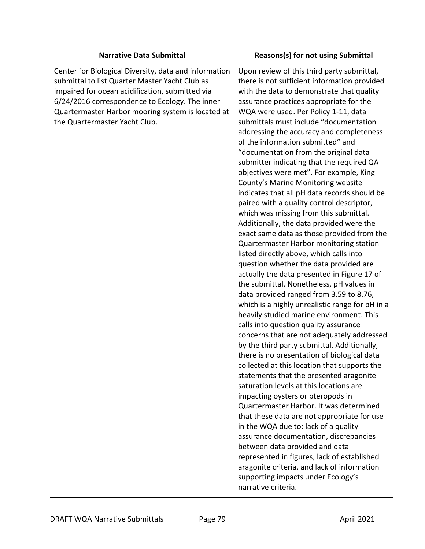| <b>Narrative Data Submittal</b>                                                                                                                                                                                                                                                                    | <b>Reasons(s) for not using Submittal</b>                                                                                                                                                                                                                                                                                                                                                                                                                                                                                                                                                                                                                                                                                                                                                                                                                                                                                                                                                                                                                                                                                                                                                                                                                                                                                                                                                                                                                                                                                                                                                                                                                                                                                                                                                                                                                                   |
|----------------------------------------------------------------------------------------------------------------------------------------------------------------------------------------------------------------------------------------------------------------------------------------------------|-----------------------------------------------------------------------------------------------------------------------------------------------------------------------------------------------------------------------------------------------------------------------------------------------------------------------------------------------------------------------------------------------------------------------------------------------------------------------------------------------------------------------------------------------------------------------------------------------------------------------------------------------------------------------------------------------------------------------------------------------------------------------------------------------------------------------------------------------------------------------------------------------------------------------------------------------------------------------------------------------------------------------------------------------------------------------------------------------------------------------------------------------------------------------------------------------------------------------------------------------------------------------------------------------------------------------------------------------------------------------------------------------------------------------------------------------------------------------------------------------------------------------------------------------------------------------------------------------------------------------------------------------------------------------------------------------------------------------------------------------------------------------------------------------------------------------------------------------------------------------------|
| Center for Biological Diversity, data and information<br>submittal to list Quarter Master Yacht Club as<br>impaired for ocean acidification, submitted via<br>6/24/2016 correspondence to Ecology. The inner<br>Quartermaster Harbor mooring system is located at<br>the Quartermaster Yacht Club. | Upon review of this third party submittal,<br>there is not sufficient information provided<br>with the data to demonstrate that quality<br>assurance practices appropriate for the<br>WQA were used. Per Policy 1-11, data<br>submittals must include "documentation<br>addressing the accuracy and completeness<br>of the information submitted" and<br>"documentation from the original data<br>submitter indicating that the required QA<br>objectives were met". For example, King<br>County's Marine Monitoring website<br>indicates that all pH data records should be<br>paired with a quality control descriptor,<br>which was missing from this submittal.<br>Additionally, the data provided were the<br>exact same data as those provided from the<br>Quartermaster Harbor monitoring station<br>listed directly above, which calls into<br>question whether the data provided are<br>actually the data presented in Figure 17 of<br>the submittal. Nonetheless, pH values in<br>data provided ranged from 3.59 to 8.76,<br>which is a highly unrealistic range for pH in a<br>heavily studied marine environment. This<br>calls into question quality assurance<br>concerns that are not adequately addressed<br>by the third party submittal. Additionally,<br>there is no presentation of biological data<br>collected at this location that supports the<br>statements that the presented aragonite<br>saturation levels at this locations are<br>impacting oysters or pteropods in<br>Quartermaster Harbor. It was determined<br>that these data are not appropriate for use<br>in the WQA due to: lack of a quality<br>assurance documentation, discrepancies<br>between data provided and data<br>represented in figures, lack of established<br>aragonite criteria, and lack of information<br>supporting impacts under Ecology's<br>narrative criteria. |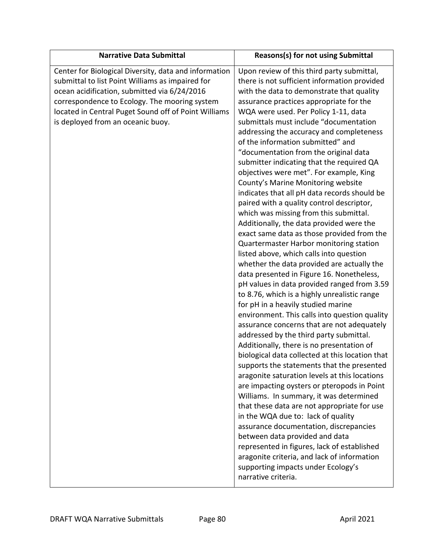| <b>Narrative Data Submittal</b>                                                                                                                                                                                                                                                                         | <b>Reasons(s) for not using Submittal</b>                                                                                                                                                                                                                                                                                                                                                                                                                                                                                                                                                                                                                                                                                                                                                                                                                                                                                                                                                                                                                                                                                                                                                                                                                                                                                                                                                                                                                                                                                                                                                                                                                                                                                                                                                                                                          |
|---------------------------------------------------------------------------------------------------------------------------------------------------------------------------------------------------------------------------------------------------------------------------------------------------------|----------------------------------------------------------------------------------------------------------------------------------------------------------------------------------------------------------------------------------------------------------------------------------------------------------------------------------------------------------------------------------------------------------------------------------------------------------------------------------------------------------------------------------------------------------------------------------------------------------------------------------------------------------------------------------------------------------------------------------------------------------------------------------------------------------------------------------------------------------------------------------------------------------------------------------------------------------------------------------------------------------------------------------------------------------------------------------------------------------------------------------------------------------------------------------------------------------------------------------------------------------------------------------------------------------------------------------------------------------------------------------------------------------------------------------------------------------------------------------------------------------------------------------------------------------------------------------------------------------------------------------------------------------------------------------------------------------------------------------------------------------------------------------------------------------------------------------------------------|
| Center for Biological Diversity, data and information<br>submittal to list Point Williams as impaired for<br>ocean acidification, submitted via 6/24/2016<br>correspondence to Ecology. The mooring system<br>located in Central Puget Sound off of Point Williams<br>is deployed from an oceanic buoy. | Upon review of this third party submittal,<br>there is not sufficient information provided<br>with the data to demonstrate that quality<br>assurance practices appropriate for the<br>WQA were used. Per Policy 1-11, data<br>submittals must include "documentation<br>addressing the accuracy and completeness<br>of the information submitted" and<br>"documentation from the original data<br>submitter indicating that the required QA<br>objectives were met". For example, King<br>County's Marine Monitoring website<br>indicates that all pH data records should be<br>paired with a quality control descriptor,<br>which was missing from this submittal.<br>Additionally, the data provided were the<br>exact same data as those provided from the<br>Quartermaster Harbor monitoring station<br>listed above, which calls into question<br>whether the data provided are actually the<br>data presented in Figure 16. Nonetheless,<br>pH values in data provided ranged from 3.59<br>to 8.76, which is a highly unrealistic range<br>for pH in a heavily studied marine<br>environment. This calls into question quality<br>assurance concerns that are not adequately<br>addressed by the third party submittal.<br>Additionally, there is no presentation of<br>biological data collected at this location that<br>supports the statements that the presented<br>aragonite saturation levels at this locations<br>are impacting oysters or pteropods in Point<br>Williams. In summary, it was determined<br>that these data are not appropriate for use<br>in the WQA due to: lack of quality<br>assurance documentation, discrepancies<br>between data provided and data<br>represented in figures, lack of established<br>aragonite criteria, and lack of information<br>supporting impacts under Ecology's<br>narrative criteria. |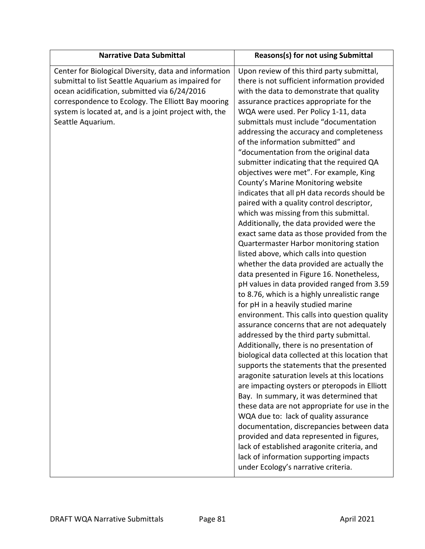| <b>Narrative Data Submittal</b>                                                                                                                                                                                                                                                                  | <b>Reasons(s) for not using Submittal</b>                                                                                                                                                                                                                                                                                                                                                                                                                                                                                                                                                                                                                                                                                                                                                                                                                                                                                                                                                                                                                                                                                                                                                                                                                                                                                                                                                                                                                                                                                                                                                                                                                                                                                                                                                             |
|--------------------------------------------------------------------------------------------------------------------------------------------------------------------------------------------------------------------------------------------------------------------------------------------------|-------------------------------------------------------------------------------------------------------------------------------------------------------------------------------------------------------------------------------------------------------------------------------------------------------------------------------------------------------------------------------------------------------------------------------------------------------------------------------------------------------------------------------------------------------------------------------------------------------------------------------------------------------------------------------------------------------------------------------------------------------------------------------------------------------------------------------------------------------------------------------------------------------------------------------------------------------------------------------------------------------------------------------------------------------------------------------------------------------------------------------------------------------------------------------------------------------------------------------------------------------------------------------------------------------------------------------------------------------------------------------------------------------------------------------------------------------------------------------------------------------------------------------------------------------------------------------------------------------------------------------------------------------------------------------------------------------------------------------------------------------------------------------------------------------|
| Center for Biological Diversity, data and information<br>submittal to list Seattle Aquarium as impaired for<br>ocean acidification, submitted via 6/24/2016<br>correspondence to Ecology. The Elliott Bay mooring<br>system is located at, and is a joint project with, the<br>Seattle Aquarium. | Upon review of this third party submittal,<br>there is not sufficient information provided<br>with the data to demonstrate that quality<br>assurance practices appropriate for the<br>WQA were used. Per Policy 1-11, data<br>submittals must include "documentation<br>addressing the accuracy and completeness<br>of the information submitted" and<br>"documentation from the original data<br>submitter indicating that the required QA<br>objectives were met". For example, King<br>County's Marine Monitoring website<br>indicates that all pH data records should be<br>paired with a quality control descriptor,<br>which was missing from this submittal.<br>Additionally, the data provided were the<br>exact same data as those provided from the<br>Quartermaster Harbor monitoring station<br>listed above, which calls into question<br>whether the data provided are actually the<br>data presented in Figure 16. Nonetheless,<br>pH values in data provided ranged from 3.59<br>to 8.76, which is a highly unrealistic range<br>for pH in a heavily studied marine<br>environment. This calls into question quality<br>assurance concerns that are not adequately<br>addressed by the third party submittal.<br>Additionally, there is no presentation of<br>biological data collected at this location that<br>supports the statements that the presented<br>aragonite saturation levels at this locations<br>are impacting oysters or pteropods in Elliott<br>Bay. In summary, it was determined that<br>these data are not appropriate for use in the<br>WQA due to: lack of quality assurance<br>documentation, discrepancies between data<br>provided and data represented in figures,<br>lack of established aragonite criteria, and<br>lack of information supporting impacts |
|                                                                                                                                                                                                                                                                                                  | under Ecology's narrative criteria.                                                                                                                                                                                                                                                                                                                                                                                                                                                                                                                                                                                                                                                                                                                                                                                                                                                                                                                                                                                                                                                                                                                                                                                                                                                                                                                                                                                                                                                                                                                                                                                                                                                                                                                                                                   |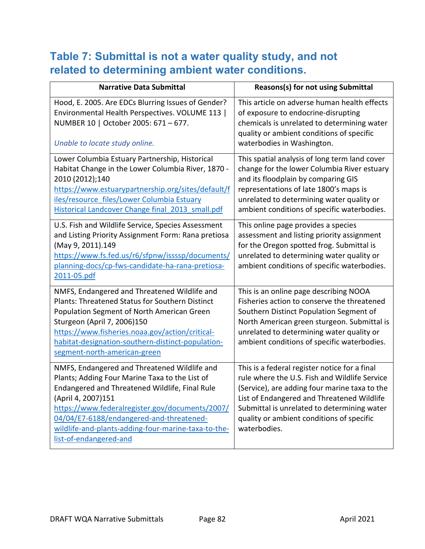## **Table 7: Submittal is not a water quality study, and not related to determining ambient water conditions.**

| <b>Narrative Data Submittal</b>                                                                                                                                                                                                                                                                                                                        | <b>Reasons(s) for not using Submittal</b>                                                                                                                                                                                                                                                                 |
|--------------------------------------------------------------------------------------------------------------------------------------------------------------------------------------------------------------------------------------------------------------------------------------------------------------------------------------------------------|-----------------------------------------------------------------------------------------------------------------------------------------------------------------------------------------------------------------------------------------------------------------------------------------------------------|
| Hood, E. 2005. Are EDCs Blurring Issues of Gender?<br>Environmental Health Perspectives. VOLUME 113  <br>NUMBER 10   October 2005: 671 - 677.<br>Unable to locate study online.                                                                                                                                                                        | This article on adverse human health effects<br>of exposure to endocrine-disrupting<br>chemicals is unrelated to determining water<br>quality or ambient conditions of specific<br>waterbodies in Washington.                                                                                             |
| Lower Columbia Estuary Partnership, Historical<br>Habitat Change in the Lower Columbia River, 1870 -<br>2010 (2012);140<br>https://www.estuarypartnership.org/sites/default/f<br>iles/resource files/Lower Columbia Estuary<br>Historical Landcover Change final 2013 small.pdf                                                                        | This spatial analysis of long term land cover<br>change for the lower Columbia River estuary<br>and its floodplain by comparing GIS<br>representations of late 1800's maps is<br>unrelated to determining water quality or<br>ambient conditions of specific waterbodies.                                 |
| U.S. Fish and Wildlife Service, Species Assessment<br>and Listing Priority Assignment Form: Rana pretiosa<br>(May 9, 2011).149<br>https://www.fs.fed.us/r6/sfpnw/issssp/documents/<br>planning-docs/cp-fws-candidate-ha-rana-pretiosa-<br>2011-05.pdf                                                                                                  | This online page provides a species<br>assessment and listing priority assignment<br>for the Oregon spotted frog. Submittal is<br>unrelated to determining water quality or<br>ambient conditions of specific waterbodies.                                                                                |
| NMFS, Endangered and Threatened Wildlife and<br><b>Plants: Threatened Status for Southern Distinct</b><br>Population Segment of North American Green<br>Sturgeon (April 7, 2006)150<br>https://www.fisheries.noaa.gov/action/critical-<br>habitat-designation-southern-distinct-population-<br>segment-north-american-green                            | This is an online page describing NOOA<br>Fisheries action to conserve the threatened<br>Southern Distinct Population Segment of<br>North American green sturgeon. Submittal is<br>unrelated to determining water quality or<br>ambient conditions of specific waterbodies.                               |
| NMFS, Endangered and Threatened Wildlife and<br>Plants; Adding Four Marine Taxa to the List of<br>Endangered and Threatened Wildlife, Final Rule<br>(April 4, 2007)151<br>https://www.federalregister.gov/documents/2007/<br>04/04/E7-6188/endangered-and-threatened-<br>wildlife-and-plants-adding-four-marine-taxa-to-the-<br>list-of-endangered-and | This is a federal register notice for a final<br>rule where the U.S. Fish and Wildlife Service<br>(Service), are adding four marine taxa to the<br>List of Endangered and Threatened Wildlife<br>Submittal is unrelated to determining water<br>quality or ambient conditions of specific<br>waterbodies. |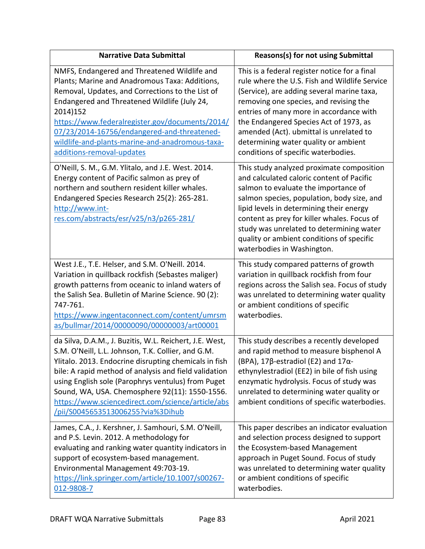| <b>Narrative Data Submittal</b>                                                                                                                                                                                                                                                                                                                                                                                                  | Reasons(s) for not using Submittal                                                                                                                                                                                                                                                                                                                                                                    |
|----------------------------------------------------------------------------------------------------------------------------------------------------------------------------------------------------------------------------------------------------------------------------------------------------------------------------------------------------------------------------------------------------------------------------------|-------------------------------------------------------------------------------------------------------------------------------------------------------------------------------------------------------------------------------------------------------------------------------------------------------------------------------------------------------------------------------------------------------|
| NMFS, Endangered and Threatened Wildlife and<br>Plants; Marine and Anadromous Taxa: Additions,<br>Removal, Updates, and Corrections to the List of<br>Endangered and Threatened Wildlife (July 24,<br>2014)152<br>https://www.federalregister.gov/documents/2014/<br>07/23/2014-16756/endangered-and-threatened-<br>wildlife-and-plants-marine-and-anadromous-taxa-<br>additions-removal-updates                                 | This is a federal register notice for a final<br>rule where the U.S. Fish and Wildlife Service<br>(Service), are adding several marine taxa,<br>removing one species, and revising the<br>entries of many more in accordance with<br>the Endangered Species Act of 1973, as<br>amended (Act). ubmittal is unrelated to<br>determining water quality or ambient<br>conditions of specific waterbodies. |
| O'Neill, S. M., G.M. Ylitalo, and J.E. West. 2014.<br>Energy content of Pacific salmon as prey of<br>northern and southern resident killer whales.<br>Endangered Species Research 25(2): 265-281.<br>http://www.int-<br>res.com/abstracts/esr/v25/n3/p265-281/                                                                                                                                                                   | This study analyzed proximate composition<br>and calculated caloric content of Pacific<br>salmon to evaluate the importance of<br>salmon species, population, body size, and<br>lipid levels in determining their energy<br>content as prey for killer whales. Focus of<br>study was unrelated to determining water<br>quality or ambient conditions of specific<br>waterbodies in Washington.        |
| West J.E., T.E. Helser, and S.M. O'Neill. 2014.<br>Variation in quillback rockfish (Sebastes maliger)<br>growth patterns from oceanic to inland waters of<br>the Salish Sea. Bulletin of Marine Science. 90 (2):<br>747-761.<br>https://www.ingentaconnect.com/content/umrsm<br>as/bullmar/2014/00000090/00000003/art00001                                                                                                       | This study compared patterns of growth<br>variation in quillback rockfish from four<br>regions across the Salish sea. Focus of study<br>was unrelated to determining water quality<br>or ambient conditions of specific<br>waterbodies.                                                                                                                                                               |
| da Silva, D.A.M., J. Buzitis, W.L. Reichert, J.E. West,<br>S.M. O'Neill, L.L. Johnson, T.K. Collier, and G.M.<br>Ylitalo. 2013. Endocrine disrupting chemicals in fish<br>bile: A rapid method of analysis and field validation<br>using English sole (Parophrys ventulus) from Puget<br>Sound, WA, USA. Chemosphere 92(11): 1550-1556.<br>https://www.sciencedirect.com/science/article/abs<br>pii/S0045653513006255?via%3Dihub | This study describes a recently developed<br>and rapid method to measure bisphenol A<br>(BPA), 17 $\beta$ -estradiol (E2) and 17 $\alpha$ -<br>ethynylestradiol (EE2) in bile of fish using<br>enzymatic hydrolysis. Focus of study was<br>unrelated to determining water quality or<br>ambient conditions of specific waterbodies.                                                                   |
| James, C.A., J. Kershner, J. Samhouri, S.M. O'Neill,<br>and P.S. Levin. 2012. A methodology for<br>evaluating and ranking water quantity indicators in<br>support of ecosystem-based management.<br>Environmental Management 49:703-19.<br>https://link.springer.com/article/10.1007/s00267-<br>012-9808-7                                                                                                                       | This paper describes an indicator evaluation<br>and selection process designed to support<br>the Ecosystem-based Management<br>approach in Puget Sound. Focus of study<br>was unrelated to determining water quality<br>or ambient conditions of specific<br>waterbodies.                                                                                                                             |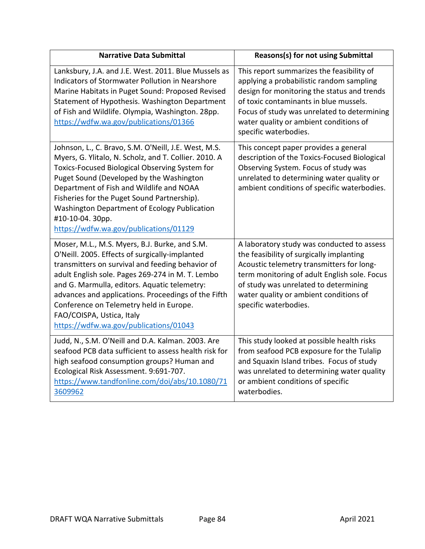| <b>Narrative Data Submittal</b>                                                                                                                                                                                                                                                                                                                                                                                                  | Reasons(s) for not using Submittal                                                                                                                                                                                                                                                               |
|----------------------------------------------------------------------------------------------------------------------------------------------------------------------------------------------------------------------------------------------------------------------------------------------------------------------------------------------------------------------------------------------------------------------------------|--------------------------------------------------------------------------------------------------------------------------------------------------------------------------------------------------------------------------------------------------------------------------------------------------|
| Lanksbury, J.A. and J.E. West. 2011. Blue Mussels as<br>Indicators of Stormwater Pollution in Nearshore<br>Marine Habitats in Puget Sound: Proposed Revised<br>Statement of Hypothesis. Washington Department<br>of Fish and Wildlife. Olympia, Washington. 28pp.<br>https://wdfw.wa.gov/publications/01366                                                                                                                      | This report summarizes the feasibility of<br>applying a probabilistic random sampling<br>design for monitoring the status and trends<br>of toxic contaminants in blue mussels.<br>Focus of study was unrelated to determining<br>water quality or ambient conditions of<br>specific waterbodies. |
| Johnson, L., C. Bravo, S.M. O'Neill, J.E. West, M.S.<br>Myers, G. Ylitalo, N. Scholz, and T. Collier. 2010. A<br>Toxics-Focused Biological Observing System for<br>Puget Sound (Developed by the Washington<br>Department of Fish and Wildlife and NOAA<br>Fisheries for the Puget Sound Partnership).<br>Washington Department of Ecology Publication<br>#10-10-04. 30pp.<br>https://wdfw.wa.gov/publications/01129             | This concept paper provides a general<br>description of the Toxics-Focused Biological<br>Observing System. Focus of study was<br>unrelated to determining water quality or<br>ambient conditions of specific waterbodies.                                                                        |
| Moser, M.L., M.S. Myers, B.J. Burke, and S.M.<br>O'Neill. 2005. Effects of surgically-implanted<br>transmitters on survival and feeding behavior of<br>adult English sole. Pages 269-274 in M. T. Lembo<br>and G. Marmulla, editors. Aquatic telemetry:<br>advances and applications. Proceedings of the Fifth<br>Conference on Telemetry held in Europe.<br>FAO/COISPA, Ustica, Italy<br>https://wdfw.wa.gov/publications/01043 | A laboratory study was conducted to assess<br>the feasibility of surgically implanting<br>Acoustic telemetry transmitters for long-<br>term monitoring of adult English sole. Focus<br>of study was unrelated to determining<br>water quality or ambient conditions of<br>specific waterbodies.  |
| Judd, N., S.M. O'Neill and D.A. Kalman. 2003. Are<br>seafood PCB data sufficient to assess health risk for<br>high seafood consumption groups? Human and<br>Ecological Risk Assessment. 9:691-707.<br>https://www.tandfonline.com/doi/abs/10.1080/71<br>3609962                                                                                                                                                                  | This study looked at possible health risks<br>from seafood PCB exposure for the Tulalip<br>and Squaxin Island tribes. Focus of study<br>was unrelated to determining water quality<br>or ambient conditions of specific<br>waterbodies.                                                          |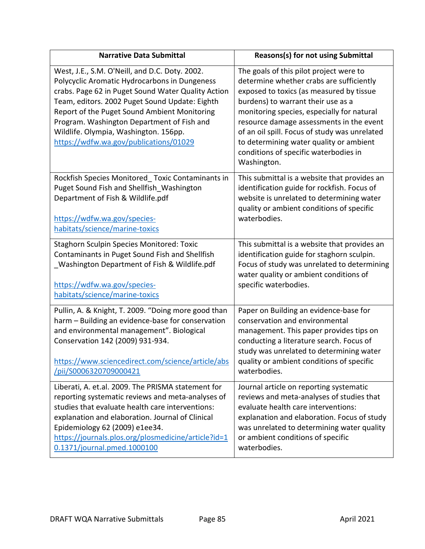| <b>Narrative Data Submittal</b>                                                                                                                                                                                                                                                                                                                                                          | Reasons(s) for not using Submittal                                                                                                                                                                                                                                                                                                                                                                                  |
|------------------------------------------------------------------------------------------------------------------------------------------------------------------------------------------------------------------------------------------------------------------------------------------------------------------------------------------------------------------------------------------|---------------------------------------------------------------------------------------------------------------------------------------------------------------------------------------------------------------------------------------------------------------------------------------------------------------------------------------------------------------------------------------------------------------------|
| West, J.E., S.M. O'Neill, and D.C. Doty. 2002.<br>Polycyclic Aromatic Hydrocarbons in Dungeness<br>crabs. Page 62 in Puget Sound Water Quality Action<br>Team, editors. 2002 Puget Sound Update: Eighth<br>Report of the Puget Sound Ambient Monitoring<br>Program. Washington Department of Fish and<br>Wildlife. Olympia, Washington. 156pp.<br>https://wdfw.wa.gov/publications/01029 | The goals of this pilot project were to<br>determine whether crabs are sufficiently<br>exposed to toxics (as measured by tissue<br>burdens) to warrant their use as a<br>monitoring species, especially for natural<br>resource damage assessments in the event<br>of an oil spill. Focus of study was unrelated<br>to determining water quality or ambient<br>conditions of specific waterbodies in<br>Washington. |
| Rockfish Species Monitored_Toxic Contaminants in                                                                                                                                                                                                                                                                                                                                         | This submittal is a website that provides an                                                                                                                                                                                                                                                                                                                                                                        |
| Puget Sound Fish and Shellfish Washington                                                                                                                                                                                                                                                                                                                                                | identification guide for rockfish. Focus of                                                                                                                                                                                                                                                                                                                                                                         |
| Department of Fish & Wildlife.pdf                                                                                                                                                                                                                                                                                                                                                        | website is unrelated to determining water                                                                                                                                                                                                                                                                                                                                                                           |
| https://wdfw.wa.gov/species-                                                                                                                                                                                                                                                                                                                                                             | quality or ambient conditions of specific                                                                                                                                                                                                                                                                                                                                                                           |
| habitats/science/marine-toxics                                                                                                                                                                                                                                                                                                                                                           | waterbodies.                                                                                                                                                                                                                                                                                                                                                                                                        |
| <b>Staghorn Sculpin Species Monitored: Toxic</b>                                                                                                                                                                                                                                                                                                                                         | This submittal is a website that provides an                                                                                                                                                                                                                                                                                                                                                                        |
| Contaminants in Puget Sound Fish and Shellfish                                                                                                                                                                                                                                                                                                                                           | identification guide for staghorn sculpin.                                                                                                                                                                                                                                                                                                                                                                          |
| Washington Department of Fish & Wildlife.pdf                                                                                                                                                                                                                                                                                                                                             | Focus of study was unrelated to determining                                                                                                                                                                                                                                                                                                                                                                         |
| https://wdfw.wa.gov/species-                                                                                                                                                                                                                                                                                                                                                             | water quality or ambient conditions of                                                                                                                                                                                                                                                                                                                                                                              |
| habitats/science/marine-toxics                                                                                                                                                                                                                                                                                                                                                           | specific waterbodies.                                                                                                                                                                                                                                                                                                                                                                                               |
| Pullin, A. & Knight, T. 2009. "Doing more good than<br>harm - Building an evidence-base for conservation<br>and environmental management". Biological<br>Conservation 142 (2009) 931-934.<br>https://www.sciencedirect.com/science/article/abs<br>/pii/S0006320709000421                                                                                                                 | Paper on Building an evidence-base for<br>conservation and environmental<br>management. This paper provides tips on<br>conducting a literature search. Focus of<br>study was unrelated to determining water<br>quality or ambient conditions of specific<br>waterbodies.                                                                                                                                            |
| Liberati, A. et.al. 2009. The PRISMA statement for                                                                                                                                                                                                                                                                                                                                       | Journal article on reporting systematic                                                                                                                                                                                                                                                                                                                                                                             |
| reporting systematic reviews and meta-analyses of                                                                                                                                                                                                                                                                                                                                        | reviews and meta-analyses of studies that                                                                                                                                                                                                                                                                                                                                                                           |
| studies that evaluate health care interventions:                                                                                                                                                                                                                                                                                                                                         | evaluate health care interventions:                                                                                                                                                                                                                                                                                                                                                                                 |
| explanation and elaboration. Journal of Clinical                                                                                                                                                                                                                                                                                                                                         | explanation and elaboration. Focus of study                                                                                                                                                                                                                                                                                                                                                                         |
| Epidemiology 62 (2009) e1ee34.                                                                                                                                                                                                                                                                                                                                                           | was unrelated to determining water quality                                                                                                                                                                                                                                                                                                                                                                          |
| https://journals.plos.org/plosmedicine/article?id=1                                                                                                                                                                                                                                                                                                                                      | or ambient conditions of specific                                                                                                                                                                                                                                                                                                                                                                                   |
| 0.1371/journal.pmed.1000100                                                                                                                                                                                                                                                                                                                                                              | waterbodies.                                                                                                                                                                                                                                                                                                                                                                                                        |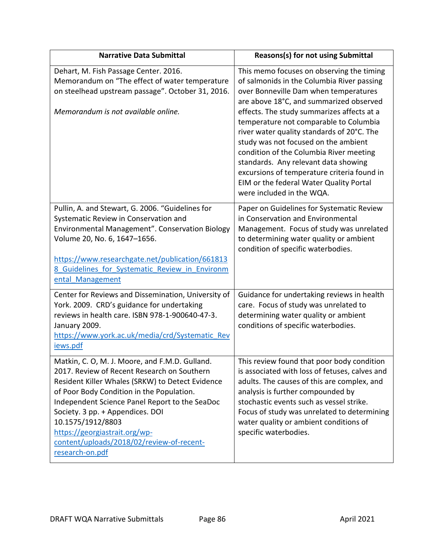| <b>Narrative Data Submittal</b>                                                                                                                                                                                                                                                                                                                                                                            | <b>Reasons(s) for not using Submittal</b>                                                                                                                                                                                                                                                                                                                                                                                                                                                                                                                           |
|------------------------------------------------------------------------------------------------------------------------------------------------------------------------------------------------------------------------------------------------------------------------------------------------------------------------------------------------------------------------------------------------------------|---------------------------------------------------------------------------------------------------------------------------------------------------------------------------------------------------------------------------------------------------------------------------------------------------------------------------------------------------------------------------------------------------------------------------------------------------------------------------------------------------------------------------------------------------------------------|
| Dehart, M. Fish Passage Center. 2016.<br>Memorandum on "The effect of water temperature<br>on steelhead upstream passage". October 31, 2016.<br>Memorandum is not available online.                                                                                                                                                                                                                        | This memo focuses on observing the timing<br>of salmonids in the Columbia River passing<br>over Bonneville Dam when temperatures<br>are above 18°C, and summarized observed<br>effects. The study summarizes affects at a<br>temperature not comparable to Columbia<br>river water quality standards of 20°C. The<br>study was not focused on the ambient<br>condition of the Columbia River meeting<br>standards. Any relevant data showing<br>excursions of temperature criteria found in<br>EIM or the federal Water Quality Portal<br>were included in the WQA. |
| Pullin, A. and Stewart, G. 2006. "Guidelines for<br>Systematic Review in Conservation and<br>Environmental Management". Conservation Biology<br>Volume 20, No. 6, 1647-1656.<br>https://www.researchgate.net/publication/661813<br>8 Guidelines for Systematic Review in Environm<br>ental Management                                                                                                      | Paper on Guidelines for Systematic Review<br>in Conservation and Environmental<br>Management. Focus of study was unrelated<br>to determining water quality or ambient<br>condition of specific waterbodies.                                                                                                                                                                                                                                                                                                                                                         |
| Center for Reviews and Dissemination, University of<br>York. 2009. CRD's guidance for undertaking<br>reviews in health care. ISBN 978-1-900640-47-3.<br>January 2009.<br>https://www.york.ac.uk/media/crd/Systematic_Rev<br>iews.pdf                                                                                                                                                                       | Guidance for undertaking reviews in health<br>care. Focus of study was unrelated to<br>determining water quality or ambient<br>conditions of specific waterbodies.                                                                                                                                                                                                                                                                                                                                                                                                  |
| Matkin, C. O, M. J. Moore, and F.M.D. Gulland.<br>2017. Review of Recent Research on Southern<br>Resident Killer Whales (SRKW) to Detect Evidence<br>of Poor Body Condition in the Population.<br>Independent Science Panel Report to the SeaDoc<br>Society. 3 pp. + Appendices. DOI<br>10.1575/1912/8803<br>https://georgiastrait.org/wp-<br>content/uploads/2018/02/review-of-recent-<br>research-on.pdf | This review found that poor body condition<br>is associated with loss of fetuses, calves and<br>adults. The causes of this are complex, and<br>analysis is further compounded by<br>stochastic events such as vessel strike.<br>Focus of study was unrelated to determining<br>water quality or ambient conditions of<br>specific waterbodies.                                                                                                                                                                                                                      |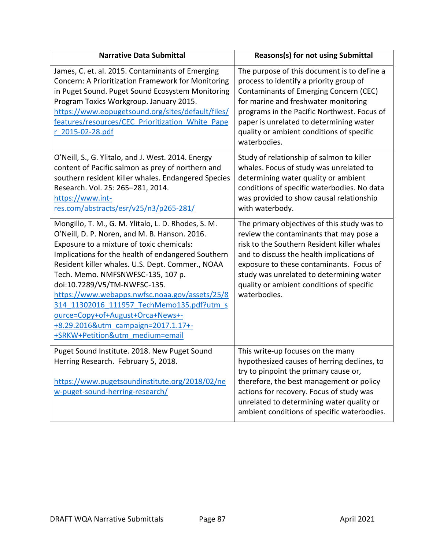| <b>Narrative Data Submittal</b>                                                                                                                                                                                                                                                                                                                                                                                                                                                                                                               | Reasons(s) for not using Submittal                                                                                                                                                                                                                                                                                                      |
|-----------------------------------------------------------------------------------------------------------------------------------------------------------------------------------------------------------------------------------------------------------------------------------------------------------------------------------------------------------------------------------------------------------------------------------------------------------------------------------------------------------------------------------------------|-----------------------------------------------------------------------------------------------------------------------------------------------------------------------------------------------------------------------------------------------------------------------------------------------------------------------------------------|
| James, C. et. al. 2015. Contaminants of Emerging<br>Concern: A Prioritization Framework for Monitoring<br>in Puget Sound. Puget Sound Ecosystem Monitoring<br>Program Toxics Workgroup. January 2015.<br>https://www.eopugetsound.org/sites/default/files/<br>features/resources/CEC Prioritization White Pape<br>r 2015-02-28.pdf                                                                                                                                                                                                            | The purpose of this document is to define a<br>process to identify a priority group of<br>Contaminants of Emerging Concern (CEC)<br>for marine and freshwater monitoring<br>programs in the Pacific Northwest. Focus of<br>paper is unrelated to determining water<br>quality or ambient conditions of specific<br>waterbodies.         |
| O'Neill, S., G. Ylitalo, and J. West. 2014. Energy<br>content of Pacific salmon as prey of northern and<br>southern resident killer whales. Endangered Species<br>Research. Vol. 25: 265-281, 2014.<br>https://www.int-<br>res.com/abstracts/esr/v25/n3/p265-281/                                                                                                                                                                                                                                                                             | Study of relationship of salmon to killer<br>whales. Focus of study was unrelated to<br>determining water quality or ambient<br>conditions of specific waterbodies. No data<br>was provided to show causal relationship<br>with waterbody.                                                                                              |
| Mongillo, T. M., G. M. Ylitalo, L. D. Rhodes, S. M.<br>O'Neill, D. P. Noren, and M. B. Hanson. 2016.<br>Exposure to a mixture of toxic chemicals:<br>Implications for the health of endangered Southern<br>Resident killer whales. U.S. Dept. Commer., NOAA<br>Tech. Memo. NMFSNWFSC-135, 107 p.<br>doi:10.7289/V5/TM-NWFSC-135.<br>https://www.webapps.nwfsc.noaa.gov/assets/25/8<br>314 11302016 111957 TechMemo135.pdf?utm s<br>ource=Copy+of+August+Orca+News+-<br>+8.29.2016&utm campaign=2017.1.17+-<br>+SRKW+Petition&utm medium=email | The primary objectives of this study was to<br>review the contaminants that may pose a<br>risk to the Southern Resident killer whales<br>and to discuss the health implications of<br>exposure to these contaminants. Focus of<br>study was unrelated to determining water<br>quality or ambient conditions of specific<br>waterbodies. |
| Puget Sound Institute. 2018. New Puget Sound<br>Herring Research. February 5, 2018.<br>https://www.pugetsoundinstitute.org/2018/02/ne<br>w-puget-sound-herring-research/                                                                                                                                                                                                                                                                                                                                                                      | This write-up focuses on the many<br>hypothesized causes of herring declines, to<br>try to pinpoint the primary cause or,<br>therefore, the best management or policy<br>actions for recovery. Focus of study was<br>unrelated to determining water quality or<br>ambient conditions of specific waterbodies.                           |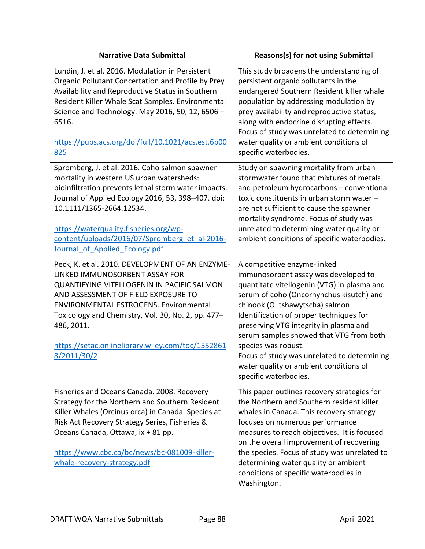| <b>Narrative Data Submittal</b>                                                                                                                                                                                                                                                                                                                                    | Reasons(s) for not using Submittal                                                                                                                                                                                                                                                                                                                                                                                                                                          |
|--------------------------------------------------------------------------------------------------------------------------------------------------------------------------------------------------------------------------------------------------------------------------------------------------------------------------------------------------------------------|-----------------------------------------------------------------------------------------------------------------------------------------------------------------------------------------------------------------------------------------------------------------------------------------------------------------------------------------------------------------------------------------------------------------------------------------------------------------------------|
| Lundin, J. et al. 2016. Modulation in Persistent<br>Organic Pollutant Concertation and Profile by Prey<br>Availability and Reproductive Status in Southern<br>Resident Killer Whale Scat Samples. Environmental<br>Science and Technology. May 2016, 50, 12, 6506 -<br>6516.<br>https://pubs.acs.org/doi/full/10.1021/acs.est.6b00<br>825                          | This study broadens the understanding of<br>persistent organic pollutants in the<br>endangered Southern Resident killer whale<br>population by addressing modulation by<br>prey availability and reproductive status,<br>along with endocrine disrupting effects.<br>Focus of study was unrelated to determining<br>water quality or ambient conditions of<br>specific waterbodies.                                                                                         |
| Spromberg, J. et al. 2016. Coho salmon spawner<br>mortality in western US urban watersheds:<br>bioinfiltration prevents lethal storm water impacts.<br>Journal of Applied Ecology 2016, 53, 398-407. doi:<br>10.1111/1365-2664.12534.<br>https://waterquality.fisheries.org/wp-<br>content/uploads/2016/07/Spromberg et al-2016-<br>Journal of Applied Ecology.pdf | Study on spawning mortality from urban<br>stormwater found that mixtures of metals<br>and petroleum hydrocarbons - conventional<br>toxic constituents in urban storm water -<br>are not sufficient to cause the spawner<br>mortality syndrome. Focus of study was<br>unrelated to determining water quality or<br>ambient conditions of specific waterbodies.                                                                                                               |
| Peck, K. et al. 2010. DEVELOPMENT OF AN ENZYME-<br>LINKED IMMUNOSORBENT ASSAY FOR<br>QUANTIFYING VITELLOGENIN IN PACIFIC SALMON<br>AND ASSESSMENT OF FIELD EXPOSURE TO<br><b>ENVIRONMENTAL ESTROGENS. Environmental</b><br>Toxicology and Chemistry, Vol. 30, No. 2, pp. 477-<br>486, 2011.<br>https://setac.onlinelibrary.wiley.com/toc/1552861<br>8/2011/30/2    | A competitive enzyme-linked<br>immunosorbent assay was developed to<br>quantitate vitellogenin (VTG) in plasma and<br>serum of coho (Oncorhynchus kisutch) and<br>chinook (O. tshawytscha) salmon.<br>Identification of proper techniques for<br>preserving VTG integrity in plasma and<br>serum samples showed that VTG from both<br>species was robust.<br>Focus of study was unrelated to determining<br>water quality or ambient conditions of<br>specific waterbodies. |
| Fisheries and Oceans Canada. 2008. Recovery<br>Strategy for the Northern and Southern Resident<br>Killer Whales (Orcinus orca) in Canada. Species at<br>Risk Act Recovery Strategy Series, Fisheries &<br>Oceans Canada, Ottawa, ix + 81 pp.<br>https://www.cbc.ca/bc/news/bc-081009-killer-<br>whale-recovery-strategy.pdf                                        | This paper outlines recovery strategies for<br>the Northern and Southern resident killer<br>whales in Canada. This recovery strategy<br>focuses on numerous performance<br>measures to reach objectives. It is focused<br>on the overall improvement of recovering<br>the species. Focus of study was unrelated to<br>determining water quality or ambient<br>conditions of specific waterbodies in<br>Washington.                                                          |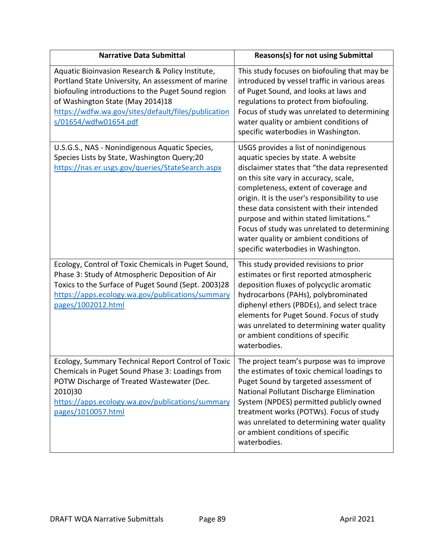| <b>Narrative Data Submittal</b>                                                                                                                                                                                                                                                  | Reasons(s) for not using Submittal                                                                                                                                                                                                                                                                                                                                                                                                                                                      |
|----------------------------------------------------------------------------------------------------------------------------------------------------------------------------------------------------------------------------------------------------------------------------------|-----------------------------------------------------------------------------------------------------------------------------------------------------------------------------------------------------------------------------------------------------------------------------------------------------------------------------------------------------------------------------------------------------------------------------------------------------------------------------------------|
| Aquatic Bioinvasion Research & Policy Institute,<br>Portland State University, An assessment of marine<br>biofouling introductions to the Puget Sound region<br>of Washington State (May 2014)18<br>https://wdfw.wa.gov/sites/default/files/publication<br>s/01654/wdfw01654.pdf | This study focuses on biofouling that may be<br>introduced by vessel traffic in various areas<br>of Puget Sound, and looks at laws and<br>regulations to protect from biofouling.<br>Focus of study was unrelated to determining<br>water quality or ambient conditions of<br>specific waterbodies in Washington.                                                                                                                                                                       |
| U.S.G.S., NAS - Nonindigenous Aquatic Species,<br>Species Lists by State, Washington Query;20<br>https://nas.er.usgs.gov/queries/StateSearch.aspx                                                                                                                                | USGS provides a list of nonindigenous<br>aquatic species by state. A website<br>disclaimer states that "the data represented<br>on this site vary in accuracy, scale,<br>completeness, extent of coverage and<br>origin. It is the user's responsibility to use<br>these data consistent with their intended<br>purpose and within stated limitations."<br>Focus of study was unrelated to determining<br>water quality or ambient conditions of<br>specific waterbodies in Washington. |
| Ecology, Control of Toxic Chemicals in Puget Sound,<br>Phase 3: Study of Atmospheric Deposition of Air<br>Toxics to the Surface of Puget Sound (Sept. 2003)28<br>https://apps.ecology.wa.gov/publications/summary<br>pages/1002012.html                                          | This study provided revisions to prior<br>estimates or first reported atmospheric<br>deposition fluxes of polycyclic aromatic<br>hydrocarbons (PAHs), polybrominated<br>diphenyl ethers (PBDEs), and select trace<br>elements for Puget Sound. Focus of study<br>was unrelated to determining water quality<br>or ambient conditions of specific<br>waterbodies.                                                                                                                        |
| Ecology, Summary Technical Report Control of Toxic<br>Chemicals in Puget Sound Phase 3: Loadings from<br>POTW Discharge of Treated Wastewater (Dec.<br>2010)30<br>https://apps.ecology.wa.gov/publications/summary<br>pages/1010057.html                                         | The project team's purpose was to improve<br>the estimates of toxic chemical loadings to<br>Puget Sound by targeted assessment of<br>National Pollutant Discharge Elimination<br>System (NPDES) permitted publicly owned<br>treatment works (POTWs). Focus of study<br>was unrelated to determining water quality<br>or ambient conditions of specific<br>waterbodies.                                                                                                                  |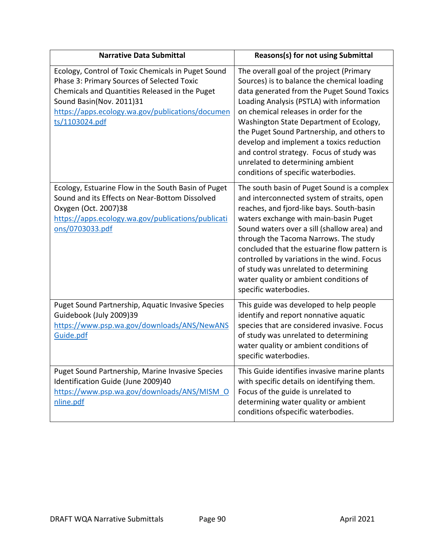| <b>Narrative Data Submittal</b>                                                                                                                                                                                                                      | <b>Reasons(s) for not using Submittal</b>                                                                                                                                                                                                                                                                                                                                                                                                                                               |
|------------------------------------------------------------------------------------------------------------------------------------------------------------------------------------------------------------------------------------------------------|-----------------------------------------------------------------------------------------------------------------------------------------------------------------------------------------------------------------------------------------------------------------------------------------------------------------------------------------------------------------------------------------------------------------------------------------------------------------------------------------|
| Ecology, Control of Toxic Chemicals in Puget Sound<br>Phase 3: Primary Sources of Selected Toxic<br>Chemicals and Quantities Released in the Puget<br>Sound Basin(Nov. 2011)31<br>https://apps.ecology.wa.gov/publications/documen<br>ts/1103024.pdf | The overall goal of the project (Primary<br>Sources) is to balance the chemical loading<br>data generated from the Puget Sound Toxics<br>Loading Analysis (PSTLA) with information<br>on chemical releases in order for the<br>Washington State Department of Ecology,<br>the Puget Sound Partnership, and others to<br>develop and implement a toxics reduction<br>and control strategy. Focus of study was<br>unrelated to determining ambient<br>conditions of specific waterbodies. |
| Ecology, Estuarine Flow in the South Basin of Puget<br>Sound and its Effects on Near-Bottom Dissolved<br>Oxygen (Oct. 2007)38<br>https://apps.ecology.wa.gov/publications/publicati<br><u>ons/0703033.pdf</u>                                        | The south basin of Puget Sound is a complex<br>and interconnected system of straits, open<br>reaches, and fjord-like bays. South-basin<br>waters exchange with main-basin Puget<br>Sound waters over a sill (shallow area) and<br>through the Tacoma Narrows. The study<br>concluded that the estuarine flow pattern is<br>controlled by variations in the wind. Focus<br>of study was unrelated to determining<br>water quality or ambient conditions of<br>specific waterbodies.      |
| Puget Sound Partnership, Aquatic Invasive Species<br>Guidebook (July 2009)39<br>https://www.psp.wa.gov/downloads/ANS/NewANS<br>Guide.pdf                                                                                                             | This guide was developed to help people<br>identify and report nonnative aquatic<br>species that are considered invasive. Focus<br>of study was unrelated to determining<br>water quality or ambient conditions of<br>specific waterbodies.                                                                                                                                                                                                                                             |
| Puget Sound Partnership, Marine Invasive Species<br>Identification Guide (June 2009)40<br>https://www.psp.wa.gov/downloads/ANS/MISM O<br>nline.pdf                                                                                                   | This Guide identifies invasive marine plants<br>with specific details on identifying them.<br>Focus of the guide is unrelated to<br>determining water quality or ambient<br>conditions ofspecific waterbodies.                                                                                                                                                                                                                                                                          |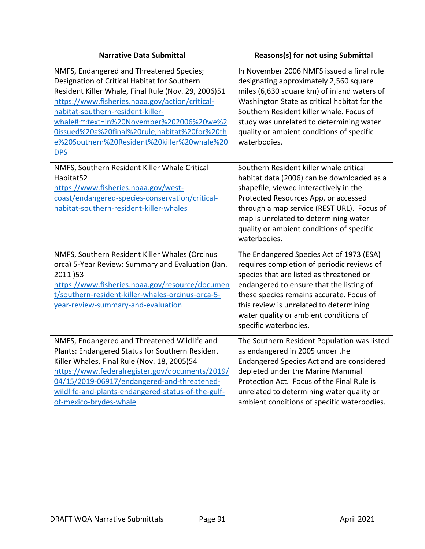| <b>Narrative Data Submittal</b>                                                                                                                                                                                                                                                                                                                                                                    | <b>Reasons(s) for not using Submittal</b>                                                                                                                                                                                                                                                                                                |
|----------------------------------------------------------------------------------------------------------------------------------------------------------------------------------------------------------------------------------------------------------------------------------------------------------------------------------------------------------------------------------------------------|------------------------------------------------------------------------------------------------------------------------------------------------------------------------------------------------------------------------------------------------------------------------------------------------------------------------------------------|
| NMFS, Endangered and Threatened Species;<br>Designation of Critical Habitat for Southern<br>Resident Killer Whale, Final Rule (Nov. 29, 2006)51<br>https://www.fisheries.noaa.gov/action/critical-<br>habitat-southern-resident-killer-<br>whale#:~:text=In%20November%202006%20we%2<br>0issued%20a%20final%20rule,habitat%20for%20th<br>e%20Southern%20Resident%20killer%20whale%20<br><b>DPS</b> | In November 2006 NMFS issued a final rule<br>designating approximately 2,560 square<br>miles (6,630 square km) of inland waters of<br>Washington State as critical habitat for the<br>Southern Resident killer whale. Focus of<br>study was unrelated to determining water<br>quality or ambient conditions of specific<br>waterbodies.  |
| NMFS, Southern Resident Killer Whale Critical<br>Habitat52<br>https://www.fisheries.noaa.gov/west-<br>coast/endangered-species-conservation/critical-<br>habitat-southern-resident-killer-whales                                                                                                                                                                                                   | Southern Resident killer whale critical<br>habitat data (2006) can be downloaded as a<br>shapefile, viewed interactively in the<br>Protected Resources App, or accessed<br>through a map service (REST URL). Focus of<br>map is unrelated to determining water<br>quality or ambient conditions of specific<br>waterbodies.              |
| NMFS, Southern Resident Killer Whales (Orcinus<br>orca) 5-Year Review: Summary and Evaluation (Jan.<br>2011)53<br>https://www.fisheries.noaa.gov/resource/documen<br>t/southern-resident-killer-whales-orcinus-orca-5-<br>year-review-summary-and-evaluation                                                                                                                                       | The Endangered Species Act of 1973 (ESA)<br>requires completion of periodic reviews of<br>species that are listed as threatened or<br>endangered to ensure that the listing of<br>these species remains accurate. Focus of<br>this review is unrelated to determining<br>water quality or ambient conditions of<br>specific waterbodies. |
| NMFS, Endangered and Threatened Wildlife and<br>Plants: Endangered Status for Southern Resident<br>Killer Whales, Final Rule (Nov. 18, 2005)54<br>https://www.federalregister.gov/documents/2019/<br>04/15/2019-06917/endangered-and-threatened-<br>wildlife-and-plants-endangered-status-of-the-gulf-<br>of-mexico-brydes-whale                                                                   | The Southern Resident Population was listed<br>as endangered in 2005 under the<br>Endangered Species Act and are considered<br>depleted under the Marine Mammal<br>Protection Act. Focus of the Final Rule is<br>unrelated to determining water quality or<br>ambient conditions of specific waterbodies.                                |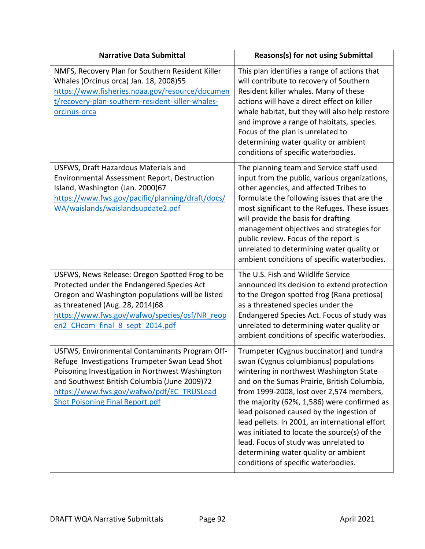| <b>Narrative Data Submittal</b>                                                                                                                                                                                                                                                            | Reasons(s) for not using Submittal                                                                                                                                                                                                                                                                                                                                                                                                                                                                                                           |
|--------------------------------------------------------------------------------------------------------------------------------------------------------------------------------------------------------------------------------------------------------------------------------------------|----------------------------------------------------------------------------------------------------------------------------------------------------------------------------------------------------------------------------------------------------------------------------------------------------------------------------------------------------------------------------------------------------------------------------------------------------------------------------------------------------------------------------------------------|
| NMFS, Recovery Plan for Southern Resident Killer<br>Whales (Orcinus orca) Jan. 18, 2008)55<br>https://www.fisheries.noaa.gov/resource/documen<br>t/recovery-plan-southern-resident-killer-whales-<br>orcinus-orca                                                                          | This plan identifies a range of actions that<br>will contribute to recovery of Southern<br>Resident killer whales. Many of these<br>actions will have a direct effect on killer<br>whale habitat, but they will also help restore<br>and improve a range of habitats, species.<br>Focus of the plan is unrelated to<br>determining water quality or ambient<br>conditions of specific waterbodies.                                                                                                                                           |
| USFWS, Draft Hazardous Materials and<br><b>Environmental Assessment Report, Destruction</b><br>Island, Washington (Jan. 2000)67<br>https://www.fws.gov/pacific/planning/draft/docs/<br>WA/waislands/waislandsupdate2.pdf                                                                   | The planning team and Service staff used<br>input from the public, various organizations,<br>other agencies, and affected Tribes to<br>formulate the following issues that are the<br>most significant to the Refuges. These issues<br>will provide the basis for drafting<br>management objectives and strategies for<br>public review. Focus of the report is<br>unrelated to determining water quality or<br>ambient conditions of specific waterbodies.                                                                                  |
| USFWS, News Release: Oregon Spotted Frog to be<br>Protected under the Endangered Species Act<br>Oregon and Washington populations will be listed<br>as threatened (Aug. 28, 2014)68<br>https://www.fws.gov/wafwo/species/osf/NR reop<br>en2 CHcom final 8 sept 2014.pdf                    | The U.S. Fish and Wildlife Service<br>announced its decision to extend protection<br>to the Oregon spotted frog (Rana pretiosa)<br>as a threatened species under the<br>Endangered Species Act. Focus of study was<br>unrelated to determining water quality or<br>ambient conditions of specific waterbodies.                                                                                                                                                                                                                               |
| USFWS, Environmental Contaminants Program Off-<br>Refuge Investigations Trumpeter Swan Lead Shot<br>Poisoning Investigation in Northwest Washington<br>and Southwest British Columbia (June 2009)72<br>https://www.fws.gov/wafwo/pdf/EC TRUSLead<br><b>Shot Poisoning Final Report.pdf</b> | Trumpeter (Cygnus buccinator) and tundra<br>swan (Cygnus columbianus) populations<br>wintering in northwest Washington State<br>and on the Sumas Prairie, British Columbia,<br>from 1999-2008, lost over 2,574 members,<br>the majority (62%, 1,586) were confirmed as<br>lead poisoned caused by the ingestion of<br>lead pellets. In 2001, an international effort<br>was initiated to locate the source(s) of the<br>lead. Focus of study was unrelated to<br>determining water quality or ambient<br>conditions of specific waterbodies. |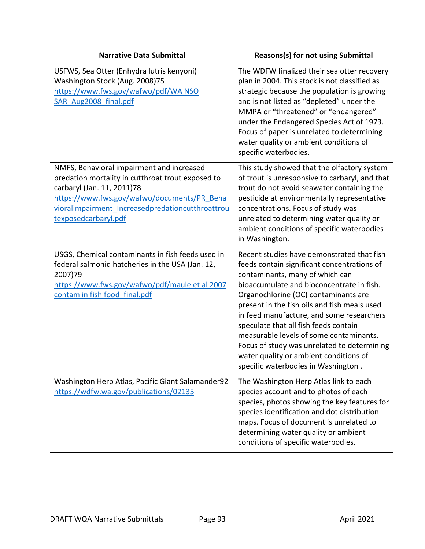| <b>Narrative Data Submittal</b>                                                                                                                                                                                                                         | <b>Reasons(s) for not using Submittal</b>                                                                                                                                                                                                                                                                                                                                                                                                                                                                                          |
|---------------------------------------------------------------------------------------------------------------------------------------------------------------------------------------------------------------------------------------------------------|------------------------------------------------------------------------------------------------------------------------------------------------------------------------------------------------------------------------------------------------------------------------------------------------------------------------------------------------------------------------------------------------------------------------------------------------------------------------------------------------------------------------------------|
| USFWS, Sea Otter (Enhydra lutris kenyoni)<br>Washington Stock (Aug. 2008)75<br>https://www.fws.gov/wafwo/pdf/WA NSO<br>SAR Aug2008 final.pdf                                                                                                            | The WDFW finalized their sea otter recovery<br>plan in 2004. This stock is not classified as<br>strategic because the population is growing<br>and is not listed as "depleted" under the<br>MMPA or "threatened" or "endangered"<br>under the Endangered Species Act of 1973.<br>Focus of paper is unrelated to determining<br>water quality or ambient conditions of<br>specific waterbodies.                                                                                                                                     |
| NMFS, Behavioral impairment and increased<br>predation mortality in cutthroat trout exposed to<br>carbaryl (Jan. 11, 2011)78<br>https://www.fws.gov/wafwo/documents/PR Beha<br>vioralimpairment Increasedpredationcutthroattrou<br>texposedcarbaryl.pdf | This study showed that the olfactory system<br>of trout is unresponsive to carbaryl, and that<br>trout do not avoid seawater containing the<br>pesticide at environmentally representative<br>concentrations. Focus of study was<br>unrelated to determining water quality or<br>ambient conditions of specific waterbodies<br>in Washington.                                                                                                                                                                                      |
| USGS, Chemical contaminants in fish feeds used in<br>federal salmonid hatcheries in the USA (Jan. 12,<br>2007)79<br>https://www.fws.gov/wafwo/pdf/maule et al 2007<br>contam in fish food final.pdf                                                     | Recent studies have demonstrated that fish<br>feeds contain significant concentrations of<br>contaminants, many of which can<br>bioaccumulate and bioconcentrate in fish.<br>Organochlorine (OC) contaminants are<br>present in the fish oils and fish meals used<br>in feed manufacture, and some researchers<br>speculate that all fish feeds contain<br>measurable levels of some contaminants.<br>Focus of study was unrelated to determining<br>water quality or ambient conditions of<br>specific waterbodies in Washington. |
| Washington Herp Atlas, Pacific Giant Salamander92<br>https://wdfw.wa.gov/publications/02135                                                                                                                                                             | The Washington Herp Atlas link to each<br>species account and to photos of each<br>species, photos showing the key features for<br>species identification and dot distribution<br>maps. Focus of document is unrelated to<br>determining water quality or ambient<br>conditions of specific waterbodies.                                                                                                                                                                                                                           |